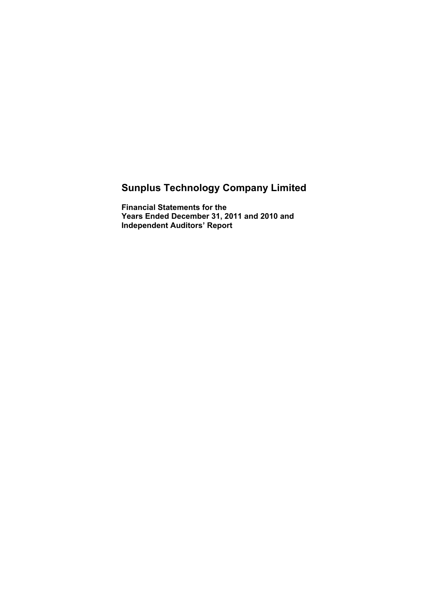# **Sunplus Technology Company Limited**

**Financial Statements for the Years Ended December 31, 2011 and 2010 and Independent Auditors' Report**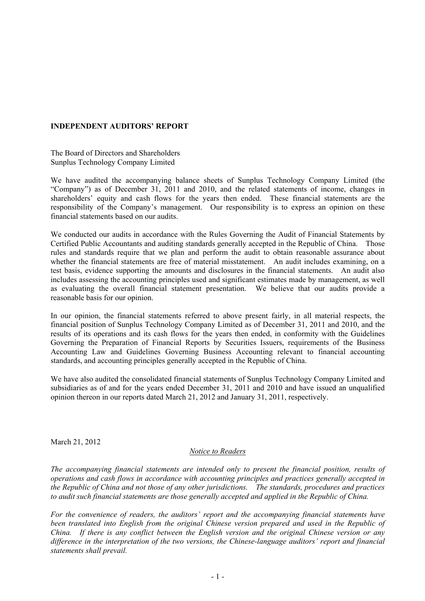#### **INDEPENDENT AUDITORS' REPORT**

The Board of Directors and Shareholders Sunplus Technology Company Limited

We have audited the accompanying balance sheets of Sunplus Technology Company Limited (the "Company") as of December 31, 2011 and 2010, and the related statements of income, changes in shareholders' equity and cash flows for the years then ended. These financial statements are the responsibility of the Company's management. Our responsibility is to express an opinion on these financial statements based on our audits.

We conducted our audits in accordance with the Rules Governing the Audit of Financial Statements by Certified Public Accountants and auditing standards generally accepted in the Republic of China. Those rules and standards require that we plan and perform the audit to obtain reasonable assurance about whether the financial statements are free of material misstatement. An audit includes examining, on a test basis, evidence supporting the amounts and disclosures in the financial statements. An audit also includes assessing the accounting principles used and significant estimates made by management, as well as evaluating the overall financial statement presentation. We believe that our audits provide a reasonable basis for our opinion.

In our opinion, the financial statements referred to above present fairly, in all material respects, the financial position of Sunplus Technology Company Limited as of December 31, 2011 and 2010, and the results of its operations and its cash flows for the years then ended, in conformity with the Guidelines Governing the Preparation of Financial Reports by Securities Issuers, requirements of the Business Accounting Law and Guidelines Governing Business Accounting relevant to financial accounting standards, and accounting principles generally accepted in the Republic of China.

We have also audited the consolidated financial statements of Sunplus Technology Company Limited and subsidiaries as of and for the years ended December 31, 2011 and 2010 and have issued an unqualified opinion thereon in our reports dated March 21, 2012 and January 31, 2011, respectively.

March 21, 2012

#### *Notice to Readers*

*The accompanying financial statements are intended only to present the financial position, results of operations and cash flows in accordance with accounting principles and practices generally accepted in the Republic of China and not those of any other jurisdictions. The standards, procedures and practices to audit such financial statements are those generally accepted and applied in the Republic of China.* 

*For the convenience of readers, the auditors' report and the accompanying financial statements have been translated into English from the original Chinese version prepared and used in the Republic of China. If there is any conflict between the English version and the original Chinese version or any difference in the interpretation of the two versions, the Chinese-language auditors' report and financial statements shall prevail.*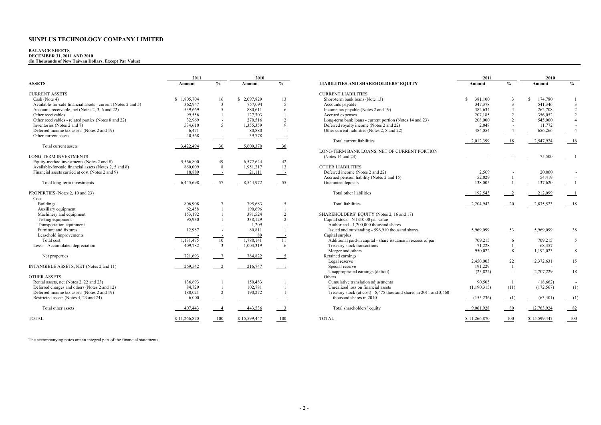#### **BALANCE SHEETS DECEMBER 31, 2011 AND 2010**

**(In Thousands of New Taiwan Dollars, Except Par Value)** 

|                                                               | 2011         |                           | 2010         |                          |                                                                    | 2011         |                | 2010          |                 |
|---------------------------------------------------------------|--------------|---------------------------|--------------|--------------------------|--------------------------------------------------------------------|--------------|----------------|---------------|-----------------|
| <b>ASSETS</b>                                                 | Amount       | $\frac{0}{0}$             | Amount       | $\frac{0}{0}$            | <b>LIABILITIES AND SHAREHOLDERS' EQUITY</b>                        | Amount       | $\%$           | Amount        | $\frac{0}{0}$   |
| <b>CURRENT ASSETS</b>                                         |              |                           |              |                          | <b>CURRENT LIABILITIES</b>                                         |              |                |               |                 |
| Cash (Note 4)                                                 | \$1,805,704  | 16                        | \$2,097,829  | 13                       | Short-term bank loans (Note 13)                                    | 381,100      | 3              | 174,780<br>-S |                 |
| Available-for-sale financial assets - current (Notes 2 and 5) | 362,947      | $\overline{3}$            | 757.094      | 5                        | Accounts payable                                                   | 347.378      | $\mathbf{3}$   | 541,346       | $\overline{3}$  |
| Accounts receivable, net (Notes 2, 3, 6 and 22)               | 539,669      | 5                         | 880.611      | 6                        | Income tax payable (Notes 2 and 19)                                | 382.634      | $\overline{4}$ | 262,708       | $\overline{2}$  |
| Other receivables                                             | 99,556       |                           | 127,303      |                          | Accrued expenses                                                   | 207.185      | $\mathcal{D}$  | 356,052       | $\overline{2}$  |
| Other receivables - related parties (Notes 8 and 22)          | 32,969       |                           | 270,516      | 2                        | Long-term bank loans - current portion (Notes 14 and 23)           | 208,000      | 2              | 545,000       | $\overline{4}$  |
| Inventories (Notes 2 and 7)                                   | 534,610      | 5                         | 1,355,359    | $\mathbf Q$              | Deferred royalty income (Notes 2 and 22)                           | 2,048        |                | 11,772        |                 |
| Deferred income tax assets (Notes 2 and 19)                   | 6,471        |                           | 80,880       | ٠.                       | Other current liabilities (Notes 2, 8 and 22)                      | 484.054      | $\overline{4}$ | 656,266       | $\sim$          |
|                                                               |              | $\overline{\phantom{a}}$  |              |                          |                                                                    |              |                |               | $-4$            |
| Other current assets                                          | 40,568       | $\sim$ 100 $\pm$          | 39,778       | $\overline{\phantom{a}}$ |                                                                    |              |                |               |                 |
|                                                               |              |                           |              |                          | Total current liabilities                                          | 2,012,399    | 18             | 2,547,924     | 16              |
| Total current assets                                          | 3,422,494    | 30                        | 5,609,370    | 36                       |                                                                    |              |                |               |                 |
|                                                               |              |                           |              |                          | LONG-TERM BANK LOANS, NET OF CURRENT PORTION                       |              |                |               |                 |
| <b>LONG-TERM INVESTMENTS</b>                                  |              |                           |              |                          | (Notes 14 and 23)                                                  |              |                | 75.500        |                 |
| Equity-method investments (Notes 2 and 8)                     | 5,566,800    | 49                        | 6,572,644    | 42                       |                                                                    |              |                |               |                 |
| Available-for-sale financial assets (Notes 2, 5 and 8)        | 860,009      | 8                         | 1,951,217    | 13                       | <b>OTHER LIABILITIES</b>                                           |              |                |               |                 |
| Financial assets carried at cost (Notes 2 and 9)              | 18,889       | $\sim$ 100 $\pm$          | 21,111       | $\sim$ 100 $\pm$         | Deferred income (Notes 2 and 22)                                   | 2,509        |                | 20,060        |                 |
|                                                               |              |                           |              |                          | Accrued pension liability (Notes 2 and 15)                         | 52.029       | $\overline{1}$ | 54,419        |                 |
| Total long-term investments                                   | 6,445,698    | 57                        | 8,544,972    | $-55$                    | Guarantee deposits                                                 | 138.005      |                | 137,620       |                 |
| PROPERTIES (Notes 2, 10 and 23)                               |              |                           |              |                          | Total other liabilities                                            | 192,543      | $\overline{2}$ | 212,099       |                 |
| Cost                                                          |              |                           |              |                          |                                                                    |              |                |               |                 |
| <b>Buildings</b>                                              | 806.908      |                           | 795.683      | 5                        | <b>Total liabilities</b>                                           | 2,204,942    | 20             | 2,835,523     | 18              |
| Auxiliary equipment                                           | 62,458       |                           | 190.696      |                          |                                                                    |              |                |               |                 |
| Machinery and equipment                                       | 153,192      |                           | 381,524      | 2                        | SHAREHOLDERS' EQUITY (Notes 2, 16 and 17)                          |              |                |               |                 |
| Testing equipment                                             | 95,930       |                           | 338,129      | 2                        | Capital stock - NT\$10.00 par value                                |              |                |               |                 |
| Transportation equipment                                      |              |                           | 1.209        |                          | Authorized - 1,200,000 thousand shares                             |              |                |               |                 |
| Furniture and fixtures                                        | 12,987       |                           | 80,811       | $\overline{1}$           | Issued and outstanding - 596,910 thousand shares                   | 5,969,099    | 53             | 5,969,099     | 38              |
| Leasehold improvements                                        |              |                           | 89           |                          | Capital surplus                                                    |              |                |               |                 |
| Total cost                                                    | 1,131,475    | 10                        | 1,788,141    | <b>11</b>                | Additional paid-in capital - share issuance in excess of par       | 709,215      | 6              | 709,215       | $5\overline{)}$ |
| Less: Accumulated depreciation                                | 409,782      | $\overline{\phantom{a}3}$ | 1,003,319    | $6\overline{6}$          | Treasury stock transactions                                        | 71,228       |                | 68,357        | $\sim$          |
|                                                               |              |                           |              |                          | Merger and others                                                  | 950,022      | 8              | 1,192,023     | 8               |
|                                                               | 721,693      |                           |              |                          | Retained earnings                                                  |              |                |               |                 |
| Net properties                                                |              |                           | 784,822      | $\overline{\phantom{0}}$ | Legal reserve                                                      |              |                |               |                 |
|                                                               |              |                           |              |                          |                                                                    | 2,450,003    | 22             | 2,372,631     | 15              |
| INTANGIBLE ASSETS, NET (Notes 2 and 11)                       | 269,542      |                           | 216,747      | $\overline{1}$           | Special reserve                                                    | 191,229      |                |               |                 |
|                                                               |              |                           |              |                          | Unappropriated earnings (deficit)                                  | (23, 822)    | $\sim$         | 2,707,229     | 18              |
| <b>OTHER ASSETS</b>                                           |              |                           |              |                          | Others                                                             |              |                |               |                 |
| Rental assets, net (Notes 2, 22 and 23)                       | 136,693      |                           | 150.483      |                          | Cumulative translation adjustments                                 | 90.505       |                | (18,662)      | $\sim$          |
| Deferred charges and others (Notes 2 and 12)                  | 84,729       |                           | 102,781      | $\overline{1}$           | Unrealized loss on financial assets                                | (1,190,315)  | (11)           | (172, 567)    | (1)             |
| Deferred income tax assets (Notes 2 and 19)                   | 180,021      | 2                         | 190,272      | $\overline{1}$           | Treasury stock (at cost) - 8,475 thousand shares in 2011 and 3,560 |              |                |               |                 |
| Restricted assets (Notes 4, 23 and 24)                        | 6,000        | $\sim$ 10 $\pm$           |              | $\overline{\phantom{a}}$ | thousand shares in 2010                                            | (155, 236)   | (1)            | (63, 401)     | (1)             |
| Total other assets                                            | 407,443      | $\overline{4}$            | 443,536      | $\frac{3}{2}$            | Total shareholders' equity                                         | 9,061,928    | 80             | 12,763,924    | $-82$           |
| <b>TOTAL</b>                                                  | \$11,266,870 | 100                       | \$15,599,447 | 100                      | <b>TOTAL</b>                                                       | \$11,266,870 | 100            | \$15,599,447  | 100             |
|                                                               |              |                           |              |                          |                                                                    |              |                |               |                 |

The accompanying notes are an integral part of the financial statements.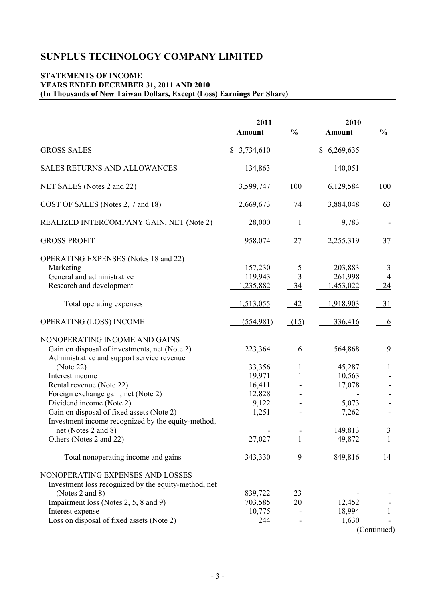## **STATEMENTS OF INCOME YEARS ENDED DECEMBER 31, 2011 AND 2010 (In Thousands of New Taiwan Dollars, Except (Loss) Earnings Per Share)**

|                                                                                                                              | 2011                       |                      | 2010                          |                                |  |
|------------------------------------------------------------------------------------------------------------------------------|----------------------------|----------------------|-------------------------------|--------------------------------|--|
|                                                                                                                              | <b>Amount</b>              | $\frac{0}{0}$        | Amount                        | $\frac{0}{0}$                  |  |
| <b>GROSS SALES</b>                                                                                                           | \$3,734,610                |                      | 6,269,635<br>\$               |                                |  |
| <b>SALES RETURNS AND ALLOWANCES</b>                                                                                          | 134,863                    |                      | 140,051                       |                                |  |
| NET SALES (Notes 2 and 22)                                                                                                   | 3,599,747                  | 100                  | 6,129,584                     | 100                            |  |
| COST OF SALES (Notes 2, 7 and 18)                                                                                            | 2,669,673                  | 74                   | 3,884,048                     | 63                             |  |
| REALIZED INTERCOMPANY GAIN, NET (Note 2)                                                                                     | 28,000                     | $\perp$              | 9,783                         |                                |  |
| <b>GROSS PROFIT</b>                                                                                                          | 958,074                    | $\frac{27}{2}$       | 2,255,319                     | $-37$                          |  |
| <b>OPERATING EXPENSES</b> (Notes 18 and 22)<br>Marketing<br>General and administrative                                       | 157,230<br>119,943         | 5<br>3               | 203,883<br>261,998            | 3<br>$\overline{4}$            |  |
| Research and development<br>Total operating expenses                                                                         | 1,235,882<br>1,513,055     | $\frac{34}{5}$<br>42 | 1,453,022<br><u>1,918,903</u> | $\frac{24}{}$<br>$\frac{31}{}$ |  |
| OPERATING (LOSS) INCOME                                                                                                      | (554,981)                  | (15)                 | 336,416                       | 6                              |  |
| NONOPERATING INCOME AND GAINS<br>Gain on disposal of investments, net (Note 2)<br>Administrative and support service revenue | 223,364                    | 6                    | 564,868                       | 9                              |  |
| (Note 22)<br>Interest income<br>Rental revenue (Note 22)                                                                     | 33,356<br>19,971<br>16,411 | 1<br>1               | 45,287<br>10,563<br>17,078    | 1                              |  |
| Foreign exchange gain, net (Note 2)<br>Dividend income (Note 2)<br>Gain on disposal of fixed assets (Note 2)                 | 12,828<br>9,122<br>1,251   |                      | 5,073<br>7,262                |                                |  |
| Investment income recognized by the equity-method,<br>net (Notes 2 and 8)<br>Others (Notes 2 and 22)                         | 27,027                     | $\mathbf{1}$         | 149,813<br>49,872             | 3                              |  |
| Total nonoperating income and gains                                                                                          | 343,330                    | $\overline{9}$       | 849,816                       | 14                             |  |
| NONOPERATING EXPENSES AND LOSSES<br>Investment loss recognized by the equity-method, net                                     |                            |                      |                               |                                |  |
| (Notes 2 and 8)<br>Impairment loss (Notes 2, 5, 8 and 9)                                                                     | 839,722<br>703,585         | 23<br>20             | 12,452                        |                                |  |
| Interest expense<br>Loss on disposal of fixed assets (Note 2)                                                                | 10,775<br>244              |                      | 18,994<br>1,630               | 1<br>(Continued)               |  |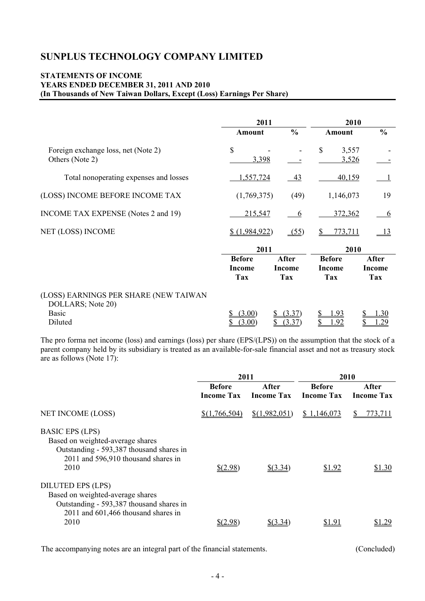#### **STATEMENTS OF INCOME YEARS ENDED DECEMBER 31, 2011 AND 2010 (In Thousands of New Taiwan Dollars, Except (Loss) Earnings Per Share)**

|                                                            | 2011                                         |                                             | 2010                                  |                               |  |  |
|------------------------------------------------------------|----------------------------------------------|---------------------------------------------|---------------------------------------|-------------------------------|--|--|
|                                                            | Amount                                       | $\frac{6}{6}$                               | <b>Amount</b>                         | $\frac{0}{0}$                 |  |  |
| Foreign exchange loss, net (Note 2)<br>Others (Note 2)     | $\$$<br>3,398                                |                                             | \$<br>3,557<br>3,526                  |                               |  |  |
| Total nonoperating expenses and losses                     | 1,557,724                                    | <u>43</u>                                   | 40,159                                |                               |  |  |
| (LOSS) INCOME BEFORE INCOME TAX                            | (1,769,375)                                  | (49)                                        | 1,146,073                             | 19                            |  |  |
| INCOME TAX EXPENSE (Notes 2 and 19)                        | 215,547                                      | 6                                           | 372,362                               | 6                             |  |  |
| NET (LOSS) INCOME                                          | \$(1,984,922)                                | (55)                                        | 773,711                               | <u> 13</u>                    |  |  |
|                                                            | 2011                                         |                                             |                                       | 2010                          |  |  |
|                                                            | <b>Before</b><br><b>Income</b><br><b>Tax</b> | <b>After</b><br><b>Income</b><br><b>Tax</b> | <b>Before</b><br><b>Income</b><br>Tax | After<br><b>Income</b><br>Tax |  |  |
| (LOSS) EARNINGS PER SHARE (NEW TAIWAN<br>DOLLARS; Note 20) |                                              |                                             |                                       |                               |  |  |
| <b>Basic</b><br>Diluted                                    | (3.00)<br>(3.00)                             | (3.37)<br>(3 37)                            | 1.93<br>.92                           | 1.30<br><u>29</u>             |  |  |

The pro forma net income (loss) and earnings (loss) per share (EPS/(LPS)) on the assumption that the stock of a parent company held by its subsidiary is treated as an available-for-sale financial asset and not as treasury stock are as follows (Note  $17$ ):

|                                             | 2011              |                   | 2010              |                   |  |  |
|---------------------------------------------|-------------------|-------------------|-------------------|-------------------|--|--|
|                                             | <b>Before</b>     | After             | <b>Before</b>     | After             |  |  |
|                                             | <b>Income Tax</b> | <b>Income Tax</b> | <b>Income Tax</b> | <b>Income Tax</b> |  |  |
| <b>NET INCOME (LOSS)</b>                    | \$(1,766,504)     | \$(1,982,051)     | \$1,146,073       | 773,711<br>S      |  |  |
| <b>BASIC EPS (LPS)</b>                      |                   |                   |                   |                   |  |  |
| Based on weighted-average shares            |                   |                   |                   |                   |  |  |
| Outstanding - 593,387 thousand shares in    |                   |                   |                   |                   |  |  |
| 2011 and 596,910 thousand shares in<br>2010 | $$^{(2.98)}$      | $$$ (3.34)        |                   | \$1.30            |  |  |
|                                             |                   |                   | \$1.92            |                   |  |  |
| <b>DILUTED EPS (LPS)</b>                    |                   |                   |                   |                   |  |  |
| Based on weighted-average shares            |                   |                   |                   |                   |  |  |
| Outstanding - 593,387 thousand shares in    |                   |                   |                   |                   |  |  |
| 2011 and 601,466 thousand shares in<br>2010 |                   | \$63.34           |                   |                   |  |  |
|                                             | \$(2.98)          |                   | \$1.91            | l .29             |  |  |

The accompanying notes are an integral part of the financial statements. (Concluded)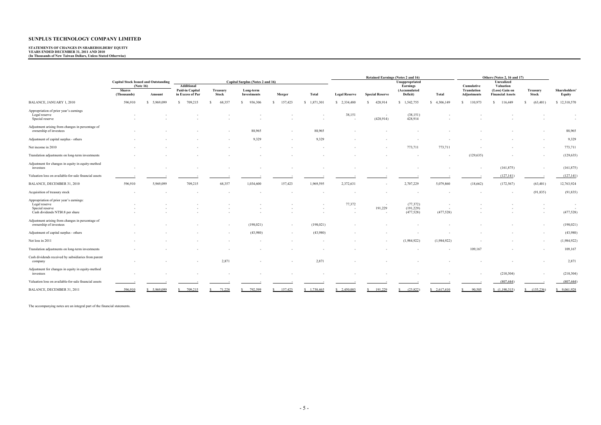# **STATEMENTS OF CHANGES IN SHAREHOLDERS' EQUITY YEARS ENDED DECEMBER 31, 2011 AND 2010 (In Thousands of New Taiwan Dollars, Unless Stated Otherwise)**

|                                                                                                                 |                              |                                             |                                                          |                   |                                  |              |                |                      |                                        | <b>Retained Earnings (Notes 2 and 16)</b> |              |                                          | Others (Notes 2, 16 and 17)                            |                          |                        |
|-----------------------------------------------------------------------------------------------------------------|------------------------------|---------------------------------------------|----------------------------------------------------------|-------------------|----------------------------------|--------------|----------------|----------------------|----------------------------------------|-------------------------------------------|--------------|------------------------------------------|--------------------------------------------------------|--------------------------|------------------------|
|                                                                                                                 |                              | <b>Capital Stock Issued and Outstanding</b> |                                                          |                   | Capital Surplus (Notes 2 and 16) |              |                |                      |                                        | Unappropriated                            |              |                                          | Unrealized                                             |                          |                        |
|                                                                                                                 | <b>Shares</b><br>(Thousands) | (Note 16)<br>Amount                         | <b>Additional</b><br>Paid-in Capital<br>in Excess of Par | Treasury<br>Stock | Long-term<br><b>Investments</b>  | Merger       | Total          | <b>Legal Reserve</b> | <b>Special Reserve</b>                 | Earnings<br>(Accumulated<br>Deficit)      | Total        | Cumulative<br>Translation<br>Adjustments | Valuation<br>(Loss) Gain on<br><b>Financial Assets</b> | Treasury<br><b>Stock</b> | Shareholders<br>Equity |
| <b>BALANCE, JANUARY 1, 2010</b>                                                                                 | 596,910                      | 5,969,099<br>-S                             | 709,215<br>$\mathbf{S}$                                  | 68,357<br>s       | $\mathbf{s}$<br>936,306          | 157,423<br>s | 1,871,301<br>s | \$ 2,334,480         | 428,914<br>s                           | 1,542,755<br>S.                           | \$ 4,306,149 | \$ 110,973                               | 116,449<br>s.                                          | (63, 401)                | \$12,310,570           |
| Appropriation of prior year's earnings<br>Legal reserve<br>Special reserve                                      |                              |                                             |                                                          |                   |                                  |              |                | 38,151<br>$\sim$     | $\overline{\phantom{a}}$<br>(428, 914) | (38, 151)<br>428,914                      |              |                                          |                                                        |                          | $\sim$<br>$\sim$       |
| Adjustment arising from changes in percentage of<br>ownership of investees                                      |                              |                                             |                                                          |                   | 88,965                           |              | 88,965         |                      |                                        |                                           |              |                                          |                                                        |                          | 88,965                 |
| Adjustment of capital surplus - others                                                                          |                              |                                             |                                                          |                   | 9,329                            | ٠            | 9,329          |                      |                                        |                                           |              |                                          |                                                        |                          | 9,329                  |
| Net income in 2010                                                                                              |                              |                                             |                                                          |                   |                                  |              |                |                      |                                        | 773,711                                   | 773,711      |                                          |                                                        |                          | 773,711                |
| Translation adjustments on long-term investments                                                                |                              |                                             |                                                          |                   |                                  |              |                |                      |                                        |                                           |              | (129, 635)                               |                                                        |                          | (129, 635)             |
| Adjustment for changes in equity in equity-method<br>investees                                                  |                              |                                             |                                                          |                   |                                  |              |                |                      |                                        |                                           |              |                                          | (161, 875)                                             | $\sim$                   | (161, 875)             |
| Valuation loss on available-for-sale financial assets                                                           |                              |                                             |                                                          |                   |                                  |              |                |                      |                                        |                                           |              |                                          | (127, 141)                                             |                          | (127, 141)             |
| BALANCE, DECEMBER 31, 2010                                                                                      | 596,910                      | 5,969,099                                   | 709,215                                                  | 68,357            | 1,034,600                        | 157,423      | 1,969,595      | 2,372,631            |                                        | 2,707,229                                 | 5,079,860    | (18,662)                                 | (172, 567)                                             | (63, 401)                | 12,763,924             |
| Acquisition of treasury stock                                                                                   |                              |                                             |                                                          |                   |                                  |              |                |                      |                                        |                                           |              |                                          |                                                        | (91, 835)                | (91, 835)              |
| Appropriation of prior year's earnings:<br>Legal reserve<br>Special reserve<br>Cash dividends NT\$0.8 per share |                              |                                             |                                                          |                   |                                  |              |                | 77,372<br>٠.         | $\overline{a}$<br>191,229<br>$\sim$    | (77, 372)<br>(191, 229)<br>(477, 528)     | (477, 528)   |                                          |                                                        |                          | $\sim$<br>(477, 528)   |
| Adjustment arising from changes in percentage of<br>ownership of investees                                      |                              |                                             |                                                          |                   | (198, 021)                       |              | (198, 021)     |                      |                                        |                                           |              |                                          |                                                        |                          | (198, 021)             |
| Adjustment of capital surplus - others                                                                          |                              |                                             |                                                          |                   | (43,980)                         | ٠            | (43,980)       |                      |                                        |                                           |              |                                          |                                                        |                          | (43,980)               |
| Net loss in 2011                                                                                                |                              |                                             |                                                          |                   |                                  |              |                |                      |                                        | (1,984,922)                               | (1,984,922)  |                                          |                                                        |                          | (1,984,922)            |
| Translation adjustments on long-term investments                                                                |                              |                                             |                                                          |                   |                                  |              |                |                      |                                        |                                           |              | 109,167                                  |                                                        |                          | 109,167                |
| Cash dividends received by subsidiaries from parent<br>company                                                  |                              |                                             |                                                          | 2,871             |                                  |              | 2,871          |                      |                                        |                                           |              |                                          |                                                        |                          | 2,871                  |
| Adjustment for changes in equity in equity-method<br>investees                                                  |                              |                                             |                                                          |                   |                                  |              |                |                      |                                        |                                           |              |                                          | (210, 304)                                             |                          | (210, 304)             |
| Valuation loss on available-for-sale financial assets                                                           |                              |                                             |                                                          |                   |                                  |              |                |                      |                                        |                                           |              |                                          | (807, 444)                                             |                          | (807, 444)             |
| BALANCE, DECEMBER 31, 2011                                                                                      | 596,910                      | 5,969,099                                   | 709,215                                                  | 71,228            | 792,599                          | 157,423      | \$1,730,465    | \$2,450,003          | 191,229                                | (23,822)                                  | \$2,617,410  | 90.505                                   | (1,190,315)                                            | (155.236)                | \$9,061,928            |

The accompanying notes are an integral part of the financial statements.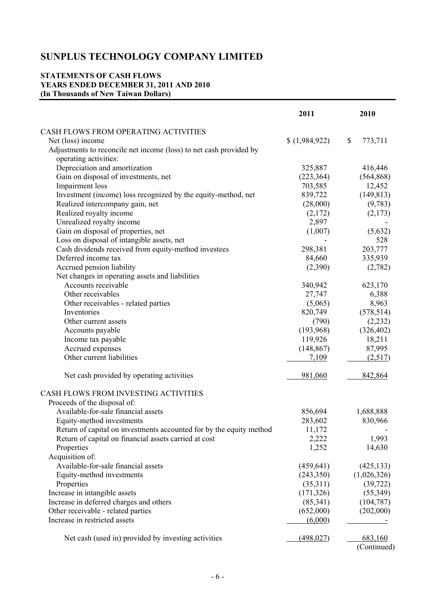## **STATEMENTS OF CASH FLOWS YEARS ENDED DECEMBER 31, 2011 AND 2010 (In Thousands of New Taiwan Dollars)**

|                                                                     | 2011        | 2010          |
|---------------------------------------------------------------------|-------------|---------------|
| CASH FLOWS FROM OPERATING ACTIVITIES                                |             |               |
| Net (loss) income                                                   | (1,984,922) | \$<br>773,711 |
| Adjustments to reconcile net income (loss) to net cash provided by  |             |               |
| operating activities:                                               |             |               |
| Depreciation and amortization                                       | 325,887     | 416,446       |
| Gain on disposal of investments, net                                | (223, 364)  | (564, 868)    |
| Impairment loss                                                     | 703,585     | 12,452        |
| Investment (income) loss recognized by the equity-method, net       | 839,722     | (149, 813)    |
| Realized intercompany gain, net                                     | (28,000)    | (9,783)       |
| Realized royalty income                                             | (2,172)     | (2,173)       |
| Unrealized royalty income                                           | 2,897       |               |
| Gain on disposal of properties, net                                 | (1,007)     | (5,632)       |
| Loss on disposal of intangible assets, net                          |             | 528           |
| Cash dividends received from equity-method investees                | 298,381     | 203,777       |
| Deferred income tax                                                 | 84,660      | 335,939       |
| Accrued pension liability                                           | (2,390)     | (2,782)       |
| Net changes in operating assets and liabilities                     |             |               |
| Accounts receivable                                                 | 340,942     | 623,170       |
| Other receivables                                                   | 27,747      | 6,388         |
| Other receivables - related parties                                 | (5,065)     | 8,963         |
| Inventories                                                         | 820,749     | (578, 514)    |
| Other current assets                                                | (790)       | (2, 232)      |
| Accounts payable                                                    | (193,968)   | (326, 402)    |
| Income tax payable                                                  | 119,926     | 18,211        |
| Accrued expenses                                                    | (148, 867)  | 87,995        |
| Other current liabilities                                           | 7,109       | (2,517)       |
|                                                                     |             |               |
| Net cash provided by operating activities                           | 981,060     | 842,864       |
| CASH FLOWS FROM INVESTING ACTIVITIES                                |             |               |
| Proceeds of the disposal of:                                        |             |               |
| Available-for-sale financial assets                                 | 856,694     | 1,688,888     |
| Equity-method investments                                           | 283,602     | 830,966       |
| Return of capital on investments accounted for by the equity method | 11,172      |               |
| Return of capital on financial assets carried at cost               | 2,222       | 1,993         |
| Properties                                                          | 1,252       | 14,630        |
| Acquisition of:                                                     |             |               |
| Available-for-sale financial assets                                 | (459, 641)  | (425, 133)    |
| Equity-method investments                                           | (243, 350)  | (1,026,326)   |
| Properties                                                          | (35,311)    | (39, 722)     |
| Increase in intangible assets                                       | (171, 326)  | (55,349)      |
| Increase in deferred charges and others                             | (85, 341)   | (104, 787)    |
| Other receivable - related parties                                  | (652,000)   | (202,000)     |
| Increase in restricted assets                                       | (6,000)     |               |
| Net cash (used in) provided by investing activities                 | (498, 027)  | 683,160       |
|                                                                     |             | (Continued)   |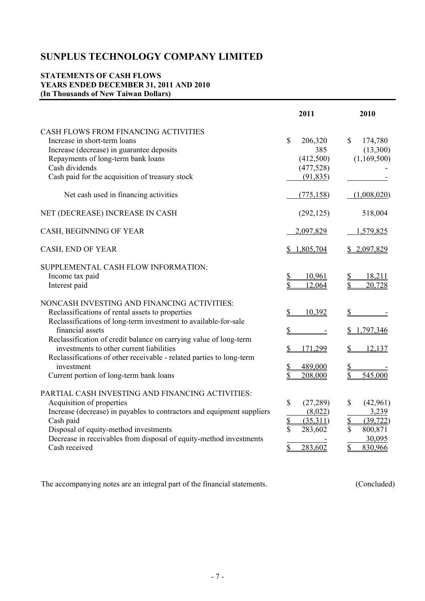## **STATEMENTS OF CASH FLOWS YEARS ENDED DECEMBER 31, 2011 AND 2010 (In Thousands of New Taiwan Dollars)**

|                                                                                                                                                                                                                                                                                                                                                                                                                                          | 2011                                                                                               | 2010                                                                                                     |
|------------------------------------------------------------------------------------------------------------------------------------------------------------------------------------------------------------------------------------------------------------------------------------------------------------------------------------------------------------------------------------------------------------------------------------------|----------------------------------------------------------------------------------------------------|----------------------------------------------------------------------------------------------------------|
| CASH FLOWS FROM FINANCING ACTIVITIES<br>Increase in short-term loans<br>Increase (decrease) in guarantee deposits<br>Repayments of long-term bank loans<br>Cash dividends<br>Cash paid for the acquisition of treasury stock                                                                                                                                                                                                             | $\mathbb{S}$<br>206,320<br>385<br>(412,500)<br>(477, 528)<br>(91, 835)                             | $\mathbb{S}$<br>174,780<br>(13,300)<br>(1,169,500)                                                       |
| Net cash used in financing activities                                                                                                                                                                                                                                                                                                                                                                                                    | (775, 158)                                                                                         | (1,008,020)                                                                                              |
| NET (DECREASE) INCREASE IN CASH                                                                                                                                                                                                                                                                                                                                                                                                          | (292, 125)                                                                                         | 518,004                                                                                                  |
| CASH, BEGINNING OF YEAR                                                                                                                                                                                                                                                                                                                                                                                                                  | 2,097,829                                                                                          | 1,579,825                                                                                                |
| CASH, END OF YEAR                                                                                                                                                                                                                                                                                                                                                                                                                        | \$1,805,704                                                                                        | \$2,097,829                                                                                              |
| SUPPLEMENTAL CASH FLOW INFORMATION:<br>Income tax paid<br>Interest paid                                                                                                                                                                                                                                                                                                                                                                  | 10.961<br>12,064                                                                                   | 18,211<br>20,728                                                                                         |
| NONCASH INVESTING AND FINANCING ACTIVITIES:<br>Reclassifications of rental assets to properties<br>Reclassifications of long-term investment to available-for-sale<br>financial assets<br>Reclassification of credit balance on carrying value of long-term<br>investments to other current liabilities<br>Reclassifications of other receivable - related parties to long-term<br>investment<br>Current portion of long-term bank loans | 10,392<br>171,299<br>489,000<br>208,000                                                            | 1,797,346<br>12,137<br>545,000                                                                           |
| PARTIAL CASH INVESTING AND FINANCING ACTIVITIES:<br>Acquisition of properties<br>Increase (decrease) in payables to contractors and equipment suppliers<br>Cash paid<br>Disposal of equity-method investments<br>Decrease in receivables from disposal of equity-method investments<br>Cash received                                                                                                                                     | \$<br>(27, 289)<br>(8,022)<br>$\mathbf{\mathcal{S}}$<br>(35,311)<br>\$<br>283,602<br>\$<br>283,602 | \$<br>(42,961)<br>3,239<br>\$<br>(39, 722)<br>$\mathbf S$<br>800,871<br>30,095<br>$\mathbf S$<br>830,966 |

The accompanying notes are an integral part of the financial statements. (Concluded)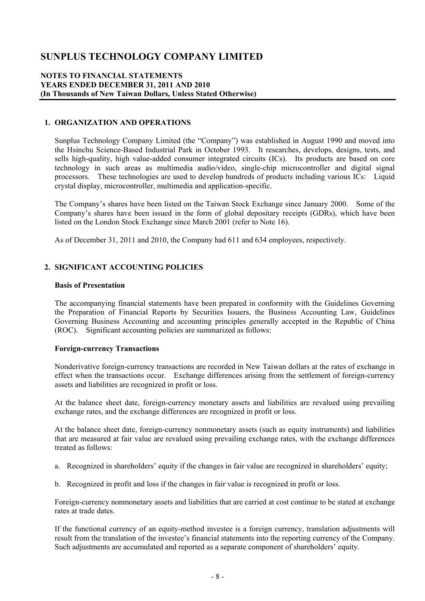#### **NOTES TO FINANCIAL STATEMENTS YEARS ENDED DECEMBER 31, 2011 AND 2010 (In Thousands of New Taiwan Dollars, Unless Stated Otherwise)**

#### **1. ORGANIZATION AND OPERATIONS**

Sunplus Technology Company Limited (the "Company") was established in August 1990 and moved into the Hsinchu Science-Based Industrial Park in October 1993. It researches, develops, designs, tests, and sells high-quality, high value-added consumer integrated circuits (ICs). Its products are based on core technology in such areas as multimedia audio/video, single-chip microcontroller and digital signal processors. These technologies are used to develop hundreds of products including various ICs: Liquid crystal display, microcontroller, multimedia and application-specific.

The Company's shares have been listed on the Taiwan Stock Exchange since January 2000. Some of the Company's shares have been issued in the form of global depositary receipts (GDRs), which have been listed on the London Stock Exchange since March 2001 (refer to Note 16).

As of December 31, 2011 and 2010, the Company had 611 and 634 employees, respectively.

### **2. SIGNIFICANT ACCOUNTING POLICIES**

#### **Basis of Presentation**

The accompanying financial statements have been prepared in conformity with the Guidelines Governing the Preparation of Financial Reports by Securities Issuers, the Business Accounting Law, Guidelines Governing Business Accounting and accounting principles generally accepted in the Republic of China (ROC). Significant accounting policies are summarized as follows:

#### **Foreign-currency Transactions**

Nonderivative foreign-currency transactions are recorded in New Taiwan dollars at the rates of exchange in effect when the transactions occur. Exchange differences arising from the settlement of foreign-currency assets and liabilities are recognized in profit or loss.

At the balance sheet date, foreign-currency monetary assets and liabilities are revalued using prevailing exchange rates, and the exchange differences are recognized in profit or loss.

At the balance sheet date, foreign-currency nonmonetary assets (such as equity instruments) and liabilities that are measured at fair value are revalued using prevailing exchange rates, with the exchange differences treated as follows:

- a. Recognized in shareholders' equity if the changes in fair value are recognized in shareholders' equity;
- b. Recognized in profit and loss if the changes in fair value is recognized in profit or loss.

Foreign-currency nonmonetary assets and liabilities that are carried at cost continue to be stated at exchange rates at trade dates.

If the functional currency of an equity-method investee is a foreign currency, translation adjustments will result from the translation of the investee's financial statements into the reporting currency of the Company. Such adjustments are accumulated and reported as a separate component of shareholders' equity.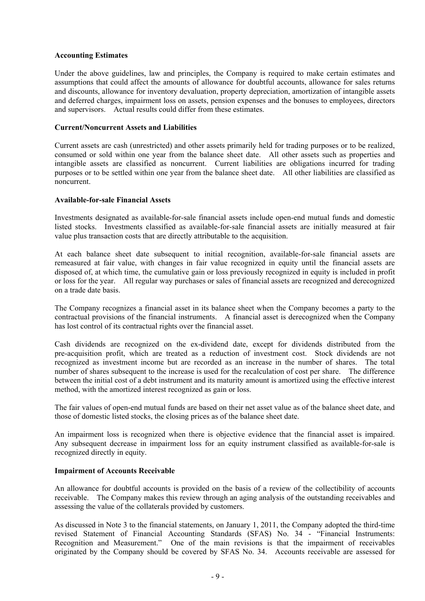#### **Accounting Estimates**

Under the above guidelines, law and principles, the Company is required to make certain estimates and assumptions that could affect the amounts of allowance for doubtful accounts, allowance for sales returns and discounts, allowance for inventory devaluation, property depreciation, amortization of intangible assets and deferred charges, impairment loss on assets, pension expenses and the bonuses to employees, directors and supervisors. Actual results could differ from these estimates.

#### **Current/Noncurrent Assets and Liabilities**

Current assets are cash (unrestricted) and other assets primarily held for trading purposes or to be realized, consumed or sold within one year from the balance sheet date. All other assets such as properties and intangible assets are classified as noncurrent. Current liabilities are obligations incurred for trading purposes or to be settled within one year from the balance sheet date. All other liabilities are classified as noncurrent.

#### **Available-for-sale Financial Assets**

Investments designated as available-for-sale financial assets include open-end mutual funds and domestic listed stocks. Investments classified as available-for-sale financial assets are initially measured at fair value plus transaction costs that are directly attributable to the acquisition.

At each balance sheet date subsequent to initial recognition, available-for-sale financial assets are remeasured at fair value, with changes in fair value recognized in equity until the financial assets are disposed of, at which time, the cumulative gain or loss previously recognized in equity is included in profit or loss for the year. All regular way purchases or sales of financial assets are recognized and derecognized on a trade date basis.

The Company recognizes a financial asset in its balance sheet when the Company becomes a party to the contractual provisions of the financial instruments. A financial asset is derecognized when the Company has lost control of its contractual rights over the financial asset.

Cash dividends are recognized on the ex-dividend date, except for dividends distributed from the pre-acquisition profit, which are treated as a reduction of investment cost. Stock dividends are not recognized as investment income but are recorded as an increase in the number of shares. The total number of shares subsequent to the increase is used for the recalculation of cost per share. The difference between the initial cost of a debt instrument and its maturity amount is amortized using the effective interest method, with the amortized interest recognized as gain or loss.

The fair values of open-end mutual funds are based on their net asset value as of the balance sheet date, and those of domestic listed stocks, the closing prices as of the balance sheet date.

An impairment loss is recognized when there is objective evidence that the financial asset is impaired. Any subsequent decrease in impairment loss for an equity instrument classified as available-for-sale is recognized directly in equity.

#### **Impairment of Accounts Receivable**

An allowance for doubtful accounts is provided on the basis of a review of the collectibility of accounts receivable. The Company makes this review through an aging analysis of the outstanding receivables and assessing the value of the collaterals provided by customers.

As discussed in Note 3 to the financial statements, on January 1, 2011, the Company adopted the third-time revised Statement of Financial Accounting Standards (SFAS) No. 34 - "Financial Instruments: Recognition and Measurement." One of the main revisions is that the impairment of receivables originated by the Company should be covered by SFAS No. 34. Accounts receivable are assessed for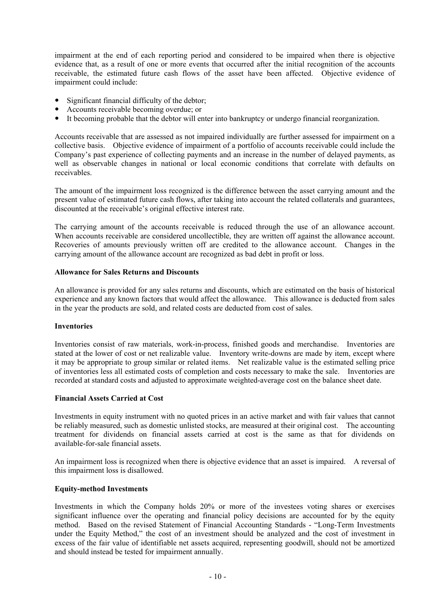impairment at the end of each reporting period and considered to be impaired when there is objective evidence that, as a result of one or more events that occurred after the initial recognition of the accounts receivable, the estimated future cash flows of the asset have been affected. Objective evidence of impairment could include:

- Significant financial difficulty of the debtor;
- Accounts receivable becoming overdue; or
- It becoming probable that the debtor will enter into bankruptcy or undergo financial reorganization.

Accounts receivable that are assessed as not impaired individually are further assessed for impairment on a collective basis. Objective evidence of impairment of a portfolio of accounts receivable could include the Company's past experience of collecting payments and an increase in the number of delayed payments, as well as observable changes in national or local economic conditions that correlate with defaults on receivables.

The amount of the impairment loss recognized is the difference between the asset carrying amount and the present value of estimated future cash flows, after taking into account the related collaterals and guarantees, discounted at the receivable's original effective interest rate.

The carrying amount of the accounts receivable is reduced through the use of an allowance account. When accounts receivable are considered uncollectible, they are written off against the allowance account. Recoveries of amounts previously written off are credited to the allowance account. Changes in the carrying amount of the allowance account are recognized as bad debt in profit or loss.

#### **Allowance for Sales Returns and Discounts**

An allowance is provided for any sales returns and discounts, which are estimated on the basis of historical experience and any known factors that would affect the allowance. This allowance is deducted from sales in the year the products are sold, and related costs are deducted from cost of sales.

#### **Inventories**

Inventories consist of raw materials, work-in-process, finished goods and merchandise. Inventories are stated at the lower of cost or net realizable value. Inventory write-downs are made by item, except where it may be appropriate to group similar or related items. Net realizable value is the estimated selling price of inventories less all estimated costs of completion and costs necessary to make the sale. Inventories are recorded at standard costs and adjusted to approximate weighted-average cost on the balance sheet date.

#### **Financial Assets Carried at Cost**

Investments in equity instrument with no quoted prices in an active market and with fair values that cannot be reliably measured, such as domestic unlisted stocks, are measured at their original cost. The accounting treatment for dividends on financial assets carried at cost is the same as that for dividends on available-for-sale financial assets.

An impairment loss is recognized when there is objective evidence that an asset is impaired. A reversal of this impairment loss is disallowed.

#### **Equity-method Investments**

Investments in which the Company holds 20% or more of the investees voting shares or exercises significant influence over the operating and financial policy decisions are accounted for by the equity method. Based on the revised Statement of Financial Accounting Standards - "Long-Term Investments under the Equity Method," the cost of an investment should be analyzed and the cost of investment in excess of the fair value of identifiable net assets acquired, representing goodwill, should not be amortized and should instead be tested for impairment annually.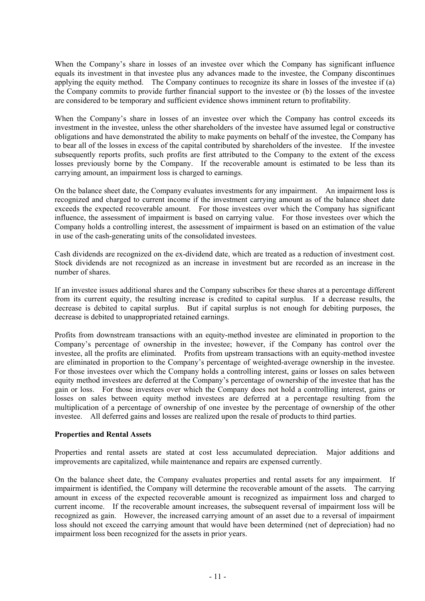When the Company's share in losses of an investee over which the Company has significant influence equals its investment in that investee plus any advances made to the investee, the Company discontinues applying the equity method. The Company continues to recognize its share in losses of the investee if (a) the Company commits to provide further financial support to the investee or (b) the losses of the investee are considered to be temporary and sufficient evidence shows imminent return to profitability.

When the Company's share in losses of an investee over which the Company has control exceeds its investment in the investee, unless the other shareholders of the investee have assumed legal or constructive obligations and have demonstrated the ability to make payments on behalf of the investee, the Company has to bear all of the losses in excess of the capital contributed by shareholders of the investee. If the investee subsequently reports profits, such profits are first attributed to the Company to the extent of the excess losses previously borne by the Company. If the recoverable amount is estimated to be less than its carrying amount, an impairment loss is charged to earnings.

On the balance sheet date, the Company evaluates investments for any impairment. An impairment loss is recognized and charged to current income if the investment carrying amount as of the balance sheet date exceeds the expected recoverable amount. For those investees over which the Company has significant influence, the assessment of impairment is based on carrying value. For those investees over which the Company holds a controlling interest, the assessment of impairment is based on an estimation of the value in use of the cash-generating units of the consolidated investees.

Cash dividends are recognized on the ex-dividend date, which are treated as a reduction of investment cost. Stock dividends are not recognized as an increase in investment but are recorded as an increase in the number of shares.

If an investee issues additional shares and the Company subscribes for these shares at a percentage different from its current equity, the resulting increase is credited to capital surplus. If a decrease results, the decrease is debited to capital surplus. But if capital surplus is not enough for debiting purposes, the decrease is debited to unappropriated retained earnings.

Profits from downstream transactions with an equity-method investee are eliminated in proportion to the Company's percentage of ownership in the investee; however, if the Company has control over the investee, all the profits are eliminated. Profits from upstream transactions with an equity-method investee are eliminated in proportion to the Company's percentage of weighted-average ownership in the investee. For those investees over which the Company holds a controlling interest, gains or losses on sales between equity method investees are deferred at the Company's percentage of ownership of the investee that has the gain or loss. For those investees over which the Company does not hold a controlling interest, gains or losses on sales between equity method investees are deferred at a percentage resulting from the multiplication of a percentage of ownership of one investee by the percentage of ownership of the other investee. All deferred gains and losses are realized upon the resale of products to third parties.

#### **Properties and Rental Assets**

Properties and rental assets are stated at cost less accumulated depreciation. Major additions and improvements are capitalized, while maintenance and repairs are expensed currently.

On the balance sheet date, the Company evaluates properties and rental assets for any impairment. If impairment is identified, the Company will determine the recoverable amount of the assets. The carrying amount in excess of the expected recoverable amount is recognized as impairment loss and charged to current income. If the recoverable amount increases, the subsequent reversal of impairment loss will be recognized as gain. However, the increased carrying amount of an asset due to a reversal of impairment loss should not exceed the carrying amount that would have been determined (net of depreciation) had no impairment loss been recognized for the assets in prior years.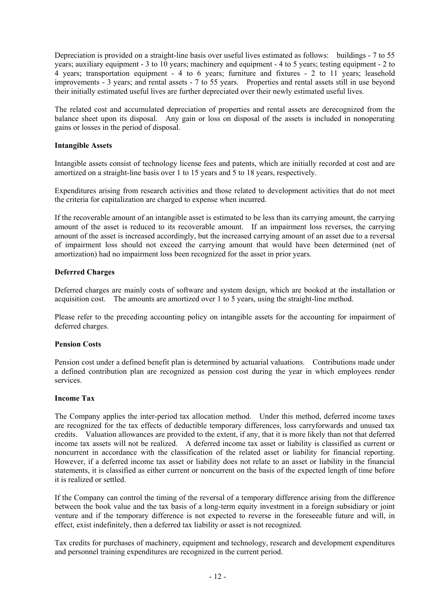Depreciation is provided on a straight-line basis over useful lives estimated as follows: buildings - 7 to 55 years; auxiliary equipment - 3 to 10 years; machinery and equipment - 4 to 5 years; testing equipment - 2 to 4 years; transportation equipment - 4 to 6 years; furniture and fixtures - 2 to 11 years; leasehold improvements - 3 years; and rental assets - 7 to 55 years. Properties and rental assets still in use beyond their initially estimated useful lives are further depreciated over their newly estimated useful lives.

The related cost and accumulated depreciation of properties and rental assets are derecognized from the balance sheet upon its disposal. Any gain or loss on disposal of the assets is included in nonoperating gains or losses in the period of disposal.

#### **Intangible Assets**

Intangible assets consist of technology license fees and patents, which are initially recorded at cost and are amortized on a straight-line basis over 1 to 15 years and 5 to 18 years, respectively.

Expenditures arising from research activities and those related to development activities that do not meet the criteria for capitalization are charged to expense when incurred.

If the recoverable amount of an intangible asset is estimated to be less than its carrying amount, the carrying amount of the asset is reduced to its recoverable amount. If an impairment loss reverses, the carrying amount of the asset is increased accordingly, but the increased carrying amount of an asset due to a reversal of impairment loss should not exceed the carrying amount that would have been determined (net of amortization) had no impairment loss been recognized for the asset in prior years.

#### **Deferred Charges**

Deferred charges are mainly costs of software and system design, which are booked at the installation or acquisition cost. The amounts are amortized over 1 to 5 years, using the straight-line method.

Please refer to the preceding accounting policy on intangible assets for the accounting for impairment of deferred charges.

#### **Pension Costs**

Pension cost under a defined benefit plan is determined by actuarial valuations. Contributions made under a defined contribution plan are recognized as pension cost during the year in which employees render services.

#### **Income Tax**

The Company applies the inter-period tax allocation method. Under this method, deferred income taxes are recognized for the tax effects of deductible temporary differences, loss carryforwards and unused tax credits. Valuation allowances are provided to the extent, if any, that it is more likely than not that deferred income tax assets will not be realized. A deferred income tax asset or liability is classified as current or noncurrent in accordance with the classification of the related asset or liability for financial reporting. However, if a deferred income tax asset or liability does not relate to an asset or liability in the financial statements, it is classified as either current or noncurrent on the basis of the expected length of time before it is realized or settled.

If the Company can control the timing of the reversal of a temporary difference arising from the difference between the book value and the tax basis of a long-term equity investment in a foreign subsidiary or joint venture and if the temporary difference is not expected to reverse in the foreseeable future and will, in effect, exist indefinitely, then a deferred tax liability or asset is not recognized.

Tax credits for purchases of machinery, equipment and technology, research and development expenditures and personnel training expenditures are recognized in the current period.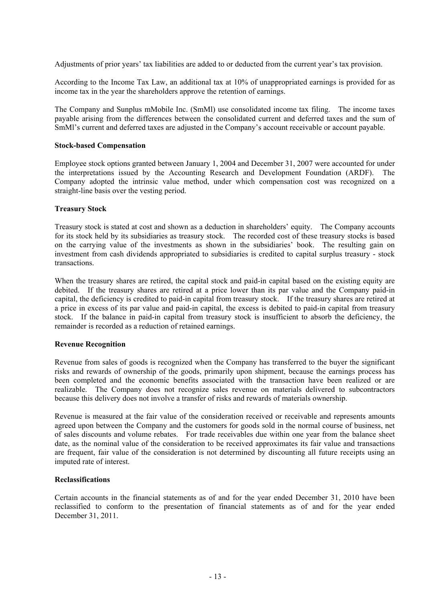Adjustments of prior years' tax liabilities are added to or deducted from the current year's tax provision.

According to the Income Tax Law, an additional tax at 10% of unappropriated earnings is provided for as income tax in the year the shareholders approve the retention of earnings.

The Company and Sunplus mMobile Inc. (SmMl) use consolidated income tax filing. The income taxes payable arising from the differences between the consolidated current and deferred taxes and the sum of SmMl's current and deferred taxes are adjusted in the Company's account receivable or account payable.

#### **Stock-based Compensation**

Employee stock options granted between January 1, 2004 and December 31, 2007 were accounted for under the interpretations issued by the Accounting Research and Development Foundation (ARDF). The Company adopted the intrinsic value method, under which compensation cost was recognized on a straight-line basis over the vesting period.

#### **Treasury Stock**

Treasury stock is stated at cost and shown as a deduction in shareholders' equity. The Company accounts for its stock held by its subsidiaries as treasury stock. The recorded cost of these treasury stocks is based on the carrying value of the investments as shown in the subsidiaries' book. The resulting gain on investment from cash dividends appropriated to subsidiaries is credited to capital surplus treasury - stock transactions.

When the treasury shares are retired, the capital stock and paid-in capital based on the existing equity are debited. If the treasury shares are retired at a price lower than its par value and the Company paid-in capital, the deficiency is credited to paid-in capital from treasury stock. If the treasury shares are retired at a price in excess of its par value and paid-in capital, the excess is debited to paid-in capital from treasury stock. If the balance in paid-in capital from treasury stock is insufficient to absorb the deficiency, the remainder is recorded as a reduction of retained earnings.

#### **Revenue Recognition**

Revenue from sales of goods is recognized when the Company has transferred to the buyer the significant risks and rewards of ownership of the goods, primarily upon shipment, because the earnings process has been completed and the economic benefits associated with the transaction have been realized or are realizable. The Company does not recognize sales revenue on materials delivered to subcontractors because this delivery does not involve a transfer of risks and rewards of materials ownership.

Revenue is measured at the fair value of the consideration received or receivable and represents amounts agreed upon between the Company and the customers for goods sold in the normal course of business, net of sales discounts and volume rebates. For trade receivables due within one year from the balance sheet date, as the nominal value of the consideration to be received approximates its fair value and transactions are frequent, fair value of the consideration is not determined by discounting all future receipts using an imputed rate of interest.

#### **Reclassifications**

Certain accounts in the financial statements as of and for the year ended December 31, 2010 have been reclassified to conform to the presentation of financial statements as of and for the year ended December 31, 2011.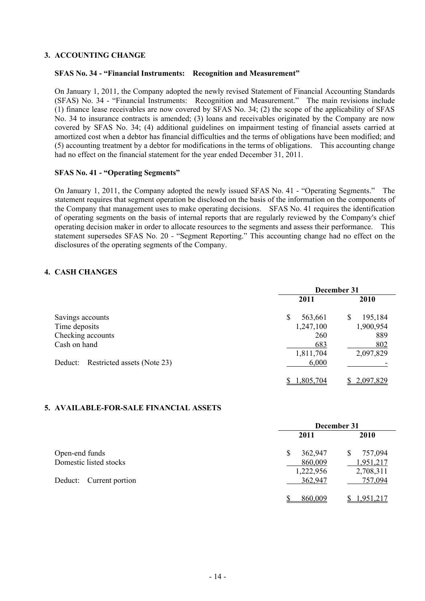### **3. ACCOUNTING CHANGE**

#### **SFAS No. 34 - "Financial Instruments: Recognition and Measurement"**

On January 1, 2011, the Company adopted the newly revised Statement of Financial Accounting Standards (SFAS) No. 34 - "Financial Instruments: Recognition and Measurement." The main revisions include (1) finance lease receivables are now covered by SFAS No. 34; (2) the scope of the applicability of SFAS No. 34 to insurance contracts is amended; (3) loans and receivables originated by the Company are now covered by SFAS No. 34; (4) additional guidelines on impairment testing of financial assets carried at amortized cost when a debtor has financial difficulties and the terms of obligations have been modified; and (5) accounting treatment by a debtor for modifications in the terms of obligations. This accounting change had no effect on the financial statement for the year ended December 31, 2011.

#### **SFAS No. 41 - "Operating Segments"**

On January 1, 2011, the Company adopted the newly issued SFAS No. 41 - "Operating Segments." The statement requires that segment operation be disclosed on the basis of the information on the components of the Company that management uses to make operating decisions. SFAS No. 41 requires the identification of operating segments on the basis of internal reports that are regularly reviewed by the Company's chief operating decision maker in order to allocate resources to the segments and assess their performance. This statement supersedes SFAS No. 20 - "Segment Reporting." This accounting change had no effect on the disclosures of the operating segments of the Company.

### **4. CASH CHANGES**

|                                        | December 31   |              |  |
|----------------------------------------|---------------|--------------|--|
|                                        | 2011          | <b>2010</b>  |  |
| Savings accounts                       | \$<br>563,661 | 195,184<br>S |  |
| Time deposits                          | 1,247,100     | 1,900,954    |  |
| Checking accounts                      | 260           | 889          |  |
| Cash on hand                           | 683           | 802          |  |
|                                        | 1,811,704     | 2,097,829    |  |
| Restricted assets (Note 23)<br>Deduct: | 6,000         |              |  |
|                                        | 1,805,704     | \$2,097,829  |  |

#### **5. AVAILABLE-FOR-SALE FINANCIAL ASSETS**

|                         | December 31  |              |  |  |
|-------------------------|--------------|--------------|--|--|
|                         | 2011         | <b>2010</b>  |  |  |
| Open-end funds          | 362,947<br>S | 757,094<br>S |  |  |
| Domestic listed stocks  | 860,009      | 1,951,217    |  |  |
|                         | 1,222,956    | 2,708,311    |  |  |
| Deduct: Current portion | 362,947      | 757,094      |  |  |
|                         | 860,009      | 1,951,217    |  |  |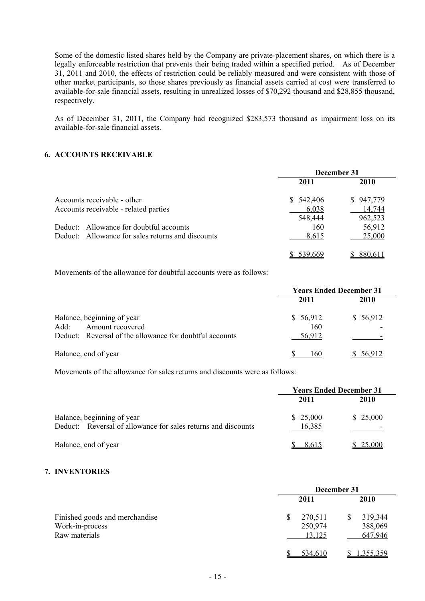Some of the domestic listed shares held by the Company are private-placement shares, on which there is a legally enforceable restriction that prevents their being traded within a specified period. As of December 31, 2011 and 2010, the effects of restriction could be reliably measured and were consistent with those of other market participants, so those shares previously as financial assets carried at cost were transferred to available-for-sale financial assets, resulting in unrealized losses of \$70,292 thousand and \$28,855 thousand, respectively.

As of December 31, 2011, the Company had recognized \$283,573 thousand as impairment loss on its available-for-sale financial assets.

#### **6. ACCOUNTS RECEIVABLE**

|                                                   |           | December 31 |
|---------------------------------------------------|-----------|-------------|
|                                                   | 2011      | <b>2010</b> |
| Accounts receivable - other                       | \$542,406 | \$947,779   |
| Accounts receivable - related parties             | 6,038     | 14,744      |
|                                                   | 548,444   | 962,523     |
| Deduct: Allowance for doubtful accounts           | 160       | 56,912      |
| Deduct: Allowance for sales returns and discounts | 8,615     | 25,000      |
|                                                   | 539.669   | 880,611     |

Movements of the allowance for doubtful accounts were as follows:

|                                                         |          | <b>Years Ended December 31</b> |
|---------------------------------------------------------|----------|--------------------------------|
|                                                         | 2011     | <b>2010</b>                    |
| Balance, beginning of year                              | \$56,912 | \$56,912                       |
| Amount recovered<br>Add:                                | 160      |                                |
| Deduct: Reversal of the allowance for doubtful accounts | 56,912   |                                |
| Balance, end of year                                    | l 60     | 56,912                         |

Movements of the allowance for sales returns and discounts were as follows:

|                                                                                             | <b>Years Ended December 31</b> |          |  |
|---------------------------------------------------------------------------------------------|--------------------------------|----------|--|
|                                                                                             | 2011                           | 2010     |  |
| Balance, beginning of year<br>Deduct: Reversal of allowance for sales returns and discounts | \$25,000<br>16,385             | \$25,000 |  |
| Balance, end of year                                                                        | 8.615                          | 25,000   |  |

#### **7. INVENTORIES**

|                                                                    | December 31                  |                               |  |  |
|--------------------------------------------------------------------|------------------------------|-------------------------------|--|--|
|                                                                    | 2011                         | 2010                          |  |  |
| Finished goods and merchandise<br>Work-in-process<br>Raw materials | 270,511<br>250,974<br>13,125 | 319,344<br>388,069<br>647,946 |  |  |
|                                                                    | 534,610                      | 1,355,359                     |  |  |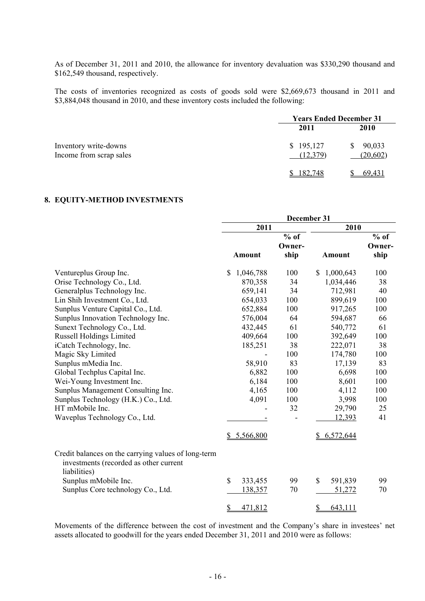As of December 31, 2011 and 2010, the allowance for inventory devaluation was \$330,290 thousand and \$162,549 thousand, respectively.

The costs of inventories recognized as costs of goods sold were \$2,669,673 thousand in 2011 and \$3,884,048 thousand in 2010, and these inventory costs included the following:

|                                                  | <b>Years Ended December 31</b> |                           |  |  |
|--------------------------------------------------|--------------------------------|---------------------------|--|--|
|                                                  | 2011                           | 2010                      |  |  |
| Inventory write-downs<br>Income from scrap sales | \$195,127<br>(12,379)          | 90,033<br>S.<br>(20, 602) |  |  |
|                                                  | 182,748                        | 69,431                    |  |  |

## **8. EQUITY-METHOD INVESTMENTS**

|                                                                                                               | December 31     |        |                           |        |
|---------------------------------------------------------------------------------------------------------------|-----------------|--------|---------------------------|--------|
|                                                                                                               | 2011            |        | 2010                      |        |
|                                                                                                               |                 | $%$ of |                           | $%$ of |
|                                                                                                               |                 | Owner- |                           | Owner- |
|                                                                                                               | <b>Amount</b>   | ship   | <b>Amount</b>             | ship   |
| Ventureplus Group Inc.                                                                                        | \$<br>1,046,788 | 100    | $\mathbb{S}$<br>1,000,643 | 100    |
| Orise Technology Co., Ltd.                                                                                    | 870,358         | 34     | 1,034,446                 | 38     |
| Generalplus Technology Inc.                                                                                   | 659,141         | 34     | 712,981                   | 40     |
| Lin Shih Investment Co., Ltd.                                                                                 | 654,033         | 100    | 899,619                   | 100    |
| Sunplus Venture Capital Co., Ltd.                                                                             | 652,884         | 100    | 917,265                   | 100    |
| Sunplus Innovation Technology Inc.                                                                            | 576,004         | 64     | 594,687                   | 66     |
| Sunext Technology Co., Ltd.                                                                                   | 432,445         | 61     | 540,772                   | 61     |
| <b>Russell Holdings Limited</b>                                                                               | 409,664         | 100    | 392,649                   | 100    |
| iCatch Technology, Inc.                                                                                       | 185,251         | 38     | 222,071                   | 38     |
| Magic Sky Limited                                                                                             |                 | 100    | 174,780                   | 100    |
| Sunplus mMedia Inc.                                                                                           | 58,910          | 83     | 17,139                    | 83     |
| Global Techplus Capital Inc.                                                                                  | 6,882           | 100    | 6,698                     | 100    |
| Wei-Young Investment Inc.                                                                                     | 6,184           | 100    | 8,601                     | 100    |
| Sunplus Management Consulting Inc.                                                                            | 4,165           | 100    | 4,112                     | 100    |
| Sunplus Technology (H.K.) Co., Ltd.                                                                           | 4,091           | 100    | 3,998                     | 100    |
| HT mMobile Inc.                                                                                               |                 | 32     | 29,790                    | 25     |
| Waveplus Technology Co., Ltd.                                                                                 |                 |        | 12,393                    | 41     |
|                                                                                                               | \$5,566,800     |        | \$6,572,644               |        |
| Credit balances on the carrying values of long-term<br>investments (recorded as other current<br>liabilities) |                 |        |                           |        |
| Sunplus mMobile Inc.                                                                                          | \$<br>333,455   | 99     | \$<br>591,839             | 99     |
| Sunplus Core technology Co., Ltd.                                                                             | 138,357         | 70     | 51,272                    | 70     |
|                                                                                                               | \$<br>471,812   |        | \$<br>643,111             |        |

Movements of the difference between the cost of investment and the Company's share in investees' net assets allocated to goodwill for the years ended December 31, 2011 and 2010 were as follows: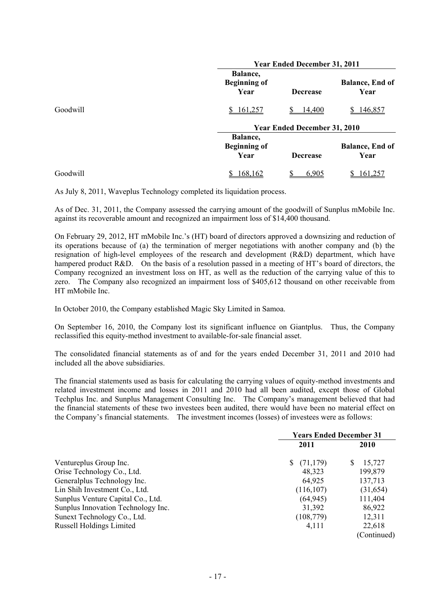|          |                                         | <b>Year Ended December 31, 2011</b> |                                |  |  |
|----------|-----------------------------------------|-------------------------------------|--------------------------------|--|--|
|          | Balance,<br><b>Beginning of</b><br>Year | <b>Decrease</b>                     | <b>Balance, End of</b><br>Year |  |  |
| Goodwill | 161,257                                 | 14,400                              | 146,857                        |  |  |
|          |                                         | <b>Year Ended December 31, 2010</b> |                                |  |  |
|          | Balance,<br><b>Beginning of</b><br>Year | <b>Decrease</b>                     | <b>Balance, End of</b><br>Year |  |  |
| Goodwill | 168,162                                 | 6,905                               | <u>161,25</u>                  |  |  |

As July 8, 2011, Waveplus Technology completed its liquidation process.

As of Dec. 31, 2011, the Company assessed the carrying amount of the goodwill of Sunplus mMobile Inc. against its recoverable amount and recognized an impairment loss of \$14,400 thousand.

On February 29, 2012, HT mMobile Inc.'s (HT) board of directors approved a downsizing and reduction of its operations because of (a) the termination of merger negotiations with another company and (b) the resignation of high-level employees of the research and development (R&D) department, which have hampered product R&D. On the basis of a resolution passed in a meeting of HT's board of directors, the Company recognized an investment loss on HT, as well as the reduction of the carrying value of this to zero. The Company also recognized an impairment loss of \$405,612 thousand on other receivable from HT mMobile Inc.

In October 2010, the Company established Magic Sky Limited in Samoa.

On September 16, 2010, the Company lost its significant influence on Giantplus. Thus, the Company reclassified this equity-method investment to available-for-sale financial asset.

The consolidated financial statements as of and for the years ended December 31, 2011 and 2010 had included all the above subsidiaries.

The financial statements used as basis for calculating the carrying values of equity-method investments and related investment income and losses in 2011 and 2010 had all been audited, except those of Global Techplus Inc. and Sunplus Management Consulting Inc. The Company's management believed that had the financial statements of these two investees been audited, there would have been no material effect on the Company's financial statements. The investment incomes (losses) of investees were as follows:

|                                    | <b>Years Ended December 31</b> |              |  |
|------------------------------------|--------------------------------|--------------|--|
|                                    | 2011                           | <b>2010</b>  |  |
| Ventureplus Group Inc.             | (71, 179)<br>S.                | 15,727<br>S. |  |
| Orise Technology Co., Ltd.         | 48,323                         | 199,879      |  |
| Generalplus Technology Inc.        | 64,925                         | 137,713      |  |
| Lin Shih Investment Co., Ltd.      | (116, 107)                     | (31, 654)    |  |
| Sunplus Venture Capital Co., Ltd.  | (64, 945)                      | 111,404      |  |
| Sunplus Innovation Technology Inc. | 31,392                         | 86,922       |  |
| Sunext Technology Co., Ltd.        | (108, 779)                     | 12,311       |  |
| <b>Russell Holdings Limited</b>    | 4,111                          | 22,618       |  |
|                                    |                                | (Continued)  |  |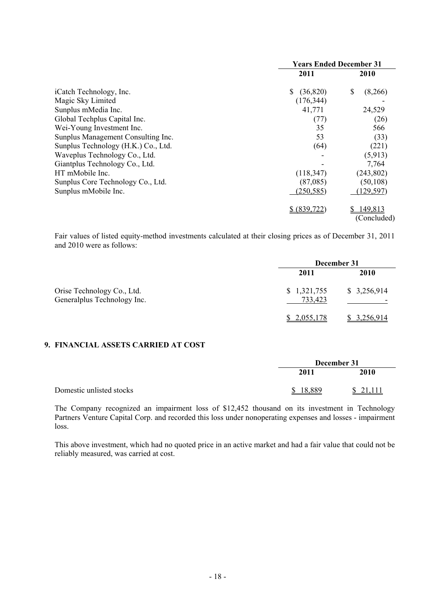|                                     | <b>Years Ended December 31</b> |               |  |
|-------------------------------------|--------------------------------|---------------|--|
|                                     | 2011                           | 2010          |  |
| iCatch Technology, Inc.             | (36, 820)                      | \$<br>(8,266) |  |
| Magic Sky Limited                   | (176, 344)                     |               |  |
| Sunplus mMedia Inc.                 | 41,771                         | 24,529        |  |
| Global Techplus Capital Inc.        | (77)                           | (26)          |  |
| Wei-Young Investment Inc.           | 35                             | 566           |  |
| Sunplus Management Consulting Inc.  | 53                             | (33)          |  |
| Sunplus Technology (H.K.) Co., Ltd. | (64)                           | (221)         |  |
| Waveplus Technology Co., Ltd.       |                                | (5,913)       |  |
| Giantplus Technology Co., Ltd.      |                                | 7,764         |  |
| HT mMobile Inc.                     | (118, 347)                     | (243, 802)    |  |
| Sunplus Core Technology Co., Ltd.   | (87,085)                       | (50, 108)     |  |
| Sunplus mMobile Inc.                | (250, 585)                     | (129, 597)    |  |
|                                     | \$ (839,722)                   | 149,813<br>S  |  |
|                                     |                                | (Concluded)   |  |

Fair values of listed equity-method investments calculated at their closing prices as of December 31, 2011 and 2010 were as follows:

|                                                           | December 31            |             |  |
|-----------------------------------------------------------|------------------------|-------------|--|
|                                                           | 2011                   | 2010        |  |
| Orise Technology Co., Ltd.<br>Generalplus Technology Inc. | \$1,321,755<br>733,423 | \$3,256,914 |  |
|                                                           | \$2,055,178            | \$3,256,914 |  |

### **9. FINANCIAL ASSETS CARRIED AT COST**

|                          | December 31 |          |
|--------------------------|-------------|----------|
|                          | 2011        | 2010     |
| Domestic unlisted stocks | 18.889<br>¢ | \$21,111 |

The Company recognized an impairment loss of \$12,452 thousand on its investment in Technology Partners Venture Capital Corp. and recorded this loss under nonoperating expenses and losses - impairment loss.

This above investment, which had no quoted price in an active market and had a fair value that could not be reliably measured, was carried at cost.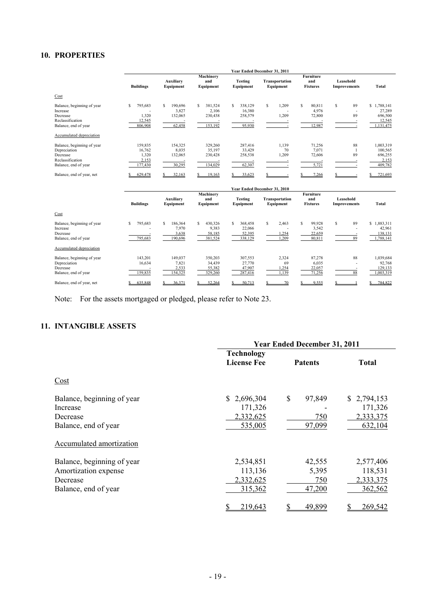## **10. PROPERTIES**

|                                                                                                    |                                                | Year Ended December 31, 2011               |                                             |                                             |                                    |                                            |                                           |                                                             |
|----------------------------------------------------------------------------------------------------|------------------------------------------------|--------------------------------------------|---------------------------------------------|---------------------------------------------|------------------------------------|--------------------------------------------|-------------------------------------------|-------------------------------------------------------------|
|                                                                                                    | <b>Buildings</b>                               | Auxiliary<br>Equipment                     | Machinery<br>and<br>Equipment               | <b>Testing</b><br>Equipment                 | <b>Transportation</b><br>Equipment | <b>Furniture</b><br>and<br><b>Fixtures</b> | Leasehold<br><b>Improvements</b>          | Total                                                       |
| Cost                                                                                               |                                                |                                            |                                             |                                             |                                    |                                            |                                           |                                                             |
| Balance, beginning of year<br>Increase<br>Decrease<br>Reclassification<br>Balance, end of year     | S<br>795,683<br>1,320<br>12,545<br>806,908     | S<br>190,696<br>3,827<br>132,065<br>62,458 | S<br>381,524<br>2,106<br>230,438<br>153,192 | 338,129<br>S<br>16,380<br>258,579<br>95,930 | S<br>1,209<br>1,209                | \$.<br>80,811<br>4,976<br>72,800<br>12,987 | S<br>89<br>$\overline{\phantom{0}}$<br>89 | 1,788,141<br>\$<br>27,289<br>696,500<br>12,545<br>1,131,475 |
| Accumulated depreciation                                                                           |                                                |                                            |                                             |                                             |                                    |                                            |                                           |                                                             |
| Balance, beginning of year<br>Depreciation<br>Decrease<br>Reclassification<br>Balance, end of year | 159,835<br>16,762<br>1,320<br>2,153<br>177,430 | 154,325<br>8,035<br>132,065<br>30,295      | 329,260<br>35,197<br>230,428<br>134,029     | 287,416<br>33,429<br>258,538<br>62,307      | 1,139<br>70<br>1,209               | 71,256<br>7,071<br>72,606<br>5,721         | 88<br>89                                  | 1,003,319<br>100,565<br>696,255<br>2,153<br>409,782         |
| Balance, end of year, net                                                                          | 629.478                                        | 32,163<br>\$.                              | 19,163                                      | 33.623                                      | Voor Ended December 31, 2010       | 7.266                                      |                                           | 721,693                                                     |

|                                                                                |                              | Year Ended December 31, 2010         |                                            |                                        |                               |                                            |                           |                                             |
|--------------------------------------------------------------------------------|------------------------------|--------------------------------------|--------------------------------------------|----------------------------------------|-------------------------------|--------------------------------------------|---------------------------|---------------------------------------------|
|                                                                                | <b>Buildings</b>             | Auxiliary<br>Equipment               | Machinery<br>and<br>Equipment              | <b>Testing</b><br>Equipment            | Transportation<br>Equipment   | <b>Furniture</b><br>and<br><b>Fixtures</b> | Leasehold<br>Improvements | Total                                       |
| Cost                                                                           |                              |                                      |                                            |                                        |                               |                                            |                           |                                             |
| Balance, beginning of year<br>Increase<br>Decrease<br>Balance, end of year     | 795,683<br>s<br>795,683      | 186,364<br>7,970<br>3,638<br>190,696 | S<br>430,326<br>9,383<br>58,185<br>381,524 | 368,458<br>22,066<br>52,395<br>338,129 | S<br>2,463<br>1,254<br>1,209  | 99,928<br>S<br>3,542<br>22,659<br>80,811   | S<br>89<br>89             | .883,311<br>42,961<br>138,131<br>1,788,141  |
| Accumulated depreciation                                                       |                              |                                      |                                            |                                        |                               |                                            |                           |                                             |
| Balance, beginning of year<br>Depreciation<br>Decrease<br>Balance, end of year | 143,201<br>16,634<br>159,835 | 149,037<br>7,821<br>2,533<br>154,325 | 350,203<br>34,439<br>55,382<br>329,260     | 307,553<br>27,770<br>47,907<br>287,416 | 2,324<br>69<br>1,254<br>1,139 | 87,278<br>6,035<br>22,057<br>71,256        | 88<br>88                  | 1,039,684<br>92,768<br>129,133<br>1,003,319 |
| Balance, end of year, net                                                      | 635.848                      | 36.371                               | 52,264                                     | 50.713                                 | 70                            | 9.555                                      |                           | 784.822                                     |

Note: For the assets mortgaged or pledged, please refer to Note 23.

# **11. INTANGIBLE ASSETS**

|                                                                                        | <b>Year Ended December 31, 2011</b>            |                                  |                                                |  |  |
|----------------------------------------------------------------------------------------|------------------------------------------------|----------------------------------|------------------------------------------------|--|--|
|                                                                                        | <b>Technology</b><br><b>License Fee</b>        | <b>Patents</b>                   | <b>Total</b>                                   |  |  |
| Cost                                                                                   |                                                |                                  |                                                |  |  |
| Balance, beginning of year<br>Increase<br>Decrease<br>Balance, end of year             | \$2,696,304<br>171,326<br>2,332,625<br>535,005 | \$<br>97,849<br>750<br>97,099    | \$2,794,153<br>171,326<br>2,333,375<br>632,104 |  |  |
| Accumulated amortization                                                               |                                                |                                  |                                                |  |  |
| Balance, beginning of year<br>Amortization expense<br>Decrease<br>Balance, end of year | 2,534,851<br>113,136<br>2,332,625<br>315,362   | 42,555<br>5,395<br>750<br>47,200 | 2,577,406<br>118,531<br>2,333,375<br>362,562   |  |  |
|                                                                                        | 219,643                                        | 49,899                           | 269,542                                        |  |  |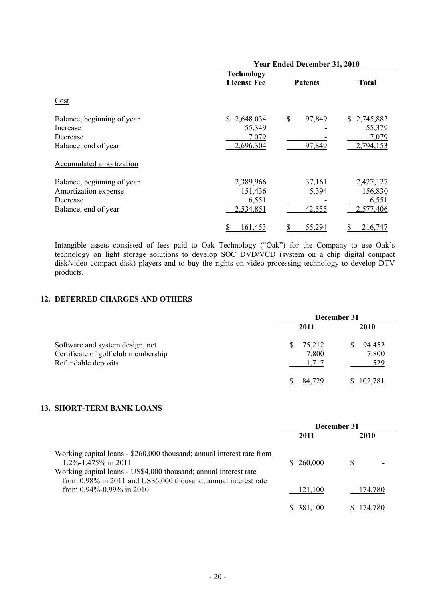|                            |                    | <b>Year Ended December 31, 2010</b> |              |
|----------------------------|--------------------|-------------------------------------|--------------|
|                            | <b>Technology</b>  |                                     |              |
|                            | <b>License Fee</b> | <b>Patents</b>                      | <b>Total</b> |
| Cost                       |                    |                                     |              |
| Balance, beginning of year | \$2,648,034        | \$<br>97,849                        | \$2,745,883  |
| Increase                   | 55,349             |                                     | 55,379       |
| Decrease                   | 7,079              |                                     | 7,079        |
| Balance, end of year       | 2,696,304          | 97,849                              | 2,794,153    |
| Accumulated amortization   |                    |                                     |              |
| Balance, beginning of year | 2,389,966          | 37,161                              | 2,427,127    |
| Amortization expense       | 151,436            | 5,394                               | 156,830      |
| Decrease                   | 6,551              |                                     | 6,551        |
| Balance, end of year       | 2,534,851          | 42,555                              | 2,577,406    |
|                            | \$<br>161,453      | 55,294<br>\$                        | 216,747<br>S |

Intangible assets consisted of fees paid to Oak Technology ("Oak") for the Company to use Oak's technology on light storage solutions to develop SOC DVD/VCD (system on a chip digital compact disk/video compact disk) players and to buy the rights on video processing technology to develop DTV products.

## **12. DEFERRED CHARGES AND OTHERS**

|                                                                                               | December 31                    |                        |  |  |
|-----------------------------------------------------------------------------------------------|--------------------------------|------------------------|--|--|
|                                                                                               | 2011                           | <b>2010</b>            |  |  |
| Software and system design, net<br>Certificate of golf club membership<br>Refundable deposits | 75,212<br>S.<br>7,800<br>1,717 | 94,452<br>7,800<br>529 |  |  |
|                                                                                               | 84 729                         | 102,781                |  |  |

### **13. SHORT-TERM BANK LOANS**

|                                                                                                                                                                                                                                           | December 31 |         |  |
|-------------------------------------------------------------------------------------------------------------------------------------------------------------------------------------------------------------------------------------------|-------------|---------|--|
|                                                                                                                                                                                                                                           | 2011        | 2010    |  |
| Working capital loans - \$260,000 thousand; annual interest rate from<br>$1.2\% - 1.475\%$ in 2011<br>Working capital loans - US\$4,000 thousand; annual interest rate<br>from 0.98% in 2011 and US\$6,000 thousand; annual interest rate | \$260,000   |         |  |
| from $0.94\%$ -0.99% in 2010                                                                                                                                                                                                              | 121.100     | 174.780 |  |
|                                                                                                                                                                                                                                           | 381,100     | 174.780 |  |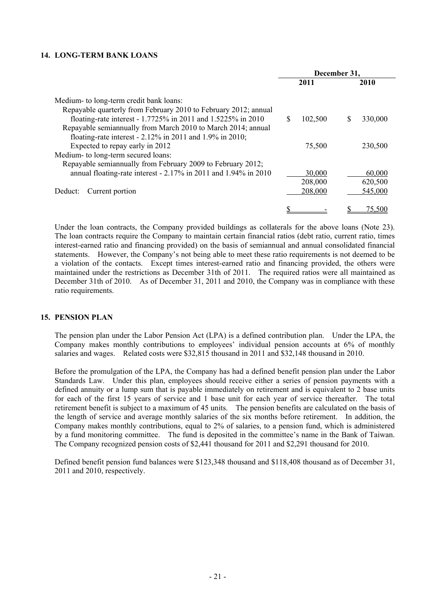#### **14. LONG-TERM BANK LOANS**

|                                                                 | December 31,  |         |
|-----------------------------------------------------------------|---------------|---------|
|                                                                 | 2011          | 2010    |
| Medium- to long-term credit bank loans:                         |               |         |
| Repayable quarterly from February 2010 to February 2012; annual |               |         |
| floating-rate interest - 1.7725% in 2011 and 1.5225% in 2010    | \$<br>102,500 | 330,000 |
| Repayable semiannually from March 2010 to March 2014; annual    |               |         |
| floating-rate interest - $2.12\%$ in 2011 and 1.9% in 2010;     |               |         |
| Expected to repay early in 2012                                 | 75,500        | 230,500 |
| Medium- to long-term secured loans:                             |               |         |
| Repayable semiannually from February 2009 to February 2012;     |               |         |
| annual floating-rate interest - 2.17% in 2011 and 1.94% in 2010 | 30,000        | 60,000  |
|                                                                 | 208,000       | 620,500 |
| Current portion<br>Deduct:                                      | 208,000       | 545,000 |
|                                                                 |               |         |
|                                                                 |               | 75,500  |

Under the loan contracts, the Company provided buildings as collaterals for the above loans (Note 23). The loan contracts require the Company to maintain certain financial ratios (debt ratio, current ratio, times interest-earned ratio and financing provided) on the basis of semiannual and annual consolidated financial statements. However, the Company's not being able to meet these ratio requirements is not deemed to be a violation of the contacts. Except times interest-earned ratio and financing provided, the others were maintained under the restrictions as December 31th of 2011. The required ratios were all maintained as December 31th of 2010. As of December 31, 2011 and 2010, the Company was in compliance with these ratio requirements.

#### **15. PENSION PLAN**

The pension plan under the Labor Pension Act (LPA) is a defined contribution plan. Under the LPA, the Company makes monthly contributions to employees' individual pension accounts at 6% of monthly salaries and wages. Related costs were \$32,815 thousand in 2011 and \$32,148 thousand in 2010.

Before the promulgation of the LPA, the Company has had a defined benefit pension plan under the Labor Standards Law. Under this plan, employees should receive either a series of pension payments with a defined annuity or a lump sum that is payable immediately on retirement and is equivalent to 2 base units for each of the first 15 years of service and 1 base unit for each year of service thereafter. The total retirement benefit is subject to a maximum of 45 units. The pension benefits are calculated on the basis of the length of service and average monthly salaries of the six months before retirement. In addition, the Company makes monthly contributions, equal to 2% of salaries, to a pension fund, which is administered by a fund monitoring committee. The fund is deposited in the committee's name in the Bank of Taiwan. The Company recognized pension costs of \$2,441 thousand for 2011 and \$2,291 thousand for 2010.

Defined benefit pension fund balances were \$123,348 thousand and \$118,408 thousand as of December 31, 2011 and 2010, respectively.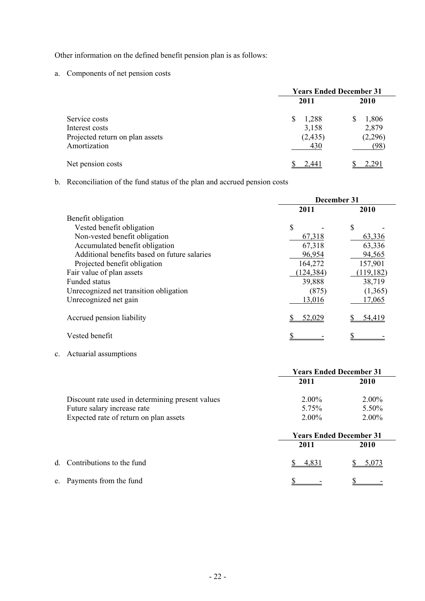Other information on the defined benefit pension plan is as follows:

a. Components of net pension costs

|                                                   | <b>Years Ended December 31</b> |                  |  |  |
|---------------------------------------------------|--------------------------------|------------------|--|--|
|                                                   | 2011                           | <b>2010</b>      |  |  |
| Service costs                                     | 1,288<br>S                     | 1,806            |  |  |
| Interest costs<br>Projected return on plan assets | 3,158<br>(2, 435)              | 2,879<br>(2,296) |  |  |
| Amortization                                      | 430                            | (98)             |  |  |
| Net pension costs                                 | 2.441                          | 2,291            |  |  |

b. Reconciliation of the fund status of the plan and accrued pension costs

|                                              | December 31 |            |  |  |
|----------------------------------------------|-------------|------------|--|--|
|                                              | 2011        | 2010       |  |  |
| Benefit obligation                           |             |            |  |  |
| Vested benefit obligation                    | \$          | \$.        |  |  |
| Non-vested benefit obligation                | 67,318      | 63,336     |  |  |
| Accumulated benefit obligation               | 67,318      | 63,336     |  |  |
| Additional benefits based on future salaries | 96,954      | 94,565     |  |  |
| Projected benefit obligation                 | 164,272     | 157,901    |  |  |
| Fair value of plan assets                    | (124, 384)  | (119, 182) |  |  |
| <b>Funded status</b>                         | 39,888      | 38,719     |  |  |
| Unrecognized net transition obligation       | (875)       | (1,365)    |  |  |
| Unrecognized net gain                        | 13,016      | 17,065     |  |  |
| Accrued pension liability                    | 52,029      | 54,419     |  |  |
| Vested benefit                               |             |            |  |  |

c. Actuarial assumptions

|                                                  | <b>Years Ended December 31</b> |             |  |  |
|--------------------------------------------------|--------------------------------|-------------|--|--|
|                                                  | 2011                           | 2010        |  |  |
| Discount rate used in determining present values | $2.00\%$                       | $2.00\%$    |  |  |
| Future salary increase rate                      | 5.75%                          | 5.50%       |  |  |
| Expected rate of return on plan assets           | $2.00\%$                       | $2.00\%$    |  |  |
|                                                  | <b>Years Ended December 31</b> |             |  |  |
|                                                  | 2011                           | <b>2010</b> |  |  |
| d. Contributions to the fund                     | 4.831                          | 5.073       |  |  |
| e. Payments from the fund                        |                                |             |  |  |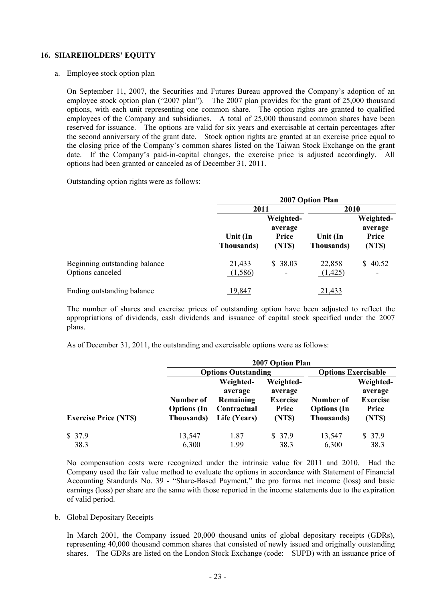#### **16. SHAREHOLDERS' EQUITY**

a. Employee stock option plan

On September 11, 2007, the Securities and Futures Bureau approved the Company's adoption of an employee stock option plan ("2007 plan"). The 2007 plan provides for the grant of 25,000 thousand options, with each unit representing one common share. The option rights are granted to qualified employees of the Company and subsidiaries. A total of 25,000 thousand common shares have been reserved for issuance. The options are valid for six years and exercisable at certain percentages after the second anniversary of the grant date. Stock option rights are granted at an exercise price equal to the closing price of the Company's common shares listed on the Taiwan Stock Exchange on the grant date. If the Company's paid-in-capital changes, the exercise price is adjusted accordingly. All options had been granted or canceled as of December 31, 2011.

Outstanding option rights were as follows:

|                                                   |                        | 2007 Option Plan                        |                                |                                        |  |
|---------------------------------------------------|------------------------|-----------------------------------------|--------------------------------|----------------------------------------|--|
|                                                   |                        | 2011                                    |                                | 2010                                   |  |
|                                                   | Unit (In<br>Thousands) | Weighted-<br>average<br>Price<br>(NT\$) | Unit (In<br><b>Thousands</b> ) | Weighted-<br>average<br>Price<br>(NTS) |  |
| Beginning outstanding balance<br>Options canceled | 21,433<br>(1,586)      | \$38.03                                 | 22,858<br>(1,425)              | \$40.52<br>$\overline{\phantom{a}}$    |  |
| Ending outstanding balance                        | 19,847                 |                                         | 21,433                         |                                        |  |

The number of shares and exercise prices of outstanding option have been adjusted to reflect the appropriations of dividends, cash dividends and issuance of capital stock specified under the 2007 plans.

As of December 31, 2011, the outstanding and exercisable options were as follows:

|                             |                                               | <b>2007 Option Plan</b>                                          |                                                           |                                               |                                                            |  |  |
|-----------------------------|-----------------------------------------------|------------------------------------------------------------------|-----------------------------------------------------------|-----------------------------------------------|------------------------------------------------------------|--|--|
|                             |                                               | <b>Options Outstanding</b>                                       |                                                           | <b>Options Exercisable</b>                    |                                                            |  |  |
| <b>Exercise Price (NTS)</b> | Number of<br><b>Options</b> (In<br>Thousands) | Weighted-<br>average<br>Remaining<br>Contractual<br>Life (Years) | Weighted-<br>average<br><b>Exercise</b><br>Price<br>(NTS) | Number of<br><b>Options</b> (In<br>Thousands) | Weighted-<br>average<br><b>Exercise</b><br>Price<br>(NT\$) |  |  |
| \$37.9<br>38.3              | 13,547<br>6,300                               | 1.87<br>1.99                                                     | \$37.9<br>38.3                                            | 13,547<br>6,300                               | \$37.9<br>38.3                                             |  |  |

No compensation costs were recognized under the intrinsic value for 2011 and 2010. Had the Company used the fair value method to evaluate the options in accordance with Statement of Financial Accounting Standards No. 39 - "Share-Based Payment," the pro forma net income (loss) and basic earnings (loss) per share are the same with those reported in the income statements due to the expiration of valid period.

b. Global Depositary Receipts

In March 2001, the Company issued 20,000 thousand units of global depositary receipts (GDRs), representing 40,000 thousand common shares that consisted of newly issued and originally outstanding shares. The GDRs are listed on the London Stock Exchange (code: SUPD) with an issuance price of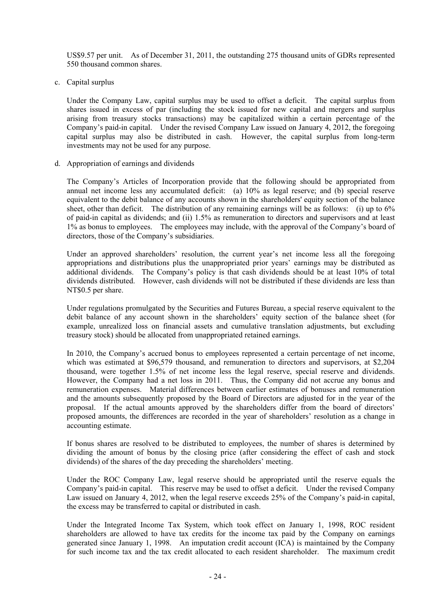US\$9.57 per unit. As of December 31, 2011, the outstanding 275 thousand units of GDRs represented 550 thousand common shares.

c. Capital surplus

Under the Company Law, capital surplus may be used to offset a deficit. The capital surplus from shares issued in excess of par (including the stock issued for new capital and mergers and surplus arising from treasury stocks transactions) may be capitalized within a certain percentage of the Company's paid-in capital. Under the revised Company Law issued on January 4, 2012, the foregoing capital surplus may also be distributed in cash. However, the capital surplus from long-term investments may not be used for any purpose.

d. Appropriation of earnings and dividends

The Company's Articles of Incorporation provide that the following should be appropriated from annual net income less any accumulated deficit: (a) 10% as legal reserve; and (b) special reserve equivalent to the debit balance of any accounts shown in the shareholders' equity section of the balance sheet, other than deficit. The distribution of any remaining earnings will be as follows: (i) up to 6% of paid-in capital as dividends; and (ii) 1.5% as remuneration to directors and supervisors and at least 1% as bonus to employees. The employees may include, with the approval of the Company's board of directors, those of the Company's subsidiaries.

Under an approved shareholders' resolution, the current year's net income less all the foregoing appropriations and distributions plus the unappropriated prior years' earnings may be distributed as additional dividends. The Company's policy is that cash dividends should be at least 10% of total dividends distributed. However, cash dividends will not be distributed if these dividends are less than NT\$0.5 per share.

Under regulations promulgated by the Securities and Futures Bureau, a special reserve equivalent to the debit balance of any account shown in the shareholders' equity section of the balance sheet (for example, unrealized loss on financial assets and cumulative translation adjustments, but excluding treasury stock) should be allocated from unappropriated retained earnings.

In 2010, the Company's accrued bonus to employees represented a certain percentage of net income, which was estimated at \$96,579 thousand, and remuneration to directors and supervisors, at \$2,204 thousand, were together 1.5% of net income less the legal reserve, special reserve and dividends. However, the Company had a net loss in 2011. Thus, the Company did not accrue any bonus and remuneration expenses. Material differences between earlier estimates of bonuses and remuneration and the amounts subsequently proposed by the Board of Directors are adjusted for in the year of the proposal. If the actual amounts approved by the shareholders differ from the board of directors' proposed amounts, the differences are recorded in the year of shareholders' resolution as a change in accounting estimate.

If bonus shares are resolved to be distributed to employees, the number of shares is determined by dividing the amount of bonus by the closing price (after considering the effect of cash and stock dividends) of the shares of the day preceding the shareholders' meeting.

Under the ROC Company Law, legal reserve should be appropriated until the reserve equals the Company's paid-in capital. This reserve may be used to offset a deficit. Under the revised Company Law issued on January 4, 2012, when the legal reserve exceeds 25% of the Company's paid-in capital, the excess may be transferred to capital or distributed in cash.

Under the Integrated Income Tax System, which took effect on January 1, 1998, ROC resident shareholders are allowed to have tax credits for the income tax paid by the Company on earnings generated since January 1, 1998. An imputation credit account (ICA) is maintained by the Company for such income tax and the tax credit allocated to each resident shareholder. The maximum credit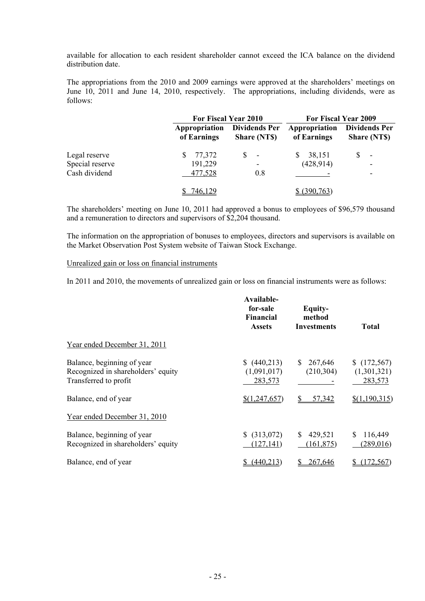available for allocation to each resident shareholder cannot exceed the ICA balance on the dividend distribution date.

The appropriations from the 2010 and 2009 earnings were approved at the shareholders' meetings on June 10, 2011 and June 14, 2010, respectively. The appropriations, including dividends, were as follows:

|                                                   |                                   | For Fiscal Year 2010                       | For Fiscal Year 2009         |                                            |  |
|---------------------------------------------------|-----------------------------------|--------------------------------------------|------------------------------|--------------------------------------------|--|
|                                                   | Appropriation<br>of Earnings      | <b>Dividends Per</b><br><b>Share (NTS)</b> | Appropriation<br>of Earnings | <b>Dividends Per</b><br><b>Share (NTS)</b> |  |
| Legal reserve<br>Special reserve<br>Cash dividend | 77,372<br>S<br>191,229<br>477,528 | \$<br>$\overline{\phantom{a}}$<br>۰<br>0.8 | 38,151<br>S<br>(428, 914)    | $\overline{\phantom{a}}$<br>۰<br>۰         |  |
|                                                   | 746,129                           |                                            | (390, 763)                   |                                            |  |

The shareholders' meeting on June 10, 2011 had approved a bonus to employees of \$96,579 thousand and a remuneration to directors and supervisors of \$2,204 thousand.

The information on the appropriation of bonuses to employees, directors and supervisors is available on the Market Observation Post System website of Taiwan Stock Exchange.

#### Unrealized gain or loss on financial instruments

In 2011 and 2010, the movements of unrealized gain or loss on financial instruments were as follows:

|                                                                                           | Available-<br>for-sale<br><b>Financial</b><br><b>Assets</b> | <b>Equity-</b><br>method<br><b>Investments</b> | <b>Total</b>                         |
|-------------------------------------------------------------------------------------------|-------------------------------------------------------------|------------------------------------------------|--------------------------------------|
| Year ended December 31, 2011                                                              |                                                             |                                                |                                      |
| Balance, beginning of year<br>Recognized in shareholders' equity<br>Transferred to profit | (440,213)<br>(1,091,017)<br>283,573                         | 267,646<br>S<br>(210, 304)                     | (172, 567)<br>(1,301,321)<br>283,573 |
| Balance, end of year                                                                      | \$(1,247,657)                                               | 57,342                                         | \$(1,190,315)                        |
| Year ended December 31, 2010                                                              |                                                             |                                                |                                      |
| Balance, beginning of year<br>Recognized in shareholders' equity                          | (313,072)<br>S.<br>(127, 141)                               | 429,521<br>S<br>(161, 875)                     | 116,449<br>S.<br>(289,016)           |
| Balance, end of year                                                                      | (440, 213)                                                  | 267,646                                        | 72,567                               |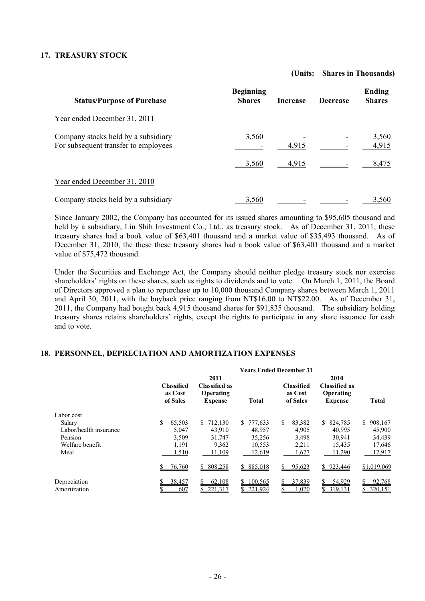#### **17. TREASURY STOCK**

#### **(Units: Shares in Thousands)**

| <b>Status/Purpose of Purchase</b>                                           | <b>Beginning</b><br><b>Shares</b> | <b>Increase</b> | <b>Decrease</b> | Ending<br><b>Shares</b> |
|-----------------------------------------------------------------------------|-----------------------------------|-----------------|-----------------|-------------------------|
| Year ended December 31, 2011                                                |                                   |                 |                 |                         |
| Company stocks held by a subsidiary<br>For subsequent transfer to employees | 3,560                             | 4,915           |                 | 3,560<br>4,915          |
|                                                                             | <u>3.560</u>                      | 4.915           |                 | 8.475                   |
| Year ended December 31, 2010                                                |                                   |                 |                 |                         |
| Company stocks held by a subsidiary                                         | 3,560                             |                 |                 | 3,560                   |

Since January 2002, the Company has accounted for its issued shares amounting to \$95,605 thousand and held by a subsidiary, Lin Shih Investment Co., Ltd., as treasury stock. As of December 31, 2011, these treasury shares had a book value of \$63,401 thousand and a market value of \$35,493 thousand. As of December 31, 2010, the these these treasury shares had a book value of \$63,401 thousand and a market value of \$75,472 thousand.

Under the Securities and Exchange Act, the Company should neither pledge treasury stock nor exercise shareholders' rights on these shares, such as rights to dividends and to vote. On March 1, 2011, the Board of Directors approved a plan to repurchase up to 10,000 thousand Company shares between March 1, 2011 and April 30, 2011, with the buyback price ranging from NT\$16.00 to NT\$22.00. As of December 31, 2011, the Company had bought back 4,915 thousand shares for \$91,835 thousand. The subsidiary holding treasury shares retains shareholders' rights, except the rights to participate in any share issuance for cash and to vote.

#### **18. PERSONNEL, DEPRECIATION AND AMORTIZATION EXPENSES**

| <b>Years Ended December 31</b>           |                                                     |               |                                          |                                                     |                   |
|------------------------------------------|-----------------------------------------------------|---------------|------------------------------------------|-----------------------------------------------------|-------------------|
|                                          | 2011                                                |               |                                          | 2010                                                |                   |
| <b>Classified</b><br>as Cost<br>of Sales | <b>Classified as</b><br>Operating<br><b>Expense</b> | <b>Total</b>  | <b>Classified</b><br>as Cost<br>of Sales | <b>Classified as</b><br>Operating<br><b>Expense</b> | <b>Total</b>      |
|                                          |                                                     |               |                                          |                                                     |                   |
| \$<br>65,503                             | \$712,130                                           | \$777,633     | \$<br>83,382                             | 824,785<br>S.                                       | 908,167<br>S.     |
| 5,047                                    | 43,910                                              | 48.957        | 4,905                                    | 40.995                                              | 45,900            |
| 3,509                                    | 31,747                                              | 35,256        | 3,498                                    | 30,941                                              | 34,439            |
| 1,191                                    | 9,362                                               | 10,553        | 2,211                                    | 15,435                                              | 17,646            |
| 1,510                                    | 11,109                                              | 12,619        | 1,627                                    | 11,290                                              | 12,917            |
| 76,760                                   | \$808,258                                           | 885,018<br>S. | 95,623<br>S.                             | 923,446<br>S.                                       | \$1,019,069       |
| 38,457                                   | 62,108                                              | 100,565       | 37,839<br>S                              | 54,929                                              | 92,768<br>320,151 |
|                                          | 607                                                 |               |                                          | 221.317<br>221,924<br>,020                          | 319,131           |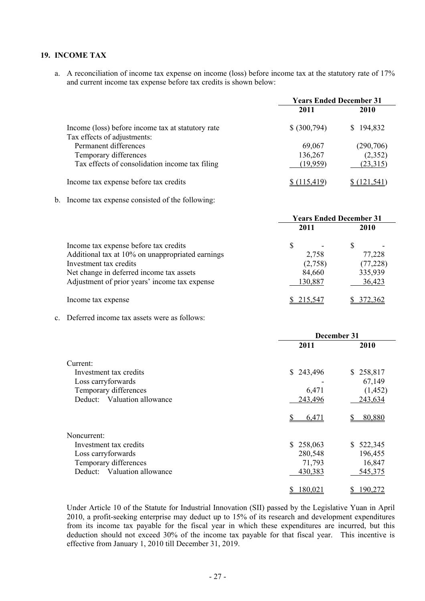## **19. INCOME TAX**

a. A reconciliation of income tax expense on income (loss) before income tax at the statutory rate of 17% and current income tax expense before tax credits is shown below:

|                                                   | <b>Years Ended December 31</b> |             |  |
|---------------------------------------------------|--------------------------------|-------------|--|
|                                                   | 2011                           | <b>2010</b> |  |
| Income (loss) before income tax at statutory rate | \$ (300,794)                   | \$194,832   |  |
| Tax effects of adjustments:                       |                                |             |  |
| Permanent differences                             | 69,067                         | (290, 706)  |  |
| Temporary differences                             | 136,267                        | (2,352)     |  |
| Tax effects of consolidation income tax filing    | (19,959)                       | (23,315)    |  |
| Income tax expense before tax credits             | 115.419                        | 121.541     |  |

b. Income tax expense consisted of the following:

|                                                  | <b>Years Ended December 31</b> |           |  |  |
|--------------------------------------------------|--------------------------------|-----------|--|--|
|                                                  | 2011                           | 2010      |  |  |
| Income tax expense before tax credits            | S                              | S         |  |  |
| Additional tax at 10% on unappropriated earnings | 2,758                          | 77,228    |  |  |
| Investment tax credits                           | (2,758)                        | (77, 228) |  |  |
| Net change in deferred income tax assets         | 84,660                         | 335,939   |  |  |
| Adjustment of prior years' income tax expense    | 130,887                        | 36,423    |  |  |
| Income tax expense                               | 215.547                        | 372.362   |  |  |

c. Deferred income tax assets were as follows:

|                                | December 31 |           |  |  |
|--------------------------------|-------------|-----------|--|--|
|                                | 2011        | 2010      |  |  |
| Current:                       |             |           |  |  |
| Investment tax credits         | \$243,496   | \$258,817 |  |  |
| Loss carryforwards             |             | 67,149    |  |  |
| Temporary differences          | 6,471       | (1, 452)  |  |  |
| Valuation allowance<br>Deduct: | 243,496     | 243,634   |  |  |
|                                | 6,471       | 80,880    |  |  |
| Noncurrent:                    |             |           |  |  |
| Investment tax credits         | \$258,063   | \$522,345 |  |  |
| Loss carryforwards             | 280,548     | 196,455   |  |  |
| Temporary differences          | 71,793      | 16,847    |  |  |
| Valuation allowance<br>Deduct  | 430,383     | 545,375   |  |  |
|                                | 180,02      | 190 2     |  |  |

Under Article 10 of the Statute for Industrial Innovation (SII) passed by the Legislative Yuan in April 2010, a profit-seeking enterprise may deduct up to 15% of its research and development expenditures from its income tax payable for the fiscal year in which these expenditures are incurred, but this deduction should not exceed 30% of the income tax payable for that fiscal year. This incentive is effective from January 1, 2010 till December 31, 2019.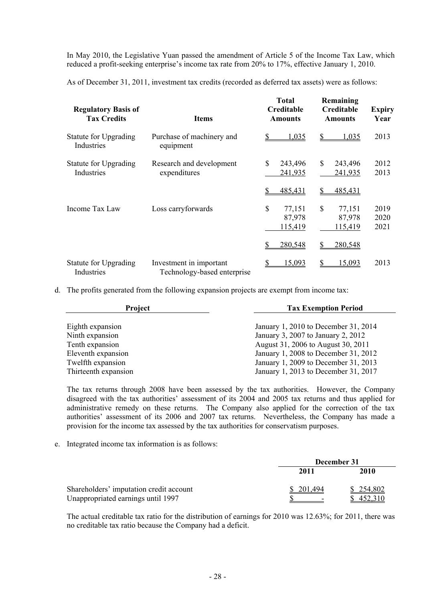In May 2010, the Legislative Yuan passed the amendment of Article 5 of the Income Tax Law, which reduced a profit-seeking enterprise's income tax rate from 20% to 17%, effective January 1, 2010.

As of December 31, 2011, investment tax credits (recorded as deferred tax assets) were as follows:

| <b>Regulatory Basis of</b><br><b>Tax Credits</b> | <b>Items</b>                                           | <b>Total</b><br>Creditable<br><b>Amounts</b> | Remaining<br>Creditable<br><b>Amounts</b> | <b>Expiry</b><br>Year |
|--------------------------------------------------|--------------------------------------------------------|----------------------------------------------|-------------------------------------------|-----------------------|
| Statute for Upgrading<br>Industries              | Purchase of machinery and<br>equipment                 | 1,035                                        | 1,035<br>S                                | 2013                  |
| <b>Statute for Upgrading</b><br>Industries       | Research and development<br>expenditures               | \$<br>243,496<br>241,935                     | \$<br>243,496<br>241,935                  | 2012<br>2013          |
|                                                  |                                                        | 485,431                                      | \$<br>485,431                             |                       |
| Income Tax Law                                   | Loss carryforwards                                     | \$<br>77,151<br>87,978<br>115,419            | \$<br>77,151<br>87,978<br>115,419         | 2019<br>2020<br>2021  |
|                                                  |                                                        | 280,548                                      | 280,548<br>S                              |                       |
| <b>Statute for Upgrading</b><br>Industries       | Investment in important<br>Technology-based enterprise | 15,093<br>S                                  | 15,093<br>\$                              | 2013                  |

d. The profits generated from the following expansion projects are exempt from income tax:

| Project              | <b>Tax Exemption Period</b>          |
|----------------------|--------------------------------------|
|                      |                                      |
| Eighth expansion     | January 1, 2010 to December 31, 2014 |
| Ninth expansion      | January 3, 2007 to January 2, 2012   |
| Tenth expansion      | August 31, 2006 to August 30, 2011   |
| Eleventh expansion   | January 1, 2008 to December 31, 2012 |
| Twelfth expansion    | January 1, 2009 to December 31, 2013 |
| Thirteenth expansion | January 1, 2013 to December 31, 2017 |

The tax returns through 2008 have been assessed by the tax authorities. However, the Company disagreed with the tax authorities' assessment of its 2004 and 2005 tax returns and thus applied for administrative remedy on these returns. The Company also applied for the correction of the tax authorities' assessment of its 2006 and 2007 tax returns. Nevertheless, the Company has made a provision for the income tax assessed by the tax authorities for conservatism purposes.

e. Integrated income tax information is as follows:

|                                         | December 31 |         |  |
|-----------------------------------------|-------------|---------|--|
|                                         | 2011        | 2010    |  |
| Shareholders' imputation credit account | 201.494     | 254,802 |  |
| Unappropriated earnings until 1997      |             |         |  |

The actual creditable tax ratio for the distribution of earnings for 2010 was 12.63%; for 2011, there was no creditable tax ratio because the Company had a deficit.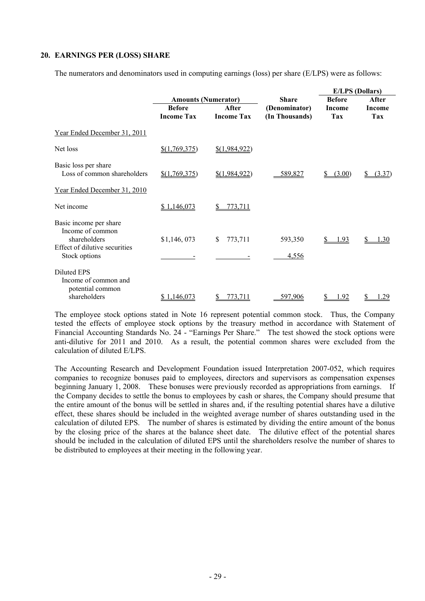#### **20. EARNINGS PER (LOSS) SHARE**

The numerators and denominators used in computing earnings (loss) per share (E/LPS) were as follows:

|                                                                                                              |                            |                   |                  | <b>E/LPS</b> (Dollars) |        |
|--------------------------------------------------------------------------------------------------------------|----------------------------|-------------------|------------------|------------------------|--------|
|                                                                                                              | <b>Amounts (Numerator)</b> |                   | <b>Share</b>     | <b>Before</b>          | After  |
|                                                                                                              | <b>Before</b>              | After             | (Denominator)    | Income                 | Income |
|                                                                                                              | <b>Income Tax</b>          | <b>Income Tax</b> | (In Thousands)   | <b>Tax</b>             | Tax    |
| Year Ended December 31, 2011                                                                                 |                            |                   |                  |                        |        |
| Net loss                                                                                                     | \$(1,769,375)              | \$(1,984,922)     |                  |                        |        |
| Basic loss per share<br>Loss of common shareholders                                                          | \$(1,769,375)              | \$(1,984,922)     | 589,827          | (3.00)                 | (3.37) |
| Year Ended December 31, 2010                                                                                 |                            |                   |                  |                        |        |
| Net income                                                                                                   | \$1,146,073                | 773,711           |                  |                        |        |
| Basic income per share<br>Income of common<br>shareholders<br>Effect of dilutive securities<br>Stock options | \$1,146,073                | \$<br>773,711     | 593,350<br>4,556 | 1.93                   | 1.30   |
| Diluted EPS<br>Income of common and<br>potential common<br>shareholders                                      | <u>\$1,146,073</u>         | 773,711           | 597,906          | 1.92                   |        |

The employee stock options stated in Note 16 represent potential common stock. Thus, the Company tested the effects of employee stock options by the treasury method in accordance with Statement of Financial Accounting Standards No. 24 - "Earnings Per Share." The test showed the stock options were anti-dilutive for 2011 and 2010. As a result, the potential common shares were excluded from the calculation of diluted E/LPS.

The Accounting Research and Development Foundation issued Interpretation 2007-052, which requires companies to recognize bonuses paid to employees, directors and supervisors as compensation expenses beginning January 1, 2008. These bonuses were previously recorded as appropriations from earnings. If the Company decides to settle the bonus to employees by cash or shares, the Company should presume that the entire amount of the bonus will be settled in shares and, if the resulting potential shares have a dilutive effect, these shares should be included in the weighted average number of shares outstanding used in the calculation of diluted EPS. The number of shares is estimated by dividing the entire amount of the bonus by the closing price of the shares at the balance sheet date. The dilutive effect of the potential shares should be included in the calculation of diluted EPS until the shareholders resolve the number of shares to be distributed to employees at their meeting in the following year.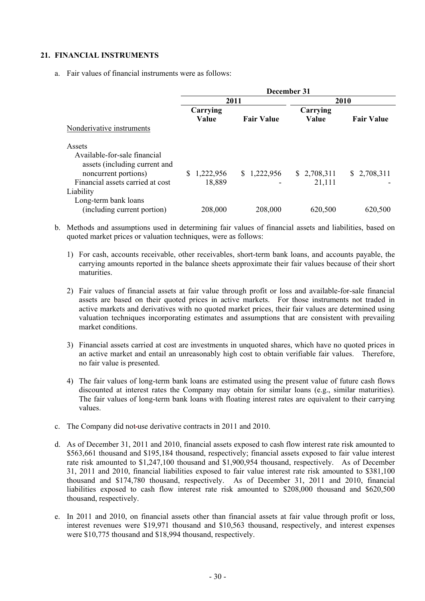#### **21. FINANCIAL INSTRUMENTS**

a. Fair values of financial instruments were as follows:

|                                                                                                                                                  | December 31         |                   |                       |                   |  |
|--------------------------------------------------------------------------------------------------------------------------------------------------|---------------------|-------------------|-----------------------|-------------------|--|
|                                                                                                                                                  |                     | 2011              |                       | 2010              |  |
|                                                                                                                                                  | Carrying            |                   | Carrying              |                   |  |
|                                                                                                                                                  | Value               | <b>Fair Value</b> | Value                 | <b>Fair Value</b> |  |
| Nonderivative instruments                                                                                                                        |                     |                   |                       |                   |  |
| Assets<br>Available-for-sale financial<br>assets (including current and<br>noncurrent portions)<br>Financial assets carried at cost<br>Liability | 1,222,956<br>18,889 | \$1,222,956       | \$2,708,311<br>21,111 | \$2,708,311       |  |
| Long-term bank loans<br>(including current portion)                                                                                              | 208,000             | 208,000           | 620,500               | 620,500           |  |

- b. Methods and assumptions used in determining fair values of financial assets and liabilities, based on quoted market prices or valuation techniques, were as follows:
	- 1) For cash, accounts receivable, other receivables, short-term bank loans, and accounts payable, the carrying amounts reported in the balance sheets approximate their fair values because of their short maturities.
	- 2) Fair values of financial assets at fair value through profit or loss and available-for-sale financial assets are based on their quoted prices in active markets. For those instruments not traded in active markets and derivatives with no quoted market prices, their fair values are determined using valuation techniques incorporating estimates and assumptions that are consistent with prevailing market conditions.
	- 3) Financial assets carried at cost are investments in unquoted shares, which have no quoted prices in an active market and entail an unreasonably high cost to obtain verifiable fair values. Therefore, no fair value is presented.
	- 4) The fair values of long-term bank loans are estimated using the present value of future cash flows discounted at interest rates the Company may obtain for similar loans (e.g., similar maturities). The fair values of long-term bank loans with floating interest rates are equivalent to their carrying values.
- c. The Company did not-use derivative contracts in 2011 and 2010.
- d. As of December 31, 2011 and 2010, financial assets exposed to cash flow interest rate risk amounted to \$563,661 thousand and \$195,184 thousand, respectively; financial assets exposed to fair value interest rate risk amounted to \$1,247,100 thousand and \$1,900,954 thousand, respectively. As of December 31, 2011 and 2010, financial liabilities exposed to fair value interest rate risk amounted to \$381,100 thousand and \$174,780 thousand, respectively. As of December 31, 2011 and 2010, financial liabilities exposed to cash flow interest rate risk amounted to \$208,000 thousand and \$620,500 thousand, respectively.
- e. In 2011 and 2010, on financial assets other than financial assets at fair value through profit or loss, interest revenues were \$19,971 thousand and \$10,563 thousand, respectively, and interest expenses were \$10,775 thousand and \$18,994 thousand, respectively.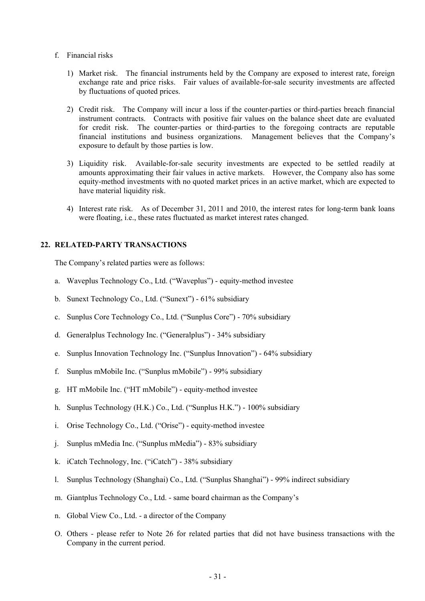- f. Financial risks
	- 1) Market risk. The financial instruments held by the Company are exposed to interest rate, foreign exchange rate and price risks. Fair values of available-for-sale security investments are affected by fluctuations of quoted prices.
	- 2) Credit risk. The Company will incur a loss if the counter-parties or third-parties breach financial instrument contracts. Contracts with positive fair values on the balance sheet date are evaluated for credit risk. The counter-parties or third-parties to the foregoing contracts are reputable financial institutions and business organizations. Management believes that the Company's exposure to default by those parties is low.
	- 3) Liquidity risk. Available-for-sale security investments are expected to be settled readily at amounts approximating their fair values in active markets. However, the Company also has some equity-method investments with no quoted market prices in an active market, which are expected to have material liquidity risk.
	- 4) Interest rate risk. As of December 31, 2011 and 2010, the interest rates for long-term bank loans were floating, i.e., these rates fluctuated as market interest rates changed.

#### **22. RELATED-PARTY TRANSACTIONS**

The Company's related parties were as follows:

- a. Waveplus Technology Co., Ltd. ("Waveplus") equity-method investee
- b. Sunext Technology Co., Ltd. ("Sunext") 61% subsidiary
- c. Sunplus Core Technology Co., Ltd. ("Sunplus Core") 70% subsidiary
- d. Generalplus Technology Inc. ("Generalplus") 34% subsidiary
- e. Sunplus Innovation Technology Inc. ("Sunplus Innovation") 64% subsidiary
- f. Sunplus mMobile Inc. ("Sunplus mMobile") 99% subsidiary
- g. HT mMobile Inc. ("HT mMobile") equity-method investee
- h. Sunplus Technology (H.K.) Co., Ltd. ("Sunplus H.K.") 100% subsidiary
- i. Orise Technology Co., Ltd. ("Orise") equity-method investee
- j. Sunplus mMedia Inc. ("Sunplus mMedia") 83% subsidiary
- k. iCatch Technology, Inc. ("iCatch") 38% subsidiary
- l. Sunplus Technology (Shanghai) Co., Ltd. ("Sunplus Shanghai") 99% indirect subsidiary
- m. Giantplus Technology Co., Ltd. same board chairman as the Company's
- n. Global View Co., Ltd. a director of the Company
- O. Others please refer to Note 26 for related parties that did not have business transactions with the Company in the current period.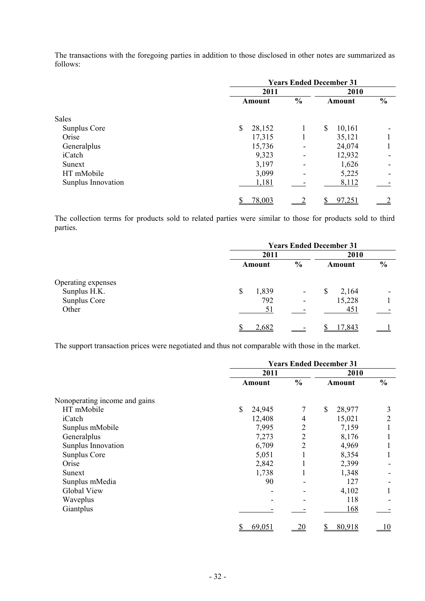The transactions with the foregoing parties in addition to those disclosed in other notes are summarized as follows:

|                    | <b>Years Ended December 31</b> |               |              |               |
|--------------------|--------------------------------|---------------|--------------|---------------|
|                    | 2011                           |               | 2010         |               |
|                    | Amount                         | $\frac{0}{0}$ | Amount       | $\frac{0}{0}$ |
| Sales              |                                |               |              |               |
| Sunplus Core       | \$<br>28,152                   |               | \$<br>10,161 |               |
| Orise              | 17,315                         |               | 35,121       |               |
| Generalplus        | 15,736                         |               | 24,074       |               |
| iCatch             | 9,323                          |               | 12,932       |               |
| Sunext             | 3,197                          |               | 1,626        |               |
| HT mMobile         | 3,099                          |               | 5,225        |               |
| Sunplus Innovation | 1,181                          |               | 8,112        |               |
|                    | 78,003                         |               | 97,251       |               |

The collection terms for products sold to related parties were similar to those for products sold to third parties.

|                    | <b>Years Ended December 31</b>     |                          |            |               |
|--------------------|------------------------------------|--------------------------|------------|---------------|
|                    | 2011                               |                          |            |               |
|                    | Amount                             | $\frac{0}{0}$            | Amount     | $\frac{0}{0}$ |
| Operating expenses |                                    |                          |            |               |
| Sunplus H.K.       | 1,839<br>$\boldsymbol{\mathsf{S}}$ | $\overline{\phantom{a}}$ | 2,164<br>S | ۰             |
| Sunplus Core       | 792                                |                          | 15,228     |               |
| Other              | 51                                 |                          | 451        |               |
|                    | 2,682                              |                          | 17.843     |               |

The support transaction prices were negotiated and thus not comparable with those in the market.

|                               | <b>Years Ended December 31</b> |                |               |               |
|-------------------------------|--------------------------------|----------------|---------------|---------------|
|                               | 2011                           |                | 2010          |               |
|                               | <b>Amount</b>                  | $\frac{0}{0}$  | <b>Amount</b> | $\frac{0}{0}$ |
| Nonoperating income and gains |                                |                |               |               |
| HT mMobile                    | \$<br>24,945                   | 7              | \$<br>28,977  | 3             |
| iCatch                        | 12,408                         | 4              | 15,021        | 2             |
| Sunplus mMobile               | 7,995                          | $\overline{2}$ | 7,159         |               |
| Generalplus                   | 7,273                          | $\overline{2}$ | 8,176         |               |
| Sunplus Innovation            | 6,709                          | $\overline{2}$ | 4,969         |               |
| Sunplus Core                  | 5,051                          |                | 8,354         |               |
| Orise                         | 2,842                          |                | 2,399         |               |
| Sunext                        | 1,738                          |                | 1,348         |               |
| Sunplus mMedia                | 90                             |                | 127           |               |
| Global View                   |                                |                | 4,102         |               |
| Waveplus                      |                                |                | 118           |               |
| Giantplus                     |                                |                | 168           |               |
|                               | 69,051<br>S                    | 20             | 80,918        | <u>10</u>     |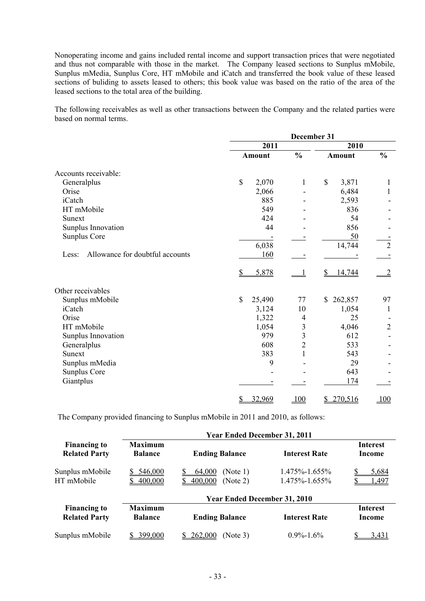Nonoperating income and gains included rental income and support transaction prices that were negotiated and thus not comparable with those in the market. The Company leased sections to Sunplus mMobile, Sunplus mMedia, Sunplus Core, HT mMobile and iCatch and transferred the book value of these leased sections of buliding to assets leased to others; this book value was based on the ratio of the area of the leased sections to the total area of the building.

The following receivables as well as other transactions between the Company and the related parties were based on normal terms.

|                                          | December 31           |                         |               |                |
|------------------------------------------|-----------------------|-------------------------|---------------|----------------|
|                                          | 2011                  |                         | 2010          |                |
|                                          | <b>Amount</b>         | $\frac{0}{0}$           | <b>Amount</b> | $\frac{0}{0}$  |
| Accounts receivable:                     |                       |                         |               |                |
| Generalplus                              | $\mathbb{S}$<br>2,070 | 1                       | \$<br>3,871   | 1              |
| Orise                                    | 2,066                 |                         | 6,484         | 1              |
| iCatch                                   | 885                   |                         | 2,593         |                |
| HT mMobile                               | 549                   |                         | 836           |                |
| Sunext                                   | 424                   |                         | 54            |                |
| Sunplus Innovation                       | 44                    |                         | 856           |                |
| Sunplus Core                             |                       |                         | 50            |                |
|                                          | 6,038                 |                         | 14,744        | $\overline{2}$ |
| Allowance for doubtful accounts<br>Less: | 160                   |                         |               |                |
|                                          | 5,878<br>\$           |                         | 14,744<br>S   |                |
| Other receivables                        |                       |                         |               |                |
| Sunplus mMobile                          | \$<br>25,490          | $77\,$                  | 262,857<br>\$ | 97             |
| iCatch                                   | 3,124                 | 10                      | 1,054         | 1              |
| Orise                                    | 1,322                 | 4                       | 25            |                |
| HT mMobile                               | 1,054                 | 3                       | 4,046         | $\overline{2}$ |
| Sunplus Innovation                       | 979                   | $\overline{\mathbf{3}}$ | 612           |                |
| Generalplus                              | 608                   | $\overline{2}$          | 533           |                |
| Sunext                                   | 383                   | 1                       | 543           |                |
| Sunplus mMedia                           | 9                     |                         | 29            |                |
| Sunplus Core                             |                       |                         | 643           |                |
| Giantplus                                |                       |                         | 174           |                |
|                                          | 32,969                | 100                     | 270,516<br>S  | 100            |

The Company provided financing to Sunplus mMobile in 2011 and 2010, as follows:

|                                             | <b>Year Ended December 31, 2011</b> |                                           |                                      |                           |  |  |  |  |  |
|---------------------------------------------|-------------------------------------|-------------------------------------------|--------------------------------------|---------------------------|--|--|--|--|--|
| <b>Financing to</b><br><b>Related Party</b> | <b>Maximum</b><br><b>Balance</b>    | <b>Ending Balance</b>                     |                                      | <b>Interest</b><br>Income |  |  |  |  |  |
| Sunplus mMobile<br>HT mMobile               | 546,000<br>400,000                  | 64,000<br>(Note 1)<br>400,000<br>(Note 2) | 1.475%-1.655%<br>$1.475\% - 1.655\%$ | 5,684<br>.497             |  |  |  |  |  |
|                                             |                                     | <b>Year Ended December 31, 2010</b>       |                                      |                           |  |  |  |  |  |
| <b>Financing to</b><br><b>Related Party</b> | <b>Maximum</b><br><b>Balance</b>    | <b>Ending Balance</b>                     | <b>Interest Rate</b>                 | <b>Interest</b><br>Income |  |  |  |  |  |
| Sunplus mMobile                             | 399,000                             | (Note 3)<br><u>262,000</u>                | $0.9\% - 1.6\%$                      | 3.431                     |  |  |  |  |  |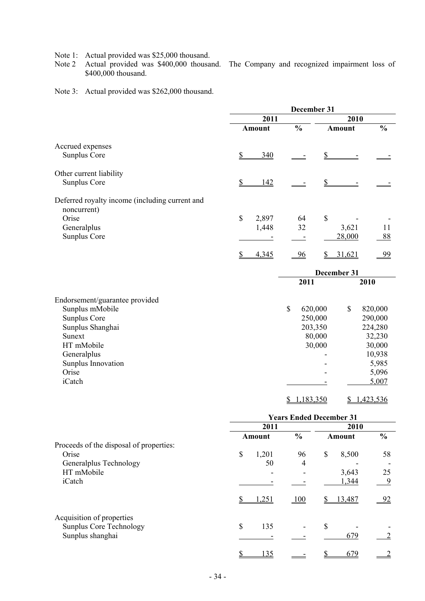Note 1: Actual provided was \$25,000 thousand.

Note 2 Actual provided was \$400,000 thousand. The Company and recognized impairment loss of \$400,000 thousand.

Note 3: Actual provided was \$262,000 thousand.

|                                                               |                  |             | December 31    |               |               |               |
|---------------------------------------------------------------|------------------|-------------|----------------|---------------|---------------|---------------|
|                                                               | 2011             |             |                | 2010          |               |               |
|                                                               | <b>Amount</b>    |             | $\frac{0}{0}$  |               | <b>Amount</b> | $\frac{0}{0}$ |
| Accrued expenses                                              |                  |             |                |               |               |               |
| Sunplus Core                                                  | 340<br>S         |             |                | $\mathbb{S}$  |               |               |
| Other current liability                                       |                  |             |                |               |               |               |
| Sunplus Core                                                  | 142<br><u>\$</u> |             |                | \$            |               |               |
| Deferred royalty income (including current and<br>noncurrent) |                  |             |                |               |               |               |
| Orise                                                         | \$<br>2,897      |             | 64             | $\mathcal{S}$ |               |               |
| Generalplus                                                   | 1,448            |             | 32             |               | 3,621         | 11            |
| Sunplus Core                                                  |                  |             |                |               | 28,000        | 88            |
|                                                               | 4,345<br>\$      |             | $\frac{96}{9}$ | \$            | 31,621        | 99            |
|                                                               |                  |             |                |               | December 31   |               |
|                                                               |                  |             | 2011           |               |               | 2010          |
| Endorsement/guarantee provided                                |                  |             |                |               |               |               |
| Sunplus mMobile                                               |                  | $\mathbf S$ | 620,000        |               | \$            | 820,000       |
| Sunplus Core                                                  |                  |             | 250,000        |               |               | 290,000       |
| Sunplus Shanghai                                              |                  |             | 203,350        |               |               | 224,280       |
| Sunext                                                        |                  |             |                | 80,000        |               | 32,230        |
| HT mMobile                                                    |                  |             |                | 30,000        |               | 30,000        |
| Generalplus                                                   |                  |             |                |               |               | 10,938        |
| Sunplus Innovation                                            |                  |             |                |               |               | 5,985         |
| Orise                                                         |                  |             |                |               |               | 5,096         |
| iCatch                                                        |                  |             |                |               |               | 5,007         |
|                                                               |                  | \$          | 1,183,350      |               | \$            | 1,423,536     |

|                                                                                 | <b>Years Ended December 31</b> |       |                |               |        |               |  |
|---------------------------------------------------------------------------------|--------------------------------|-------|----------------|---------------|--------|---------------|--|
|                                                                                 | 2011                           |       |                | 2010          |        |               |  |
|                                                                                 | Amount                         |       | $\frac{0}{0}$  | <b>Amount</b> |        | $\frac{0}{0}$ |  |
| Proceeds of the disposal of properties:                                         |                                |       |                |               |        |               |  |
| Orise                                                                           | \$                             | 1,201 | 96             | \$            | 8,500  | 58            |  |
| Generalplus Technology                                                          |                                | 50    | $\overline{4}$ |               |        |               |  |
| HT mMobile                                                                      |                                |       |                |               | 3,643  | 25            |  |
| iCatch                                                                          |                                |       |                |               | 1,344  | 9             |  |
|                                                                                 |                                | 1,251 | 100            |               | 13,487 | - 92          |  |
| Acquisition of properties<br><b>Sunplus Core Technology</b><br>Sunplus shanghai | \$                             | 135   |                | \$            | 679    |               |  |
|                                                                                 |                                |       |                |               |        |               |  |
|                                                                                 |                                | 135   |                |               | 679    |               |  |

- 34 -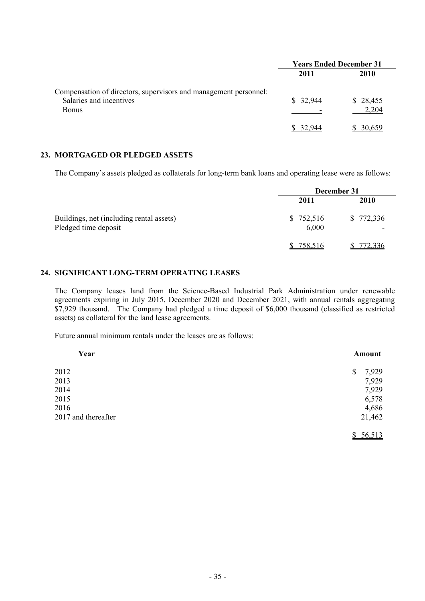|                                                                                                             | <b>Years Ended December 31</b> |                   |  |  |
|-------------------------------------------------------------------------------------------------------------|--------------------------------|-------------------|--|--|
|                                                                                                             | 2011                           | 2010              |  |  |
| Compensation of directors, supervisors and management personnel:<br>Salaries and incentives<br><b>Bonus</b> | \$32,944                       | \$28,455<br>2,204 |  |  |
|                                                                                                             | -944<br>32.                    | \$ 30.659         |  |  |

#### **23. MORTGAGED OR PLEDGED ASSETS**

The Company's assets pledged as collaterals for long-term bank loans and operating lease were as follows:

|                                                                  |                    | December 31                           |
|------------------------------------------------------------------|--------------------|---------------------------------------|
|                                                                  | 2011               | 2010                                  |
| Buildings, net (including rental assets)<br>Pledged time deposit | \$752,516<br>6,000 | \$772,336<br>$\overline{\phantom{0}}$ |
|                                                                  | 758,516            | 772,336                               |

### **24. SIGNIFICANT LONG-TERM OPERATING LEASES**

The Company leases land from the Science-Based Industrial Park Administration under renewable agreements expiring in July 2015, December 2020 and December 2021, with annual rentals aggregating \$7,929 thousand. The Company had pledged a time deposit of \$6,000 thousand (classified as restricted assets) as collateral for the land lease agreements.

Future annual minimum rentals under the leases are as follows:

| Year                | Amount              |
|---------------------|---------------------|
| 2012                | 7,929<br>\$         |
| 2013                | 7,929               |
| 2014                | 7,929               |
| 2015                | 6,578               |
| 2016                | 4,686               |
| 2017 and thereafter | 21,462              |
|                     | 56,513<br><u>\$</u> |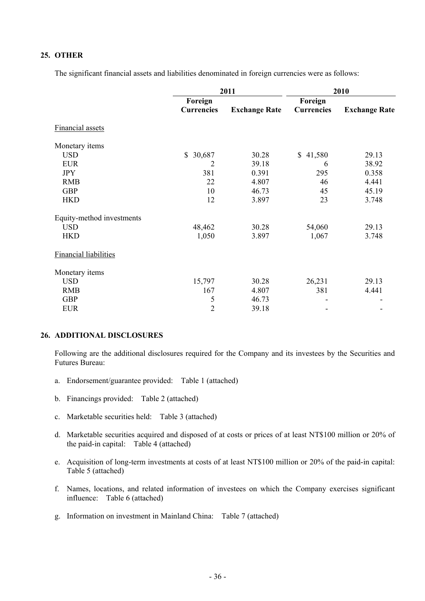## **25. OTHER**

The significant financial assets and liabilities denominated in foreign currencies were as follows:

|                              |                   | 2011                 | 2010              |                      |  |  |
|------------------------------|-------------------|----------------------|-------------------|----------------------|--|--|
|                              | Foreign           |                      | Foreign           |                      |  |  |
|                              | <b>Currencies</b> | <b>Exchange Rate</b> | <b>Currencies</b> | <b>Exchange Rate</b> |  |  |
| <b>Financial assets</b>      |                   |                      |                   |                      |  |  |
| Monetary items               |                   |                      |                   |                      |  |  |
| <b>USD</b>                   | \$<br>30,687      | 30.28                | \$41,580          | 29.13                |  |  |
| <b>EUR</b>                   | 2                 | 39.18                | 6                 | 38.92                |  |  |
| <b>JPY</b>                   | 381               | 0.391                | 295               | 0.358                |  |  |
| <b>RMB</b>                   | 22                | 4.807                | 46                | 4.441                |  |  |
| <b>GBP</b>                   | 10                | 46.73                | 45                | 45.19                |  |  |
| <b>HKD</b>                   | 12                | 3.897                | 23                | 3.748                |  |  |
| Equity-method investments    |                   |                      |                   |                      |  |  |
| <b>USD</b>                   | 48,462            | 30.28                | 54,060            | 29.13                |  |  |
| <b>HKD</b>                   | 1,050             | 3.897                | 1,067             | 3.748                |  |  |
| <b>Financial liabilities</b> |                   |                      |                   |                      |  |  |
| Monetary items               |                   |                      |                   |                      |  |  |
| <b>USD</b>                   | 15,797            | 30.28                | 26,231            | 29.13                |  |  |
| <b>RMB</b>                   | 167               | 4.807                | 381               | 4.441                |  |  |
| <b>GBP</b>                   | 5                 | 46.73                |                   |                      |  |  |
| <b>EUR</b>                   | $\overline{2}$    | 39.18                |                   | -                    |  |  |

#### **26. ADDITIONAL DISCLOSURES**

Following are the additional disclosures required for the Company and its investees by the Securities and Futures Bureau:

- a. Endorsement/guarantee provided: Table 1 (attached)
- b. Financings provided: Table 2 (attached)
- c. Marketable securities held: Table 3 (attached)
- d. Marketable securities acquired and disposed of at costs or prices of at least NT\$100 million or 20% of the paid-in capital: Table 4 (attached)
- e. Acquisition of long-term investments at costs of at least NT\$100 million or 20% of the paid-in capital: Table 5 (attached)
- f. Names, locations, and related information of investees on which the Company exercises significant influence: Table 6 (attached)
- g. Information on investment in Mainland China: Table 7 (attached)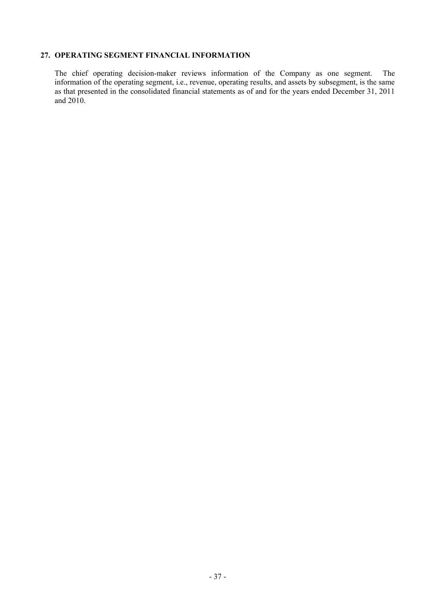## **27. OPERATING SEGMENT FINANCIAL INFORMATION**

The chief operating decision-maker reviews information of the Company as one segment. The information of the operating segment, i.e., revenue, operating results, and assets by subsegment, is the same as that presented in the consolidated financial statements as of and for the years ended December 31, 2011 and 2010.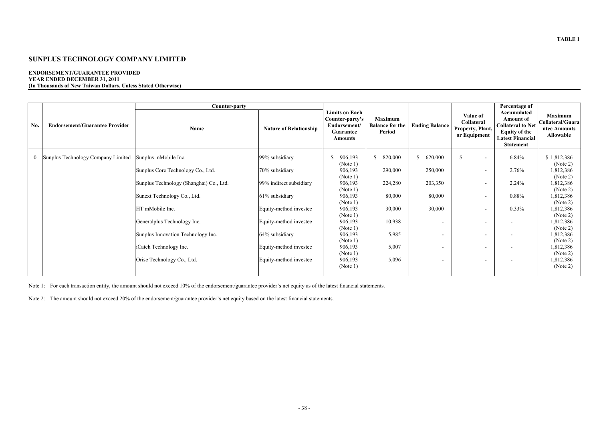#### **ENDORSEMENT/GUARANTEE PROVIDED YEAR ENDED DECEMBER 31, 2011 (In Thousands of New Taiwan Dollars, Unless Stated Otherwise)**

|              |                                       | Counter-party                           |                               |                                                                                         |                                                    |                          |                                                            | Percentage of                                                                                                                      |                                                                 |
|--------------|---------------------------------------|-----------------------------------------|-------------------------------|-----------------------------------------------------------------------------------------|----------------------------------------------------|--------------------------|------------------------------------------------------------|------------------------------------------------------------------------------------------------------------------------------------|-----------------------------------------------------------------|
| No.          | <b>Endorsement/Guarantee Provider</b> | Name                                    | <b>Nature of Relationship</b> | <b>Limits on Each</b><br>Counter-party's<br>Endorsement/<br>Guarantee<br><b>Amounts</b> | <b>Maximum</b><br><b>Balance for the</b><br>Period | <b>Ending Balance</b>    | Value of<br>Collateral<br>Property, Plant,<br>or Equipment | Accumulated<br><b>Amount of</b><br><b>Collateral to Net</b><br><b>Equity of the</b><br><b>Latest Financial</b><br><b>Statement</b> | <b>Maximum</b><br>Collateral/Guara<br>ntee Amounts<br>Allowable |
| $\mathbf{0}$ | Sunplus Technology Company Limited    | Sunplus mMobile Inc.                    | 99% subsidiary                | S.<br>906,193<br>(Note 1)                                                               | \$820,000                                          | 620,000<br>S.            | <sup>\$</sup><br>$\overline{\phantom{a}}$                  | 6.84%                                                                                                                              | \$1,812,386<br>(Note 2)                                         |
|              |                                       | Sunplus Core Technology Co., Ltd.       | 70% subsidiary                | 906,193<br>(Note 1)                                                                     | 290,000                                            | 250,000                  |                                                            | 2.76%                                                                                                                              | 1,812,386<br>(Note 2)                                           |
|              |                                       | Sunplus Technology (Shanghai) Co., Ltd. | 99% indirect subsidiary       | 906,193<br>(Note 1)                                                                     | 224,280                                            | 203,350                  | $\overline{\phantom{a}}$                                   | 2.24%                                                                                                                              | 1,812,386<br>(Note 2)                                           |
|              |                                       | Sunext Technology Co., Ltd.             | 61% subsidiary                | 906,193<br>(Note 1)                                                                     | 80,000                                             | 80,000                   | $\overline{\phantom{a}}$                                   | 0.88%                                                                                                                              | 1,812,386<br>(Note 2)                                           |
|              |                                       | HT mMobile Inc.                         | Equity-method investee        | 906,193<br>(Note 1)                                                                     | 30,000                                             | 30,000                   | $\overline{\phantom{a}}$                                   | $0.33\%$                                                                                                                           | 1,812,386<br>(Note 2)                                           |
|              |                                       | Generalplus Technology Inc.             | Equity-method investee        | 906,193<br>(Note 1)                                                                     | 10,938                                             | $\overline{\phantom{a}}$ |                                                            |                                                                                                                                    | 1,812,386<br>(Note 2)                                           |
|              |                                       | Sunplus Innovation Technology Inc.      | 64% subsidiary                | 906,193<br>(Note 1)                                                                     | 5,985                                              | $\overline{\phantom{a}}$ |                                                            | $\overline{\phantom{a}}$                                                                                                           | 1,812,386<br>(Note 2)                                           |
|              |                                       | iCatch Technology Inc.                  | Equity-method investee        | 906,193<br>(Note 1)                                                                     | 5,007                                              | $\overline{\phantom{a}}$ | $\overline{\phantom{a}}$                                   | $\overline{\phantom{a}}$                                                                                                           | 1,812,386<br>(Note 2)                                           |
|              |                                       | Orise Technology Co., Ltd.              | Equity-method investee        | 906,193<br>(Note 1)                                                                     | 5,096                                              | $\blacksquare$           | $\overline{\phantom{a}}$                                   | $\overline{\phantom{a}}$                                                                                                           | 1,812,386<br>(Note 2)                                           |

Note 1: For each transaction entity, the amount should not exceed 10% of the endorsement/guarantee provider's net equity as of the latest financial statements.

Note 2: The amount should not exceed 20% of the endorsement/guarantee provider's net equity based on the latest financial statements.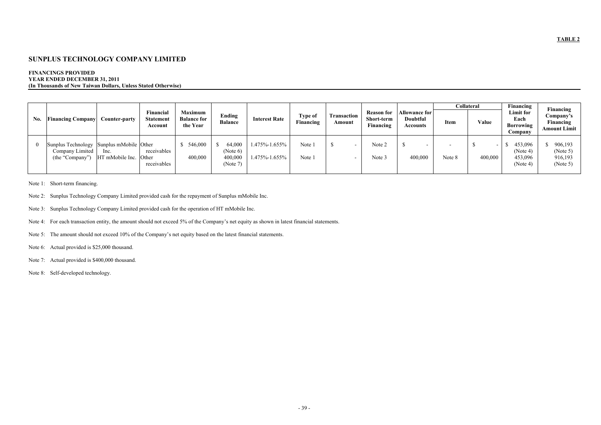#### **FINANCINGS PROVIDED YEAR ENDED DECEMBER 31, 2011 (In Thousands of New Taiwan Dollars, Unless Stated Otherwise)**

|          |                                    |                                                                                                         |                                                  |                                           |                                |                      |                       |                                              | Collateral                              |             | Financing | Financing                                  |                                               |
|----------|------------------------------------|---------------------------------------------------------------------------------------------------------|--------------------------------------------------|-------------------------------------------|--------------------------------|----------------------|-----------------------|----------------------------------------------|-----------------------------------------|-------------|-----------|--------------------------------------------|-----------------------------------------------|
| No.      | <b>Financing Company</b>           | Financial<br><b>Statement</b><br><b>Counter-party</b><br>Account                                        | <b>Maximum</b><br><b>Balance for</b><br>the Year | Ending<br><b>Balance</b>                  | <b>Interest Rate</b>           | Type of<br>Financing | Transaction<br>Amount | <b>Reason for</b><br>Short-term<br>Financing | Allowance for  <br>Doubtful<br>Accounts | <b>Item</b> | Value     | Limit for<br>Each<br>Borrowing<br>Company  | Company's<br>Financing<br><b>Amount Limit</b> |
| $\Omega$ | Company Limited<br>(the "Company") | Sunplus Technology Sunplus mMobile Other<br>receivables<br>lnc.<br>HT mMobile Inc. Other<br>receivables | \$546,000<br>400,000                             | 64,000<br>(Note 6)<br>400,000<br>(Note 7) | 1.475%-1.655%<br>1.475%-1.655% | Note 1<br>Note 1     |                       | Note 2<br>Note 3                             | 400,000                                 | Note 8      | 400,000   | 453,096<br>(Note 4)<br>453,096<br>(Note 4) | 906,193<br>(Note 5)<br>916,193<br>(Note 5)    |

Note 1: Short-term financing.

Note 2: Sunplus Technology Company Limited provided cash for the repayment of Sunplus mMobile Inc.

Note 3: Sunplus Technology Company Limited provided cash for the operation of HT mMobile Inc.

Note 4: For each transaction entity, the amount should not exceed 5% of the Company's net equity as shown in latest financial statements.

Note 5: The amount should not exceed 10% of the Company's net equity based on the latest financial statements.

Note 6: Actual provided is \$25,000 thousand.

Note 7: Actual provided is \$400,000 thousand.

Note 8: Self-developed technology.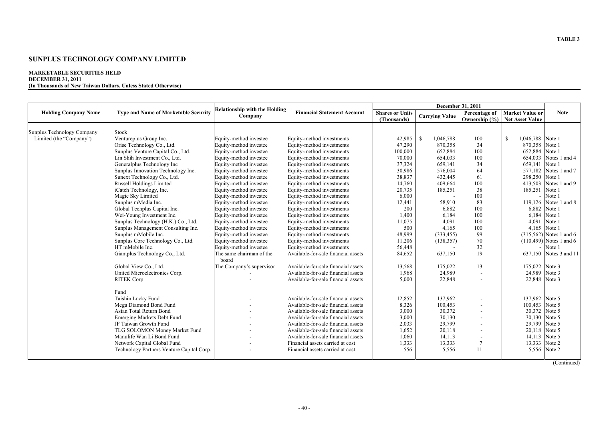#### **MARKETABLE SECURITIES HELD DECEMBER 31, 2011 (In Thousands of New Taiwan Dollars, Unless Stated Otherwise)**

|                             |                                             |                                      |                                     |                        | December 31, 2011         |                          |                               |                            |  |  |
|-----------------------------|---------------------------------------------|--------------------------------------|-------------------------------------|------------------------|---------------------------|--------------------------|-------------------------------|----------------------------|--|--|
| <b>Holding Company Name</b> | <b>Type and Name of Marketable Security</b> | <b>Relationship with the Holding</b> | <b>Financial Statement Account</b>  | <b>Shares or Units</b> |                           | Percentage of            | <b>Market Value or</b>        | <b>Note</b>                |  |  |
|                             |                                             | Company                              |                                     | (Thousands)            | <b>Carrying Value</b>     |                          | Ownership (%) Net Asset Value |                            |  |  |
|                             |                                             |                                      |                                     |                        |                           |                          |                               |                            |  |  |
| Sunplus Technology Company  | Stock                                       |                                      |                                     |                        |                           |                          |                               |                            |  |  |
| Limited (the "Company")     | Ventureplus Group Inc.                      | Equity-method investee               | Equity-method investments           | 42,985                 | <sup>S</sup><br>1,046,788 | 100                      | \$.<br>1,046,788 Note 1       |                            |  |  |
|                             | Orise Technology Co., Ltd.                  | Equity-method investee               | Equity-method investments           | 47,290                 | 870,358                   | 34                       | 870,358                       | Note 1                     |  |  |
|                             | Sunplus Venture Capital Co., Ltd.           | Equity-method investee               | Equity-method investments           | 100,000                | 652,884                   | 100                      | 652,884                       | Note 1                     |  |  |
|                             | Lin Shih Investment Co., Ltd.               | Equity-method investee               | Equity-method investments           | 70,000                 | 654,033                   | 100                      | 654,033                       | Notes 1 and 4              |  |  |
|                             | Generalplus Technology Inc                  | Equity-method investee               | Equity-method investments           | 37,324                 | 659.141                   | 34                       | 659,141 Note 1                |                            |  |  |
|                             | Sunplus Innovation Technology Inc.          | Equity-method investee               | Equity-method investments           | 30,986                 | 576,004                   | 64                       | 577,182                       | Notes 1 and 7              |  |  |
|                             | Sunext Technology Co., Ltd.                 | Equity-method investee               | Equity-method investments           | 38,837                 | 432,445                   | 61                       | 298,250 Note 1                |                            |  |  |
|                             | Russell Holdings Limited                    | Equity-method investee               | Equity-method investments           | 14,760                 | 409.664                   | 100                      | 413,503                       | Notes 1 and 9              |  |  |
|                             | iCatch Technology, Inc.                     | Equity-method investee               | Equity-method investments           | 20,735                 | 185,251                   | 38                       | 185,251                       | Note 1                     |  |  |
|                             | Magic Sky Limited                           | Equity-method investee               | Equity-method investments           | 6,000                  |                           | 100                      | $\overline{\phantom{a}}$      | Note 1                     |  |  |
|                             | Sunplus mMedia Inc.                         | Equity-method investee               | Equity-method investments           | 12,441                 | 58.910                    | 83                       |                               | 119.126 Notes 1 and 8      |  |  |
|                             | Global Techplus Capital Inc.                | Equity-method investee               | Equity-method investments           | 200                    | 6,882                     | 100                      | 6,882                         | Note 1                     |  |  |
|                             | Wei-Young Investment Inc.                   | Equity-method investee               | Equity-method investments           | 1,400                  | 6,184                     | 100                      | 6,184                         | Note 1                     |  |  |
|                             | Sunplus Technology (H.K.) Co., Ltd.         | Equity-method investee               | Equity-method investments           | 11,075                 | 4.091                     | 100                      | 4.091                         | Note 1                     |  |  |
|                             | Sunplus Management Consulting Inc.          | Equity-method investee               | Equity-method investments           | 500                    | 4,165                     | 100                      | 4,165                         | Note 1                     |  |  |
|                             | Sunplus mMobile Inc.                        | Equity-method investee               | Equity-method investments           | 48,999                 | (333, 455)                | 99                       |                               | $(315,562)$ Notes 1 and 6  |  |  |
|                             | Sunplus Core Technology Co., Ltd.           | Equity-method investee               | Equity-method investments           | 11,206                 | (138, 357)                | 70                       |                               | $(110, 499)$ Notes 1 and 6 |  |  |
|                             | HT mMobile Inc.                             | Equity-method investee               | Equity-method investments           | 56,448                 |                           | 32                       |                               | Note 1                     |  |  |
|                             | Giantplus Technology Co., Ltd.              | The same chairman of the             | Available-for-sale financial assets | 84,652                 | 637,150                   | 19                       | 637,150                       | Notes 3 and 11             |  |  |
|                             |                                             | board                                |                                     |                        |                           |                          |                               |                            |  |  |
|                             | Global View Co., Ltd.                       | The Company's supervisor             | Available-for-sale financial assets | 13,568                 | 175,022                   | 13                       | 175,022 Note 3                |                            |  |  |
|                             | United Microelectronics Corp.               |                                      | Available-for-sale financial assets | 1,968                  | 24,989                    |                          | 24,989                        | Note 3                     |  |  |
|                             | RITEK Corp.                                 |                                      | Available-for-sale financial assets | 5,000                  | 22,848                    |                          | 22,848 Note 3                 |                            |  |  |
|                             |                                             |                                      |                                     |                        |                           |                          |                               |                            |  |  |
|                             | Fund                                        |                                      |                                     |                        |                           |                          |                               |                            |  |  |
|                             | Taishin Lucky Fund                          |                                      | Available-for-sale financial assets | 12,852                 | 137,962                   |                          | 137.962 Note 5                |                            |  |  |
|                             | Mega Diamond Bond Fund                      |                                      | Available-for-sale financial assets | 8,326                  | 100,453                   |                          | 100,453                       | Note 5                     |  |  |
|                             | Asian Total Return Bond                     |                                      | Available-for-sale financial assets | 3,000                  | 30,372                    |                          | 30,372                        | Note 5                     |  |  |
|                             | <b>Emerging Markets Debt Fund</b>           |                                      | Available-for-sale financial assets | 3,000                  | 30,130                    |                          | 30,130                        | Note 5                     |  |  |
|                             | JF Taiwan Growth Fund                       |                                      | Available-for-sale financial assets | 2,033                  | 29,799                    |                          | 29,799                        | Note 5                     |  |  |
|                             | TLG SOLOMON Money Market Fund               |                                      | Available-for-sale financial assets | 1,652                  | 20,118                    |                          | 20,118 Note 5                 |                            |  |  |
|                             | Manulife Wan Li Bond Fund                   |                                      | Available-for-sale financial assets | 1,060                  | 14,113                    | $\overline{\phantom{a}}$ | 14,113                        | Note 5                     |  |  |
|                             | Network Capital Global Fund                 |                                      | Financial assets carried at cost    | 1,333                  | 13,333                    | 7                        | 13,333 Note 2                 |                            |  |  |
|                             | Technology Partners Venture Capital Corp.   |                                      | Financial assets carried at cost    | 556                    | 5,556                     | 11                       |                               | 5,556 Note 2               |  |  |
|                             |                                             |                                      |                                     |                        |                           |                          |                               |                            |  |  |
|                             |                                             |                                      |                                     |                        |                           |                          |                               |                            |  |  |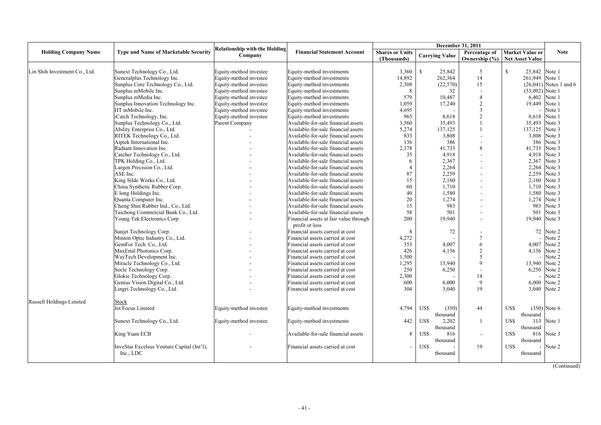|                               |                                             | December 31, 2011                    |                                        |                        |                       |                          |                               |                          |
|-------------------------------|---------------------------------------------|--------------------------------------|----------------------------------------|------------------------|-----------------------|--------------------------|-------------------------------|--------------------------|
| <b>Holding Company Name</b>   | <b>Type and Name of Marketable Security</b> | <b>Relationship with the Holding</b> | <b>Financial Statement Account</b>     | <b>Shares or Units</b> |                       | Percentage of            | <b>Market Value or</b>        | <b>Note</b>              |
|                               |                                             | Company                              |                                        | (Thousands)            | <b>Carrying Value</b> | Ownership $(\% )$        | <b>Net Asset Value</b>        |                          |
|                               |                                             |                                      |                                        |                        |                       |                          |                               |                          |
| Lin Shih Investment Co., Ltd. | Sunext Technology Co., Ltd.                 | Equity-method investee               | Equity-method investments              | 3,360                  | $\mathbf S$<br>25,842 | 5                        | $\mathbb{S}$<br>25,842 Note 1 |                          |
|                               | Generalplus Technology Inc.                 | Equity-method investee               | Equity-method investments              | 14,892                 | 262,364               | 14                       | 261,949 Note 1                |                          |
|                               | Sunplus Core Technology Co., Ltd.           | Equity-method investee               | Equity-method investments              | 2,308                  | (22,570)              | 15                       |                               | $(26,041)$ Notes 1 and 6 |
|                               | Sunplus mMobile Inc.                        | Equity-method investee               | Equity-method investments              | 8                      | 32                    |                          | $(53,092)$ Note 1             |                          |
|                               | Sunplus mMedia Inc.                         | Equity-method investee               | Equity-method investments              | 579                    | 10,487                | $\overline{4}$           |                               | 6,402 Note 1             |
|                               | Sunplus Innovation Technology Inc.          | Equity-method investee               | Equity-method investments              | 1,059                  | 17,240                | $\overline{2}$           | 19,449 Note 1                 |                          |
|                               | HT mMobile Inc.                             | Equity-method investee               | Equity-method investments              | 4,695                  |                       | 3                        |                               | Note 1                   |
|                               | iCatch Technology, Inc.                     | Equity-method investee               | Equity-method investments              | 965                    | 8,618                 | 2                        |                               | 8,618 Note 1             |
|                               | Sunplus Technology Co., Ltd.                | Parent Company                       | Available-for-sale financial assets    | 3,560                  | 35,493                |                          | 35,493 Note 3                 |                          |
|                               | Ability Enterprise Co., Ltd.                |                                      | Available-for-sale financial assets    | 5,274                  | 137,125               |                          | 137,125 Note 3                |                          |
|                               | RITEK Technology Co., Ltd.                  |                                      | Available-for-sale financial assets    | 833                    | 3,808                 |                          |                               | 3,808 Note 3             |
|                               | Aiptek International Inc.                   |                                      | Available-for-sale financial assets    | 136                    | 386                   |                          | 386                           | Note 3                   |
|                               | Radiant Innovation Inc.                     |                                      | Available-for-sale financial assets    | 2,378                  | 41,733                | 8                        | 41,733 Note 3                 |                          |
|                               | Catcher Technology Co., Ltd.                |                                      | Available-for-sale financial assets    | 35                     | 4,918                 |                          |                               | 4,918 Note 3             |
|                               | TPK Holding Co., Ltd.                       |                                      | Available-for-sale financial assets    | 6                      | 2,367                 |                          | 2,367                         | Note 3                   |
|                               | Largen Precision Co., Ltd.                  |                                      | Available-for-sale financial assets    | $\boldsymbol{\Delta}$  | 2,264                 |                          | 2,264                         | Note 3                   |
|                               | ASE Inc.                                    |                                      | Available-for-sale financial assets    | 87                     | 2,259                 |                          |                               | 2,259 Note 3             |
|                               | King Silde Works Co., Ltd.                  |                                      | Available-for-sale financial assets    | 15                     | 2,160                 |                          |                               | 2,160 Note 3             |
|                               | China Synthetic Rubber Corp.                |                                      | Available-for-sale financial assets    | 60                     | 1,710                 |                          |                               | 1,710 Note 3             |
|                               | E long Holdings Inc.                        |                                      | Available-for-sale financial assets    | 40                     | 1,580                 |                          |                               | 1,580 Note 3             |
|                               | Quanta Computer Inc.                        |                                      | Available-for-sale financial assets    | 20                     | 1,274                 |                          |                               | 1,274 Note 3             |
|                               | Cheng Shin Rubber Ind., Co., Ltd.           |                                      | Available-for-sale financial assets    | 15                     | 983                   |                          | 983                           | Note 3                   |
|                               | Taichong Commercial Bank Co., Ltd.          |                                      | Available-for-sale financial assets    | 58                     | 501                   |                          | 501                           | Note 3                   |
|                               | Young Tek Electronics Corp.                 |                                      | Financial assets at fair value through | 200                    | 19,940                |                          | 19,940 Note 3                 |                          |
|                               |                                             |                                      | profit or loss                         |                        |                       |                          |                               |                          |
|                               | Sanjet Technology Corp.                     |                                      | Financial assets carried at cost       | 8                      | 72                    |                          | 72                            | Note 2                   |
|                               | Minton Optic Industry Co., Ltd.             |                                      | Financial assets carried at cost       | 4,272                  |                       |                          |                               | Note 2                   |
|                               | GemFor Tech. Co., Ltd.                      |                                      | Financial assets carried at cost       | 353                    | 4,007                 | 6                        | 4,007                         | Note 2                   |
|                               | MaxEmil Photonics Corp.                     |                                      | Financial assets carried at cost       | 426                    | 4,136                 |                          |                               | 4,136 Note 2             |
|                               | WayTech Development Inc.                    |                                      | Financial assets carried at cost       | 1,500                  |                       |                          |                               | Note 2                   |
|                               | Miracle Technology Co., Ltd.                |                                      | Financial assets carried at cost       | 1,295                  | 13,940                | $\mathbf Q$              | 13,940 Note 2                 |                          |
|                               | Socle Technology Corp.                      |                                      | Financial assets carried at cost       | 250                    | 6,250                 |                          |                               | 6,250 Note 2             |
|                               | Glokie Technology Corp.                     |                                      | Financial assets carried at cost       | 2,300                  |                       | 14                       |                               | Note 2                   |
|                               | Genius Vision Digital Co., Ltd.             |                                      | Financial assets carried at cost       | 600                    | 6,000                 | 9                        |                               | 6,000 Note 2             |
|                               | Lingri Technology Co., Ltd.                 |                                      | Financial assets carried at cost       | 304                    | 3.040                 | 19                       |                               | 3,040 Note 2             |
|                               |                                             |                                      |                                        |                        |                       |                          |                               |                          |
| Russell Holdings Limited      | Stock                                       |                                      |                                        |                        |                       |                          |                               |                          |
|                               | Jet Focus Limited                           | Equity-method investee               | Equity-method investments              | 4,794                  | US\$<br>(350)         | 44                       | US\$                          | $(350)$ Note 6           |
|                               |                                             |                                      |                                        |                        | thousand              |                          | thousand                      |                          |
|                               | Sunext Technology Co., Ltd.                 | Equity-method investee               | Equity-method investments              | 442                    | US\$<br>2,202         | 1                        | US\$                          | 113 Note 1               |
|                               |                                             |                                      |                                        |                        | thousand              |                          | thousand                      |                          |
|                               | King Yuan ECB                               |                                      | Available-for-sale financial assets    | 8                      | US\$<br>816           | $\overline{\phantom{a}}$ | US\$                          | 816 Note 3               |
|                               |                                             |                                      |                                        |                        | thousand              |                          | thousand                      |                          |
|                               | InveStar Excelsus Venture Capital (Int'l),  |                                      | Financial assets carried at cost       |                        | US\$                  | 19                       | US\$                          | Note 2                   |
|                               | Inc., LDC                                   |                                      |                                        |                        | thousand              |                          | thousand                      |                          |
|                               |                                             |                                      |                                        |                        |                       |                          |                               |                          |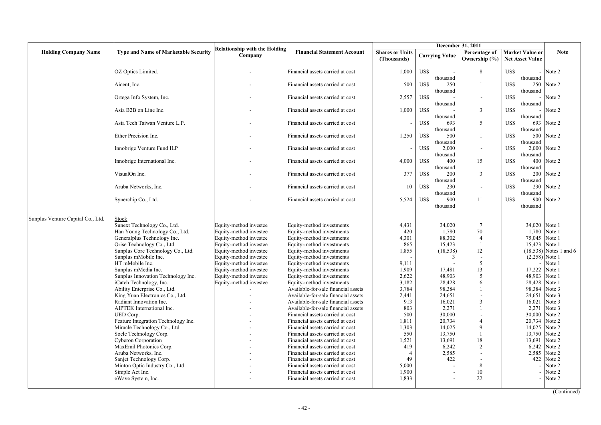|                                   |                                                            |                                                  |                                                                      |                                       |                                     | December 31, 2011              |                                                  |                            |
|-----------------------------------|------------------------------------------------------------|--------------------------------------------------|----------------------------------------------------------------------|---------------------------------------|-------------------------------------|--------------------------------|--------------------------------------------------|----------------------------|
| <b>Holding Company Name</b>       | <b>Type and Name of Marketable Security</b>                | <b>Relationship with the Holding</b><br>Company  | <b>Financial Statement Account</b>                                   | <b>Shares or Units</b><br>(Thousands) | <b>Carrying Value</b>               | Percentage of<br>Ownership (%) | <b>Market Value or</b><br><b>Net Asset Value</b> | <b>Note</b>                |
|                                   | OZ Optics Limited.                                         |                                                  | Financial assets carried at cost                                     | 1,000                                 | US\$                                | 8                              | US\$                                             | Note 2                     |
|                                   | Aicent, Inc.                                               |                                                  | Financial assets carried at cost                                     | 500                                   | thousand<br>US\$<br>250<br>thousand | 1                              | thousand<br>US\$<br>thousand                     | 250 Note 2                 |
|                                   | Ortega Info System, Inc.                                   |                                                  | Financial assets carried at cost                                     | 2,557                                 | US\$<br>thousand                    | $\blacksquare$                 | US\$<br>thousand                                 | Note 2                     |
|                                   | Asia B2B on Line Inc.                                      |                                                  | Financial assets carried at cost                                     | 1,000                                 | US\$<br>thousand                    | 3                              | US\$<br>thousand                                 | Note 2                     |
|                                   | Asia Tech Taiwan Venture L.P.                              |                                                  | Financial assets carried at cost                                     |                                       | US\$<br>693<br>thousand             | 5                              | US\$<br>693<br>thousand                          | Note 2                     |
|                                   | Ether Precision Inc.                                       |                                                  | Financial assets carried at cost                                     | 1,250                                 | US\$<br>500<br>thousand             | $\mathbf{1}$                   | US\$<br>500<br>thousand                          | Note 2                     |
|                                   | Innobrige Venture Fund ILP                                 |                                                  | Financial assets carried at cost                                     |                                       | US\$<br>2,000<br>thousand           | $\blacksquare$                 | US\$<br>thousand                                 | 2,000 Note 2               |
|                                   | Innobrige International Inc.                               |                                                  | Financial assets carried at cost                                     | 4,000                                 | US\$<br>400<br>thousand             | 15                             | US\$<br>400<br>thousand                          | Note 2                     |
|                                   | VisualOn Inc.                                              |                                                  | Financial assets carried at cost                                     | 377                                   | US\$<br>200<br>thousand             | $\overline{3}$                 | US\$<br>200<br>thousand                          | Note 2                     |
|                                   | Aruba Networks, Inc.                                       |                                                  | Financial assets carried at cost                                     | 10                                    | US\$<br>230<br>thousand             | $\overline{\phantom{a}}$       | US\$<br>thousand                                 | 230 Note 2                 |
|                                   | Synerchip Co., Ltd.                                        |                                                  | Financial assets carried at cost                                     | 5,524                                 | US\$<br>900<br>thousand             | 11                             | US\$<br>thousand                                 | 900 Note 2                 |
| Sunplus Venture Capital Co., Ltd. | Stock                                                      |                                                  |                                                                      |                                       |                                     |                                |                                                  |                            |
|                                   | Sunext Technology Co., Ltd.                                | Equity-method investee                           | Equity-method investments                                            | 4,431                                 | 34,020                              | $7\phantom{.0}$                |                                                  | 34.020 Note 1              |
|                                   | Han Young Technology Co., Ltd.                             | Equity-method investee                           | Equity-method investments                                            | 420                                   | 1,780                               | 70                             | 1,780                                            | Note 1                     |
|                                   | Generalplus Technology Inc.                                | Equity-method investee                           | Equity-method investments                                            | 4,301                                 | 88,302                              | $\overline{4}$                 | 75,045                                           | Note 1                     |
|                                   | Orise Technology Co., Ltd.                                 | Equity-method investee                           | Equity-method investments                                            | 865                                   | 15,423                              | $\mathbf{1}$                   | 15,423                                           | Note 1                     |
|                                   | Sunplus Core Technology Co., Ltd.                          | Equity-method investee                           | Equity-method investments                                            | 1,855                                 | (18, 538)                           | 12                             |                                                  | $(18,538)$ Notes 1 and 6   |
|                                   | Sunplus mMobile Inc.<br>HT mMobile Inc.                    | Equity-method investee                           | Equity-method investments                                            |                                       | 3                                   | $\overline{a}$<br>5            |                                                  | $(2,258)$ Note 1<br>Note 1 |
|                                   | Sunplus mMedia Inc.                                        | Equity-method investee<br>Equity-method investee | Equity-method investments<br>Equity-method investments               | 9,111<br>1,909                        | 17,481                              | 13                             | 17,222                                           | Note 1                     |
|                                   | Sunplus Innovation Technology Inc.                         | Equity-method investee                           | Equity-method investments                                            | 2,622                                 | 48,903                              | 5                              | 48,903                                           | Note 1                     |
|                                   | iCatch Technology, Inc.                                    | Equity-method investee                           | Equity-method investments                                            | 3,182                                 | 28,428                              | 6                              | 28,428                                           | Note 1                     |
|                                   | Ability Enterprise Co., Ltd.                               |                                                  | Available-for-sale financial assets                                  | 3,784                                 | 98,384                              | 1                              | 98,384                                           | Note 3                     |
|                                   | King Yuan Electronics Co., Ltd.                            |                                                  | Available-for-sale financial assets                                  | 2,441                                 | 24,651                              | $\overline{\phantom{a}}$       | 24,651                                           | Note 3                     |
|                                   | Radiant Innovation Inc.                                    |                                                  | Available-for-sale financial assets                                  | 913                                   | 16,021                              | $\overline{3}$                 | 16,021                                           | Note 3                     |
|                                   | AIPTEK International Inc.                                  |                                                  | Available-for-sale financial assets                                  | 803                                   | 2,271                               | 1                              | 2,271                                            | Note 3                     |
|                                   | UED Corp.                                                  |                                                  | Financial assets carried at cost                                     | 500                                   | 30,000                              |                                | 30,000                                           | Note 2                     |
|                                   | Feature Integration Technology Inc.                        |                                                  | Financial assets carried at cost                                     | 1,811                                 | 20,734                              | $\overline{4}$                 | 20,734                                           | Note 2                     |
|                                   | Miracle Technology Co., Ltd.                               |                                                  | Financial assets carried at cost                                     | 1,303                                 | 14,025                              | $\mathbf Q$                    | 14,025                                           | Note 2                     |
|                                   | Socle Technology Corp.                                     |                                                  | Financial assets carried at cost                                     | 550                                   | 13,750                              | $\overline{1}$                 | 13,750                                           | Note 2                     |
|                                   | <b>Cyberon Corporation</b>                                 |                                                  | Financial assets carried at cost                                     | 1,521                                 | 13,691                              | 18                             | 13,691                                           | Note 2                     |
|                                   | MaxEmil Photonics Corp.                                    |                                                  | Financial assets carried at cost                                     | 419                                   | 6,242                               | 2                              | 6,242                                            | Note 2                     |
|                                   | Aruba Networks, Inc.                                       |                                                  | Financial assets carried at cost                                     | $\overline{4}$<br>49                  | 2,585<br>422                        | $\overline{a}$                 | 2,585<br>422                                     | Note 2<br>Note 2           |
|                                   | Sanjet Technology Corp.<br>Minton Optic Industry Co., Ltd. |                                                  | Financial assets carried at cost<br>Financial assets carried at cost | 5,000                                 |                                     | 8                              |                                                  | Note 2                     |
|                                   | Simple Act Inc.                                            |                                                  | Financial assets carried at cost                                     | 1,900                                 |                                     | 10                             |                                                  | Note 2                     |
|                                   | eWave System, Inc.                                         |                                                  | Financial assets carried at cost                                     | 1.833                                 |                                     | 22                             |                                                  | Note 2                     |
|                                   |                                                            |                                                  |                                                                      |                                       |                                     |                                |                                                  |                            |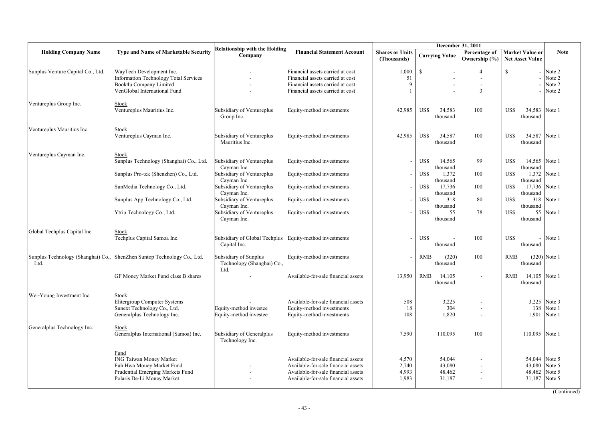|                                   |                                                                                                                                       |                                                                                                                   |                                                                                                                                                          | December 31, 2011                     |                                                                           |                                |                                                                                  |                                      |  |  |
|-----------------------------------|---------------------------------------------------------------------------------------------------------------------------------------|-------------------------------------------------------------------------------------------------------------------|----------------------------------------------------------------------------------------------------------------------------------------------------------|---------------------------------------|---------------------------------------------------------------------------|--------------------------------|----------------------------------------------------------------------------------|--------------------------------------|--|--|
| <b>Holding Company Name</b>       | <b>Type and Name of Marketable Security</b>                                                                                           | <b>Relationship with the Holding</b><br>Company                                                                   | <b>Financial Statement Account</b>                                                                                                                       | <b>Shares or Units</b><br>(Thousands) | <b>Carrying Value</b>                                                     | Percentage of<br>Ownership (%) | <b>Market Value or</b><br><b>Net Asset Value</b>                                 | <b>Note</b>                          |  |  |
| Sunplus Venture Capital Co., Ltd. | WayTech Development Inc.<br>Information Technology Total Services<br>Book4u Company Limited<br>VenGlobal International Fund           |                                                                                                                   | Financial assets carried at cost<br>Financial assets carried at cost<br>Financial assets carried at cost<br>Financial assets carried at cost             | 1,000<br>51<br>$\mathbf Q$            | $\mathbf S$                                                               | $\overline{4}$<br>3            | $\mathbb{S}$                                                                     | Note 2<br>Note 2<br>Note 2<br>Note 2 |  |  |
| Ventureplus Group Inc.            | Stock<br>Ventureplus Mauritius Inc.                                                                                                   | Subsidiary of Ventureplus<br>Group Inc.                                                                           | Equity-method investments                                                                                                                                | 42,985                                | US\$<br>34,583<br>thousand                                                | 100                            | US\$<br>34,583<br>thousand                                                       | Note 1                               |  |  |
| Ventureplus Mauritius Inc.        | Stock<br>Ventureplus Cayman Inc.                                                                                                      | Subsidiary of Ventureplus<br>Mauritius Inc.                                                                       | Equity-method investments                                                                                                                                | 42,985                                | US\$<br>34,587<br>thousand                                                | 100                            | US\$<br>34,587<br>thousand                                                       | Note 1                               |  |  |
| Ventureplus Cayman Inc.           | Stock<br>Sunplus Technology (Shanghai) Co., Ltd.<br>Sunplus Pro-tek (Shenzhen) Co., Ltd.<br>SunMedia Technology Co., Ltd.             | Subsidiary of Ventureplus<br>Cayman Inc.<br>Subsidiary of Ventureplus<br>Cayman Inc.<br>Subsidiary of Ventureplus | Equity-method investments<br>Equity-method investments<br>Equity-method investments                                                                      |                                       | US\$<br>14,565<br>thousand<br>US\$<br>1,372<br>thousand<br>US\$<br>17,736 | 99<br>100<br>100               | US\$<br>14,565 Note 1<br>thousand<br>US\$<br>1,372<br>thousand<br>US\$<br>17,736 | Note 1<br>Note 1                     |  |  |
|                                   | Sunplus App Technology Co., Ltd.<br>Ytrip Technology Co., Ltd.                                                                        | Cayman Inc.<br>Subsidiary of Ventureplus<br>Cayman Inc.<br>Subsidiary of Ventureplus<br>Cayman Inc.               | Equity-method investments<br>Equity-method investments                                                                                                   |                                       | thousand<br>US\$<br>318<br>thousand<br>US\$<br>55<br>thousand             | 80<br>78                       | thousand<br>US\$<br>318<br>thousand<br>US\$<br>55<br>thousand                    | Note 1<br>Note 1                     |  |  |
| Global Techplus Capital Inc.      | <b>Stock</b><br>Techplus Capital Samoa Inc.                                                                                           | Subsidiary of Global Techplus<br>Capital Inc.                                                                     | Equity-method investments                                                                                                                                |                                       | US\$<br>thousand                                                          | 100                            | US\$<br>$\overline{\phantom{0}}$<br>thousand                                     | Note 1                               |  |  |
| Ltd.                              | Sunplus Technology (Shanghai) Co., ShenZhen Suntop Technology Co., Ltd.<br>GF Money Market Fund class B shares                        | Subsidiary of Sunplus<br>Technology (Shanghai) Co.,<br>Ltd.                                                       | Equity-method investments<br>Available-for-sale financial assets                                                                                         | 13,950                                | <b>RMB</b><br>(320)<br>thousand<br>RMB<br>14,105                          | 100                            | <b>RMB</b><br>thousand<br><b>RMB</b><br>14,105                                   | $(320)$ Note 1<br>Note 1             |  |  |
| Wei-Young Investment Inc.         | Stock<br>Elitergroup Computer Systems<br>Sunext Technology Co., Ltd.<br>Generalplus Technology Inc.                                   | Equity-method investee<br>Equity-method investee                                                                  | Available-for-sale financial assets<br>Equity-method investments<br>Equity-method investments                                                            | 508<br>18<br>108                      | thousand<br>3,225<br>304<br>1,820                                         |                                | thousand<br>3,225<br>138<br>1,901                                                | Note 3<br>Note 1<br>Note 1           |  |  |
| Generalplus Technology Inc.       | Stock<br>Generalplus International (Samoa) Inc.                                                                                       | Subsidiary of Generalplus<br>Technology Inc.                                                                      | Equity-method investments                                                                                                                                | 7,590                                 | 110.095                                                                   | 100                            | 110,095                                                                          | Note 1                               |  |  |
|                                   | Fund<br><b>ING Taiwan Money Market</b><br>Fuh Hwa Mouey Market Fund<br>Prudential Emerging Markets Fund<br>Polaris De-Li Money Market |                                                                                                                   | Available-for-sale financial assets<br>Available-for-sale financial assets<br>Available-for-sale financial assets<br>Available-for-sale financial assets | 4,570<br>2,740<br>4,993<br>1,983      | 54,044<br>43,080<br>48,462<br>31,187                                      |                                | 54,044<br>43,080<br>48,462<br>31,187                                             | Note 5<br>Note 5<br>Note 5<br>Note 5 |  |  |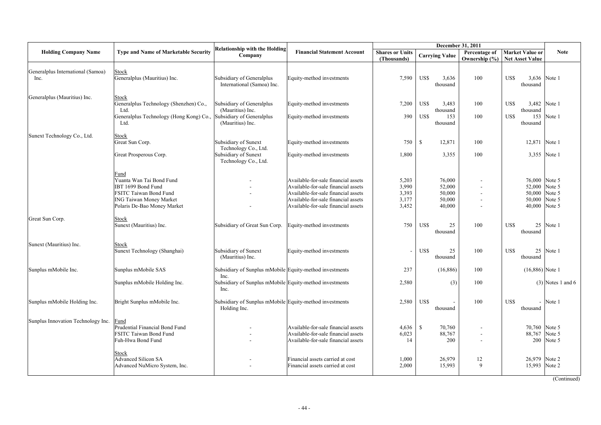| <b>Holding Company Name</b>               | <b>Type and Name of Marketable Security</b>                                                                                                              | <b>Relationship with the Holding</b><br>Company                         | <b>Financial Statement Account</b>                                                                                                                                                              | <b>Shares or Units</b><br>(Thousands)     | <b>Carrying Value</b>                          | Percentage of<br>Ownership (%) | <b>Market Value or</b><br><b>Net Asset Value</b>                                  | <b>Note</b>         |
|-------------------------------------------|----------------------------------------------------------------------------------------------------------------------------------------------------------|-------------------------------------------------------------------------|-------------------------------------------------------------------------------------------------------------------------------------------------------------------------------------------------|-------------------------------------------|------------------------------------------------|--------------------------------|-----------------------------------------------------------------------------------|---------------------|
| Generalplus International (Samoa)<br>Inc. | Stock<br>Generalplus (Mauritius) Inc.                                                                                                                    | Subsidiary of Generalplus<br>International (Samoa) Inc.                 | Equity-method investments                                                                                                                                                                       | 7,590                                     | US\$<br>3,636<br>thousand                      | 100                            | US\$<br>thousand                                                                  | 3,636 Note 1        |
| Generalplus (Mauritius) Inc.              | Stock<br>Generalplus Technology (Shenzhen) Co.,<br>Ltd.                                                                                                  | Subsidiary of Generalplus<br>(Mauritius) Inc.                           | Equity-method investments                                                                                                                                                                       | 7,200                                     | US\$<br>3,483<br>thousand                      | 100                            | US\$<br>thousand                                                                  | 3,482 Note 1        |
|                                           | Generalplus Technology (Hong Kong) Co.,<br>Ltd.                                                                                                          | Subsidiary of Generalplus<br>(Mauritius) Inc.                           | Equity-method investments                                                                                                                                                                       | 390                                       | US\$<br>153<br>thousand                        | 100                            | US\$<br>thousand                                                                  | 153 Note 1          |
| Sunext Technology Co., Ltd.               | <b>Stock</b><br>Great Sun Corp.                                                                                                                          | Subsidiary of Sunext<br>Technology Co., Ltd.                            | Equity-method investments                                                                                                                                                                       | 750                                       | <sup>\$</sup><br>12,871                        | 100                            | 12,871 Note 1                                                                     |                     |
|                                           | Great Prosperous Corp.                                                                                                                                   | Subsidiary of Sunext<br>Technology Co., Ltd.                            | Equity-method investments                                                                                                                                                                       | 1,800                                     | 3,355                                          | 100                            |                                                                                   | 3,355 Note 1        |
|                                           | Fund<br>Yuanta Wan Tai Bond Fund<br>IBT 1699 Bond Fund<br><b>FSITC Taiwan Bond Fund</b><br><b>ING Taiwan Money Market</b><br>Polaris De-Bao Money Market |                                                                         | Available-for-sale financial assets<br>Available-for-sale financial assets<br>Available-for-sale financial assets<br>Available-for-sale financial assets<br>Available-for-sale financial assets | 5,203<br>3,990<br>3,393<br>3,177<br>3,452 | 76,000<br>52,000<br>50,000<br>50,000<br>40,000 |                                | 76,000 Note 5<br>52,000 Note 5<br>50,000 Note 5<br>50,000 Note 5<br>40,000 Note 5 |                     |
| Great Sun Corp.                           | Stock<br>Sunext (Mauritius) Inc.                                                                                                                         | Subsidiary of Great Sun Corp.                                           | Equity-method investments                                                                                                                                                                       | 750                                       | US\$<br>25<br>thousand                         | 100                            | US\$<br>thousand                                                                  | 25 Note 1           |
| Sunext (Mauritius) Inc.                   | Stock<br>Sunext Technology (Shanghai)                                                                                                                    | Subsidiary of Sunext<br>(Mauritius) Inc.                                | Equity-method investments                                                                                                                                                                       |                                           | US\$<br>25<br>thousand                         | 100                            | US\$<br>thousand                                                                  | 25 Note 1           |
| Sunplus mMobile Inc.                      | Sunplus mMobile SAS                                                                                                                                      | Subsidiary of Sunplus mMobile Equity-method investments<br>Inc.         |                                                                                                                                                                                                 | 237                                       | (16, 886)                                      | 100                            | $(16,886)$ Note 1                                                                 |                     |
|                                           | Sunplus mMobile Holding Inc.                                                                                                                             | Subsidiary of Sunplus mMobile Equity-method investments<br>Inc.         |                                                                                                                                                                                                 | 2,580                                     | (3)                                            | 100                            |                                                                                   | $(3)$ Notes 1 and 6 |
| Sunplus mMobile Holding Inc.              | Bright Sunplus mMobile Inc.                                                                                                                              | Subsidiary of Sunplus mMobile Equity-method investments<br>Holding Inc. |                                                                                                                                                                                                 | 2,580                                     | US\$<br>thousand                               | 100                            | US\$<br>thousand                                                                  | $-$ Note 1          |
| Sunplus Innovation Technology Inc.        | Fund<br>Prudential Financial Bond Fund<br>FSITC Taiwan Bond Fund<br>Fuh-Hwa Bond Fund                                                                    |                                                                         | Available-for-sale financial assets<br>Available-for-sale financial assets<br>Available-for-sale financial assets                                                                               | 4,636<br>6,023<br>14                      | $\mathbb{S}$<br>70,760<br>88,767<br>200        |                                | 70,760 Note 5<br>88,767 Note 5                                                    | 200 Note 5          |
|                                           | Stock<br><b>Advanced Silicon SA</b><br>Advanced NuMicro System, Inc.                                                                                     |                                                                         | Financial assets carried at cost<br>Financial assets carried at cost                                                                                                                            | 1,000<br>2,000                            | 26,979<br>15,993                               | 12<br>9                        | 26,979 Note 2<br>15,993 Note 2                                                    |                     |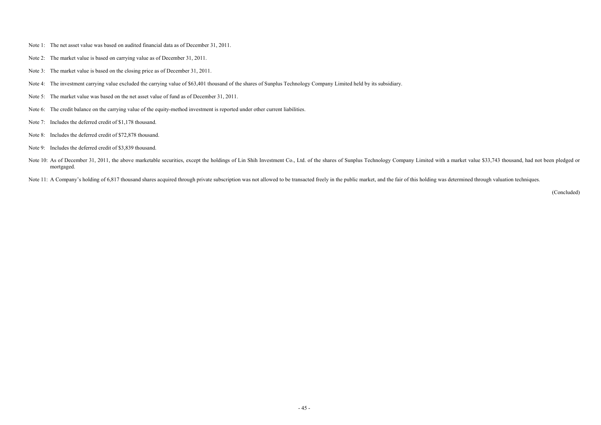- Note 1: The net asset value was based on audited financial data as of December 31, 2011.
- Note 2: The market value is based on carrying value as of December 31, 2011.
- Note 3: The market value is based on the closing price as of December 31, 2011.
- Note 4: The investment carrying value excluded the carrying value of \$63,401 thousand of the shares of Sunplus Technology Company Limited held by its subsidiary.
- Note 5: The market value was based on the net asset value of fund as of December 31, 2011.
- Note 6: The credit balance on the carrying value of the equity-method investment is reported under other current liabilities.
- Note 7: Includes the deferred credit of \$1,178 thousand.
- Note 8: Includes the deferred credit of \$72,878 thousand.
- Note 9: Includes the deferred credit of \$3,839 thousand.
- Note 10: As of December 31, 2011, the above marketable securities, except the holdings of Lin Shih Investment Co., Ltd. of the shares of Sunplus Technology Company Limited with a market value \$33,743 thousand, had not been mortgaged.

Note 11: A Company's holding of 6,817 thousand shares acquired through private subscription was not allowed to be transacted freely in the public market, and the fair of this holding was determined through valuation techni

(Concluded)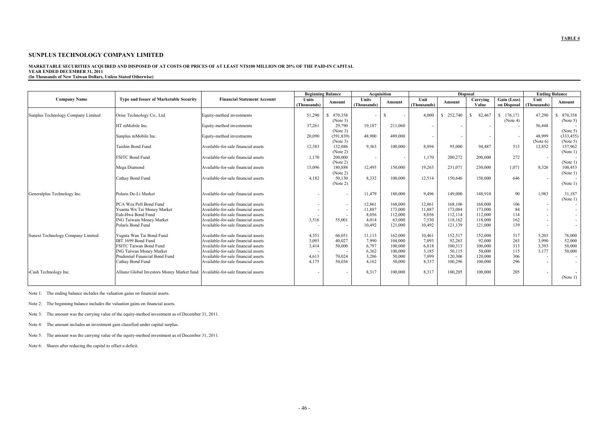#### **MARKETABLE SECURITIES ACQUIRED AND DISPOSED OF AT COSTS OR PRICES OF AT LEAST NT\$100 MILLION OR 20% OF THE PAID-IN CAPITAL YEAR ENDED DECEMBER 31, 2011**

**(In Thousands of New Taiwan Dollars, Unless Stated Otherwise)** 

|                                    |                                                                                  |                                     |                          | <b>Beginning Balance</b> |             | <b>Acquisition</b> | <b>Disposal</b>          |            |              |                          | <b>Ending Balance</b>    |                        |
|------------------------------------|----------------------------------------------------------------------------------|-------------------------------------|--------------------------|--------------------------|-------------|--------------------|--------------------------|------------|--------------|--------------------------|--------------------------|------------------------|
| <b>Company Name</b>                | <b>Type and Issuer of Marketable Security</b>                                    | <b>Financial Statement Account</b>  | <b>Units</b>             | Amount                   | Units       | Amount             | Unit                     | Amount     | Carrying     | $\overline{Gain}$ (Loss) | Unit                     | Amount                 |
|                                    |                                                                                  |                                     | (Thousands)              |                          | (Thousands) |                    | (Thousands)              |            | Value        | on Disposal              | (Thousands)              |                        |
|                                    |                                                                                  |                                     |                          |                          |             |                    |                          |            |              |                          |                          |                        |
| Sunplus Technology Company Limited | Orise Technology Co., Ltd.                                                       | Equity-method investments           | 51,290                   | 870,358<br>-S            |             | S.                 | 4.000                    | \$ 252,740 | 82,467<br>-S | \$176,171                | 47,290                   | 870,358                |
|                                    |                                                                                  |                                     |                          | (Note 3)                 |             |                    |                          |            |              | (Note 4)                 |                          | (Note 5)               |
|                                    | HT mMobile Inc.                                                                  | Equity-method investments           | 37,261                   | 29.790                   | 19,187      | 211,060            | $\overline{\phantom{a}}$ |            |              |                          | 56,448                   |                        |
|                                    | Sunplus mMobile Inc.                                                             | Equity-method investments           | 20,090                   | (Note 3)<br>(591, 839)   | 48,900      | 489,000            |                          |            |              |                          | 48,999                   | (Note 5)<br>(333, 455) |
|                                    |                                                                                  |                                     |                          | (Note 3)                 |             |                    |                          |            |              | $\sim$                   | (Note 6)                 | (Note 5)               |
|                                    | <b>Taishin Bond Fund</b>                                                         | Available-for-sale financial assets | 12,383                   | 132,086                  | 9,363       | 100,000            | 8,894                    | 95,000     | 94,487       | 513                      | 12,852                   | 137,962                |
|                                    |                                                                                  |                                     |                          | (Note 2)                 |             |                    |                          |            |              |                          |                          | (Note 1)               |
|                                    | <b>FSITC Bond Fund</b>                                                           | Available-for-sale financial assets | 1,170                    | 200,000                  |             |                    | 1,170                    | 200,272    | 200,000      | 272                      | $\overline{\phantom{a}}$ |                        |
|                                    |                                                                                  |                                     |                          | (Note 2)                 |             |                    |                          |            |              |                          |                          | (Note 1)               |
|                                    | Mega Diamond                                                                     | Available-for-sale financial assets | 15,096                   | 180.888                  | 12,493      | 150,000            | 19,263                   | 231,071    | 230,000      | 1,071                    | 8,326                    | 100,453                |
|                                    |                                                                                  |                                     |                          | (Note 2)                 |             |                    |                          |            |              |                          |                          | (Note 1)               |
|                                    | Cathay Bond Fund                                                                 | Available-for-sale financial assets | 4.182                    | 50.130                   | 8.332       | 100,000            | 12,514                   | 150,646    | 150,000      | 646                      | $\overline{\phantom{a}}$ |                        |
|                                    |                                                                                  |                                     |                          | (Note 2)                 |             |                    |                          |            |              |                          |                          | (Note 1)               |
|                                    | Polaris De-Li Market                                                             | Available-for-sale financial assets |                          |                          | 11,479      | 180,000            | 9,496                    | 149,000    | 148,910      | 90                       | 1.983                    | 31,187                 |
| Generalplus Technology Inc.        |                                                                                  |                                     |                          | $\sim$                   |             |                    |                          |            |              |                          |                          | (Note 1)               |
|                                    | PCA Wea Poll Bond Fund                                                           | Available-for-sale financial assets |                          | $\sim$                   | 12,861      | 168,000            | 12,861                   | 168.106    | 168,000      | 106                      | $\sim$                   |                        |
|                                    | Yuanta Wn Tai Money Market                                                       | Available-for-sale financial assets |                          | $\overline{\phantom{a}}$ | 11.887      | 173,000            | 11.887                   | 173.084    | 173,000      | 84                       | $\sim$                   |                        |
|                                    | Euh-Hwa Bond Fund                                                                | Available-for-sale financial assets | $\overline{\phantom{a}}$ |                          | 8,056       | 112,000            | 8.056                    | 112,114    | 112,000      | 114                      | $\sim$                   |                        |
|                                    | <b>ING Taiwain Money Market</b>                                                  | Available-for-sale financial assets | 3,516                    | 55,001                   | 4.014       | 63,000             | 7,530                    | 118,162    | 118,000      | 162                      | $\sim$                   |                        |
|                                    | Polaris Bond Fund                                                                | Available-for-sale financial assets |                          |                          | 10,492      | 121,000            | 10,492                   | 121,139    | 121.000      | 139                      | $\overline{\phantom{a}}$ |                        |
|                                    |                                                                                  |                                     |                          |                          |             |                    |                          |            |              |                          |                          |                        |
| Sunext Technology Company Limited  | Yugnta Wan Tai Bond Fund                                                         | Available-for-sale financial assets | 4,551                    | 66,051                   | 11,113      | 162,000            | 10,461                   | 152,517    | 152,000      | 517                      | 5,203                    | 76,000                 |
|                                    | IBT 1699 Bond Fund                                                               | Available-for-sale financial assets | 3,093                    | 40,027                   | 7.990       | 104,000            | 7.093                    | 92,263     | 92,000       | 263                      | 3,990                    | 52,000                 |
|                                    | FSITC Taiwan Bond Fund                                                           | Available-for-sale financial assets | 3,414                    | 50.000                   | 6.797       | 100.000            | 6.818                    | 100,313    | 100,000      | 313                      | 3,393                    | 50,000                 |
|                                    | <b>ING Taiwan Money Market</b>                                                   | Available-for-sale financial assets |                          |                          | 6.362       | 100.000            | 3,185                    | 50,115     | 50.000       | 115                      | 3.177                    | 50,000                 |
|                                    | Prudential Financial Bond Fund                                                   | Available-for-sale financial assets | 4,613                    | 70,024                   | 3.286       | 50,000             | 7,899                    | 120,306    | 120,000      | 306                      | $\sim$                   |                        |
|                                    | Cathay Bond Fund                                                                 | Available-for-sale financial assets | 4,175                    | 50,036                   | 4,162       | 50,000             | 8,337                    | 100,296    | 100,000      | 296                      | $\sim$                   |                        |
|                                    |                                                                                  |                                     |                          |                          |             |                    |                          |            |              |                          |                          |                        |
| iCash Technology Inc.              | Allianz Global Investors Money Market fund   Available-for-sale financial assets |                                     |                          | ٠                        | 8,317       | 100.000            | 8,317                    | 100,205    | 100,000      | 205                      | $\sim$                   |                        |
|                                    |                                                                                  |                                     |                          |                          |             |                    |                          |            |              |                          |                          | (Note 1)               |
|                                    |                                                                                  |                                     |                          |                          |             |                    |                          |            |              |                          |                          |                        |

Note 1: The ending balance includes the valuation gains on financial assets.

Note 2: The beginning balance includes the valuation gains on financial assets.

Note 3: The amount was the carrying value of the equity-method investment as of December 31, 2011.

Note 4: The amount includes an investment gain classified under capital surplus.

Note 5: The amount was the carrying value of the equity-method investment as of December 31, 2011.

Note 6: Shares after reducing the capital to offset a deficit.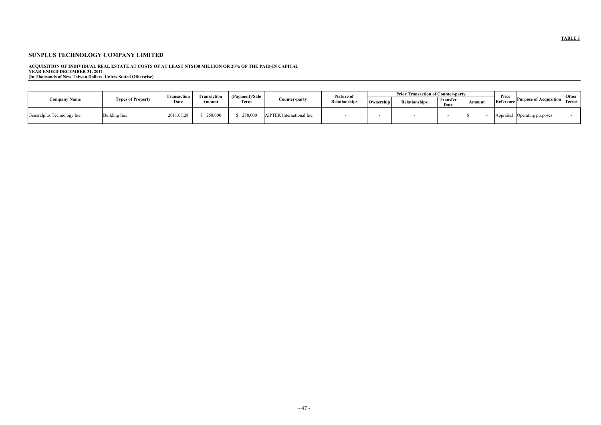ACQUISITION OF INDIVIDUAL REAL ESTATE AT COSTS OF AT LEAST NT\$100 MILLION OR 20% OF THE PAID-IN CAPITAL<br>YEAR ENDED DECEMBER 31, 2011<br>(In Thousands of New Taiwan Dollars, Unless Stated Otherwise)

|                             |                          |                     |                             | (Payment)/Sale |                           | Nature of            | <b>Prior Transaction of Counter-party</b> |                      |                  |       |                    |                               | Other |
|-----------------------------|--------------------------|---------------------|-----------------------------|----------------|---------------------------|----------------------|-------------------------------------------|----------------------|------------------|-------|--------------------|-------------------------------|-------|
| Company Name                | <b>Types of Property</b> | Transaction<br>Date | <b>Transaction</b><br>Amoun | Term           | Counter-party             | <b>Relationships</b> | Ownership                                 | <b>Relationships</b> | Transfer<br>Date | Amoun | Price<br>Reference | <b>Purpose of Acquisition</b> | Terms |
| Generalplus Technology Inc. | Building Inc.            | 2011.07.28          | 258,000                     | 258,000        | AIPTEK International Inc. |                      |                                           |                      |                  |       | Appraisal          | Operating purposes            |       |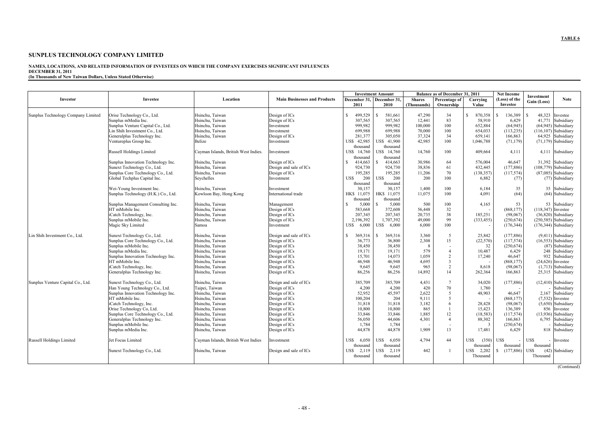#### **NAMES, LOCATIONS, AND RELATED INFORMATION OF INVESTEES ON WHICH THE COMPANY EXERCISES SIGNIFICANT INFLUENCES DECEMBER 31, 2011 (In Thousands of New Taiwan Dollars, Unless Stated Otherwise)**

|                                    |                                     |                                      |                                     |                         | <b>Investment Amount</b>  |               | <b>Balance as of December 31, 2011</b> |                | <b>Net Income</b> | Investment                 |
|------------------------------------|-------------------------------------|--------------------------------------|-------------------------------------|-------------------------|---------------------------|---------------|----------------------------------------|----------------|-------------------|----------------------------|
| Investor                           | <b>Investee</b>                     | Location                             | <b>Main Businesses and Products</b> |                         | December 31, December 31, | <b>Shares</b> | Percentage of                          | Carrying       | (Loss) of the     | <b>Note</b><br>Gain (Loss) |
|                                    |                                     |                                      |                                     | 2011                    | 2010                      | (Thousands)   | Ownership                              | Value          | Investee          |                            |
|                                    |                                     |                                      |                                     |                         |                           |               |                                        |                |                   |                            |
| Sunplus Technology Company Limited | Orise Technology Co., Ltd.          | Hsinchu, Taiwan                      | Design of ICs                       | S.<br>499,529           | 581,661<br>S              | 47,290        | 34                                     | \$.<br>870,358 | 136,389<br>¢      | 48,323<br>¢<br>Investee    |
|                                    | Sunplus mMedia Inc.                 | Hsinchu. Taiwan                      | Design of ICs                       | 307.565                 | 307.565                   | 12.441        | 83                                     | 58.910         | 6.429             | 41.771<br>Subsidiary       |
|                                    | Sunplus Venture Capital Co., Ltd.   | Hsinchu. Taiwan                      | Investment                          | 999.982                 | 999.982                   | 100.000       | 100                                    | 652.884        | (64.945)          | $(64.945)$ Subsidiary      |
|                                    | Lin Shih Investment Co., Ltd.       | Hsinchu, Taiwan                      | Investment                          | 699,988                 | 699,988                   | 70,000        | 100                                    | 654,033        | (113, 235)        | $(116, 107)$ Subsidiary    |
|                                    | Generalplus Technology Inc.         | Hsinchu, Taiwan                      | Design of ICs                       | 281,377                 | 305,050                   | 37,324        | 34                                     | 659,141        | 166,863           | 64,925 Subsidiary          |
|                                    | Ventureplus Group Inc.              | Belize                               | Investment                          | US\$ 42,985             | US\$ 41,900               | 42,985        | 100                                    | 1,046,788      | (71, 179)         | $(71,179)$ Subsidiary      |
|                                    |                                     |                                      |                                     | thousand                | thousand                  |               |                                        |                |                   |                            |
|                                    | Russell Holdings Limited            | Cayman Islands, British West Indies. | Investment                          | US\$ 14,760             | JS\$ 14,760               | 14,760        | 100                                    | 409,664        | 4,111             | 4,111 Subsidiary           |
|                                    |                                     |                                      |                                     | thousand                | thousand                  |               |                                        |                |                   |                            |
|                                    | Sunplus Innovation Technology Inc.  | Hsinchu, Taiwan                      | Design of ICs                       | 414,663<br>S.           | 414,663                   | 30.986        | 64                                     | 576.004        | 46.647            | 31.392<br>Subsidiary       |
|                                    | Sunext Technology Co., Ltd.         | Hsinchu, Taiwan                      | Design and sale of ICs              | 924,730                 | 924,730                   | 38,836        | 61                                     | 432,445        | (177, 886)        | $(108,779)$ Subsidiary     |
|                                    | Sunplus Core Technology Co., Ltd.   | Hsinchu, Taiwan                      | Design of ICs                       | 195,285                 | 195,285                   | 11,206        | 70                                     | (138, 357)     | (117,574)         | $(87,085)$ Subsidiary      |
|                                    | Global Techplus Capital Inc.        | Seychelles                           | Investment                          | 200<br>US\$             | US\$<br>200               | 200           | 100                                    | 6,882          | (77)              | (77) Subsidiary            |
|                                    |                                     |                                      |                                     | thousand                | thousand                  |               |                                        |                |                   |                            |
|                                    | Wei-Young Investment Inc.           | Hsinchu. Taiwan                      | Investment                          | 30,157                  | 30.157                    | 1.400         | 100                                    | 6.184          | 35                | 35 Subsidiary              |
|                                    | Sunplus Technology (H.K.) Co., Ltd. | Kowloon Bay, Hong Kong               | International trade                 | HK\$ 11,075             | HK\$ 11,075               | 11,075        | 100                                    | 4.091          | (64)              | (64) Subsidiary            |
|                                    |                                     |                                      |                                     | thousand                | thousand                  |               |                                        |                |                   |                            |
|                                    | Sunplus Management Consulting Inc.  | Hsinchu, Taiwan                      | Management                          | 5,000<br>-S             | 5,000                     | 500           | 100                                    | 4,165          | 53                | 53 Subsidiary              |
|                                    | HT mMobile Inc.                     | Hsinchu. Taiwan                      | Design of ICs                       | 583,668                 | 372,608                   | 56,448        | 32                                     |                | (868, 177)        | $(118,347)$ Investee       |
|                                    | iCatch Technology, Inc.             | Hsinchu. Taiwan                      | Design of ICs                       | 207.345                 | 207.345                   | 20.735        | 38                                     | 185.251        | (98,067)          | $(36.820)$ Subsidiary      |
|                                    | Sunplus mMobile Inc.                | Hsinchu, Taiwan                      | Design of ICs                       | 2,196,392               | 1,707,392                 | 49,000        | 99                                     | (333, 455)     | (250, 674)        | $(250,585)$ Subsidiary     |
|                                    | Magic Sky Limited                   | Samoa                                | Investment                          | US\$<br>6,000           | US\$ 6,000                | 6,000         | 100                                    |                | (176, 344)        | $(176,344)$ Subsidiary     |
|                                    |                                     |                                      |                                     |                         |                           |               |                                        |                |                   |                            |
| Lin Shih Investment Co., Ltd.      | Sunext Technology Co., Ltd.         | Hsinchu. Taiwan                      | Design and sale of ICs              | $\mathbf{s}$<br>369,316 | 369.316<br>-S             | 3.360         | 5                                      | 25.842         | (177.886)         | (9,411) Subsidiary         |
|                                    | Sunplus Core Technology Co., Ltd.   | Hsinchu, Taiwan                      | Design of ICs                       | 36,773                  | 36,800                    | 2,308         | 15                                     | (22,570)       | (117,574)         | $(16,553)$ Subsidiary      |
|                                    | Sunplus mMobile Inc.                | Hsinchu. Taiwan                      | Design of ICs                       | 38,450                  | 38.450                    | -8            |                                        | 32             | (250, 674)        | (87) Subsidiary            |
|                                    | Sunplus mMedia Inc.                 | Hsinchu, Taiwan                      | Design of ICs                       | 19,171                  | 19,171                    | 579           | $\overline{4}$                         | 10,487         | 6,429             | 248<br>Subsidiary          |
|                                    | Sunplus Innovation Technology Inc.  | Hsinchu. Taiwan                      | Design of ICs                       | 15,701                  | 14.073                    | 1,059         | $\overline{2}$                         | 17,240         | 46.647            | 932<br>Subsidiary          |
|                                    | HT mMobile Inc.                     | Hsinchu. Taiwan                      | Design of ICs                       | 46.948                  | 46.948                    | 4.695         | $\overline{\mathbf{3}}$                |                | (868, 177)        | $(24,626)$ Investee        |
|                                    |                                     |                                      |                                     |                         |                           | 965           | $\overline{2}$                         |                |                   |                            |
|                                    | iCatch Technology, Inc.             | Hsinchu, Taiwan                      | Design of ICs                       | 9,645                   | 9,645                     |               | 14                                     | 8,618          | (98,067)          | $(1,713)$ Subsidiary       |
|                                    | Generalplus Technology Inc.         | Hsinchu, Taiwan                      | Design of ICs                       | 86,256                  | 86,256                    | 14,892        |                                        | 262,364        | 166,863           | 25,315 Subsidiary          |
|                                    |                                     | Hsinchu. Taiwan                      |                                     |                         |                           |               | $\overline{7}$                         |                |                   |                            |
| Sunplus Venture Capital Co., Ltd.  | Sunext Technology Co., Ltd.         |                                      | Design and sale of ICs              | 385,709                 | 385,709                   | 4,431         |                                        | 34,020         | (177, 886)        | $(12,410)$ Subsidiary      |
|                                    | Han Young Technology Co., Ltd.      | Taipei, Taiwan                       | Design of ICs                       | 4,200                   | 4,200                     | 420           | 70                                     | 1,780          |                   | Subsidiary                 |
|                                    | Sunplus Innovation Technology Inc.  | Hsinchu, Taiwan                      | Design of ICs                       | 52,952                  | 45,597                    | 2,622         | 5<br>5                                 | 48,903         | 46.647            | 2,167<br>Subsidiary        |
|                                    | HT mMobile Inc.                     | Hsinchu, Taiwan                      | Design of ICs                       | 100,204                 | 204                       | 9,111         |                                        |                | (868, 177)        | $(7,532)$ Investee         |
|                                    | iCatch Technology, Inc.             | Hsinchu, Taiwan                      | Design of ICs                       | 31,818                  | 31,818                    | 3,182         | 6                                      | 28,428         | (98,067)          | $(5,650)$ Subsidiary       |
|                                    | Orise Technology Co, Ltd.           | Hsinchu, Taiwan                      | Design of ICs                       | 10,800                  | 10,800                    | 865           |                                        | 15,423         | 136,389           | 856<br>Investee            |
|                                    | Sunplus Core Technology Co., Ltd.   | Hsinchu, Taiwan                      | Design of ICs                       | 33,846                  | 33,846                    | 1,885         | 12                                     | (18, 583)      | (117, 574)        | $(13,936)$ Subsidiary      |
|                                    | Generalplus Technology Inc.         | Hsinchu. Taiwan                      | Design of ICs                       | 56,050                  | 44,606                    | 4,301         | $\overline{4}$                         | 88,302         | 166,863           | 6.795<br>Subsidiary        |
|                                    | Sunplus mMobile Inc.                | Hsinchu, Taiwan                      | Design of ICs                       | 1,784                   | 1,784                     |               | $\overline{\phantom{a}}$               | $\overline{3}$ | (250, 674)        | Subsidiary                 |
|                                    | Sunplus mMedia Inc.                 | Hsinchu. Taiwan                      | Design of ICs                       | 44,878                  | 44,878                    | 1.909         | 13                                     | 17,481         | 6.429             | 818<br>Subsidiary          |
|                                    |                                     |                                      |                                     |                         | US\$                      | 4.794         | 44                                     | US\$           | US\$              | US\$                       |
| Russell Holdings Limited           | Jet Focus Limited                   | Cayman Islands, British West Indies  | Investment                          | US\$<br>6,050           | 6.050                     |               |                                        | (350)          |                   | Investee                   |
|                                    |                                     |                                      |                                     | thousand                | thousand                  |               |                                        | thousand       | thousand          | thousand                   |
|                                    | Sunext Technology Co., Ltd.         | Hsinchu, Taiwan                      | Design and sale of ICs              | 2,119<br>US\$           | US\$ 2,119                | 442           |                                        | US\$ 2,202     | (177, 886)<br>S.  | US\$<br>(42) Subsidiary    |
|                                    |                                     |                                      |                                     | thousand                | thousand                  |               |                                        | Thousand       |                   | Thousand                   |
|                                    |                                     |                                      |                                     |                         |                           |               |                                        |                |                   |                            |
|                                    |                                     |                                      |                                     |                         |                           |               |                                        |                |                   | (Continued)                |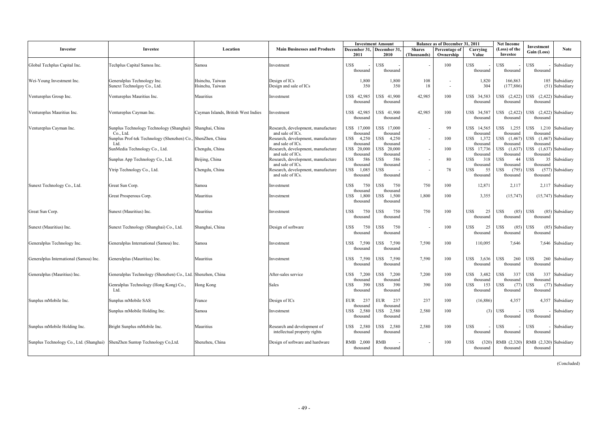|                                                                             |                                                                    |                                     |                                                                            | <b>Investment Amount</b>              |                                       | <b>Balance as of December 31, 2011</b> |                                    |                                    |                                       | <b>Net Income</b><br>Investment                    |
|-----------------------------------------------------------------------------|--------------------------------------------------------------------|-------------------------------------|----------------------------------------------------------------------------|---------------------------------------|---------------------------------------|----------------------------------------|------------------------------------|------------------------------------|---------------------------------------|----------------------------------------------------|
| Investor                                                                    | Investee                                                           | Location                            | <b>Main Businesses and Products</b>                                        | December 31, December 31,<br>2011     | 2010                                  | <b>Shares</b><br>(Thousands)           | Percentage of<br>Ownership         | Carrying<br>Value                  | (Loss) of the<br>Investee             | <b>Note</b><br>Gain (Loss)                         |
| Global Techplus Capital Inc.                                                | Techplus Capital Samoa Inc.                                        | Samoa                               | Investment                                                                 | US\$<br>thousand                      | US\$<br>thousand                      |                                        | 100                                | US\$<br>thousand                   | US\$<br>thousand                      | US\$<br>Subsidiary<br>thousand                     |
| Wei-Young Investment Inc.                                                   | Generalplus Technology Inc.<br>Sunext Technolgoy Co., Ltd.         | Hsinchu, Taiwan<br>Hsinchu, Taiwan  | Design of ICs<br>Design and sale of ICs                                    | 1,800<br>350                          | 1,800<br>350                          | 108<br>18                              | $\overline{\phantom{a}}$<br>$\sim$ | 1,820<br>304                       | 166,863<br>(177, 886)                 | 185 Subsidiary<br>(51) Subsidiary                  |
| Ventureplus Group Inc.                                                      | Ventureplus Mauritius Inc.                                         | Mauritius                           | Investment                                                                 | US\$ 42,985<br>thousand               | US\$ 41.900<br>thousand               | 42,985                                 | 100                                | US\$ 34,583<br>thousand            | US\$ (2,422)<br>thousand              | US\$ (2,422) Subsidiary<br>thousand                |
| Ventureplus Mauritius Inc.                                                  | Ventureplus Cayman Inc.                                            | Cayman Islands, British West Indies | Investment                                                                 | 42,985<br><b>USS</b><br>thousand      | US\$ 41,900<br>thousand               | 42,985                                 | 100                                | US\$ 34,587<br>thousand            | US\$ (2,422)<br>thousand              | US\$ $(2,422)$ Subsidiary<br>thousand              |
| Ventureplus Cayman Inc.                                                     | Sunplus Technology Technology (Shanghai)<br>Co., Ltd.              | Shanghai, China                     | Research, development, manufacture<br>and sale of ICs.                     | US\$ 17,000<br>thousand               | JS\$ 17.000<br>thousand               |                                        | 99                                 | US\$ 14,565<br>thousand            | US\$ 1,255<br>thousand                | US\$ 1,210 Subsidiary<br>thousand                  |
|                                                                             | Sunplus Prof-tek Technology (Shenzhen) Co., ShenZhen, China<br>Ltd |                                     | Research, development, manufacture<br>and sale of ICs.                     | US\$<br>4,250<br>thousand             | 4.250<br>US\$<br>thousand             |                                        | 100                                | US\$ 1,372<br>thousand             | US\$ (1,467)<br>thousand              | US\$ (1,467) Subsidiary<br>thousand                |
|                                                                             | SunMedia Technology Co., Ltd.                                      | Chengdu, China                      | Research, development, manufacture<br>and sale of ICs.                     | US\$ 20,000<br>thousand               | JS\$ 20,000<br>thousand               |                                        | 100                                | US\$ 17,736<br>thousand            | US\$ (1,637)<br>thousand              | JS\$ (1,637) Subsidiary<br>thousand                |
|                                                                             | Sunplus App Technology Co., Ltd.                                   | Beijing, China                      | Research, development, manufacture                                         | 586<br>US\$                           | 586<br>USS                            |                                        | 80                                 | 318<br>US\$                        | US\$<br>44                            | US\$<br>35 Subsidiary                              |
|                                                                             | Ytrip Technology Co., Ltd.                                         | Chengdu, China                      | and sale of ICs.<br>Research, development, manufacture<br>and sale of ICs. | thousand<br>1,085<br>US\$<br>thousand | thousand<br>US\$<br>thousand          |                                        | 78                                 | thousand<br>US\$<br>55<br>thousand | thousand<br>US\$<br>(795)<br>thousand | thousand<br>JS\$<br>$(577)$ Subsidiary<br>thousand |
| Sunext Technology Co., Ltd.                                                 | Great Sun Corp.                                                    | Samoa                               | Investment                                                                 | US\$<br>750                           | USS<br>750<br>thousand                | 750                                    | 100                                | 12,871                             | 2,117                                 | 2,117 Subsidiary                                   |
|                                                                             | Great Prosperous Corp.                                             | Mauritius                           | Investment                                                                 | thousand<br>1,800<br>US\$<br>thousand | 1,500<br>JS\$<br>thousand             | 1,800                                  | 100                                | 3,355                              | (15, 747)                             | $(15,747)$ Subsidiary                              |
| Great Sun Corp.                                                             | Sunext (Mauritius) Inc.                                            | Mauritius                           | Investment                                                                 | US\$<br>750<br>thousand               | US\$<br>750<br>thousand               | 750                                    | 100                                | US\$<br>25<br>thousand             | US\$<br>(85)<br>thousand              | <b>US\$</b><br>(85) Subsidiary<br>thousand         |
| Sunext (Mauritius) Inc.                                                     | Sunext Technology (Shanghai) Co., Ltd.                             | Shanghai, China                     | Design of software                                                         | US\$<br>750<br>thousand               | US\$<br>750<br>thousand               |                                        | 100                                | US\$<br>25<br>thousand             | US\$<br>(85)<br>thousand              | <b>US\$</b><br>(85) Subsidiary<br>thousand         |
| Generalplus Technology Inc.                                                 | Generalplus International (Samoa) Inc.                             | Samoa                               | Investment                                                                 | 7,590<br>US\$<br>thousand             | 7,590<br>USS<br>thousand              | 7.590                                  | 100                                | 110,095                            | 7.646                                 | 7,646 Subsidiary                                   |
| Generalplus International (Samoa) Inc.                                      | Generalplus (Mauritius) Inc.                                       | Mauritius                           | Investment                                                                 | US\$<br>7,590<br>thousand             | 7,590<br>USS<br>thousand              | 7,590                                  | 100                                | US\$ 3,636<br>thousand             | US\$<br>260<br>thousand               | <b>US\$</b><br>260<br>Subsidiary<br>thousand       |
| Generalplus (Mauritius) Inc.                                                | Generalplus Technology (Shenzhen) Co., Ltd. Shenzhen, China        |                                     | After-sales service                                                        | US\$<br>7,200<br>thousand             | US\$<br>7.200<br>thousand             | 7,200                                  | 100                                | US\$ 3,482<br>thousand             | US\$<br>337<br>thousand               | US\$<br>337 Subsidiary<br>thousand                 |
|                                                                             | Genralplus Technology (Hong Kong) Co.,<br>Ltd.                     | Hong Kong                           | Sales                                                                      | 390<br>US\$<br>thousand               | 390<br>US\$<br>thousand               | 390                                    | 100                                | 153<br>US\$<br>thousand            | US\$<br>(77)<br>thousand              | (77) Subsidiary<br>US\$<br>thousand                |
| Sunplus mMobile Inc.                                                        | Sunplus mMobile SAS                                                | France                              | Design of ICs                                                              | EUR<br>237                            | 237<br>EUR                            | 237                                    | 100                                | (16, 886)                          | 4,357                                 | 4,357 Subsidiary                                   |
|                                                                             | Sunplus mMobile Holding Inc.                                       | Samoa                               | Investment                                                                 | thousand<br>2,580<br>US\$<br>thousand | thousand<br>2,580<br>US\$<br>thousand | 2,580                                  | 100                                | (3)                                | US\$<br>thousand                      | US\$<br>- Subsidiary<br>thousand                   |
| Sunplus mMobile Holding Inc.                                                | Bright Sunplus mMobile Inc.                                        | Mauritius                           | Research and development of<br>intellectual property rights                | 2,580<br>US\$<br>thousand             | 2,580<br>USS<br>thousand              | 2,580                                  | 100                                | US\$<br>thousand                   | US\$<br>thousand                      | US\$<br>- Subsidiary<br>thousand                   |
| Sunplus Technology Co., Ltd. (Shanghai) ShenZhen Suntop Technology Co, Ltd. |                                                                    | Shenzheu, China                     | Design of software and hardware                                            | RMB 2,000<br>thousand                 | <b>RMB</b><br>thousand                |                                        | 100                                | US\$<br>(320)<br>thousand          | RMB (2,320)<br>thousand               | RMB (2,320) Subsidiary<br>thousand                 |

(Concluded)